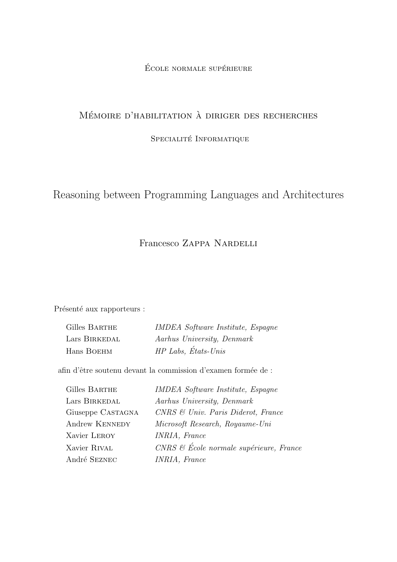ÉCOLE NORMALE SUPÉRIEURE

## MÉMOIRE D'HABILITATION À DIRIGER DES RECHERCHES

SPECIALITÉ INFORMATIQUE

## Reasoning between Programming Languages and Architectures

## Francesco Zappa Nardelli

 $\Pr$ ésenté aux rapporteurs :

| Gilles BARTHE | IMDEA Software Institute, Espagne |
|---------------|-----------------------------------|
| Lars BIRKEDAL | Aarhus University, Denmark        |
| Hans BOEHM    | HP Labs, États-Unis               |

afin d'être soutenu devant la commission d'examen formée de :

| Gilles BARTHE     | <b>IMDEA</b> Software Institute, Espagne       |
|-------------------|------------------------------------------------|
| Lars BIRKEDAL     | Aarhus University, Denmark                     |
| Giuseppe CASTAGNA | $CNRS \& Univ. \; Paris \; Diderot, \; France$ |
| Andrew KENNEDY    | Microsoft Research, Royaume-Uni                |
| Xavier LEROY      | INRIA, France                                  |
| Xavier RIVAL      | CNRS & École normale supérieure, France        |
| André SEZNEC      | INRIA, France                                  |
|                   |                                                |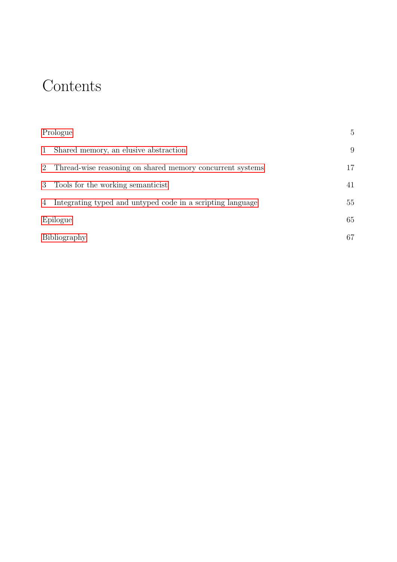# **Contents**

|              | Prologue                                                    | $\overline{5}$ |
|--------------|-------------------------------------------------------------|----------------|
| $\mathbf{1}$ | Shared memory, an elusive abstraction                       | 9              |
|              | 2 Thread-wise reasoning on shared memory concurrent systems | 17             |
|              | 3 Tools for the working semanticist                         | 41             |
| 4            | Integrating typed and untyped code in a scripting language  | 55             |
|              | Epilogue                                                    | 65             |
|              | Bibliography                                                | 67             |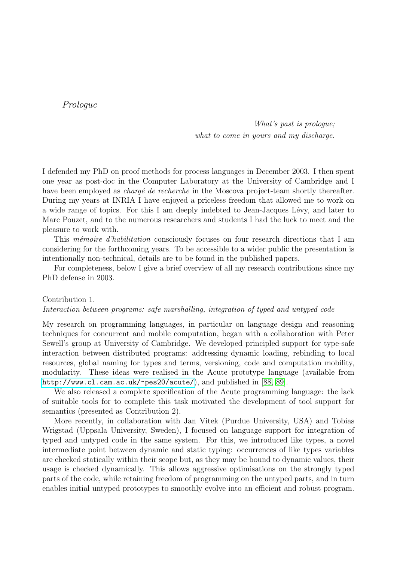## <span id="page-4-0"></span>Prologue

What's past is prologue; what to come in yours and my discharge.

I defended my PhD on proof methods for process languages in December 2003. I then spent one year as post-doc in the Computer Laboratory at the University of Cambridge and I have been employed as *chargé de recherche* in the Moscova project-team shortly thereafter. During my years at INRIA I have enjoyed a priceless freedom that allowed me to work on a wide range of topics. For this I am deeply indebted to Jean-Jacques Lévy, and later to Marc Pouzet, and to the numerous researchers and students I had the luck to meet and the pleasure to work with.

This *mêmoire d'habilitation* consciously focuses on four research directions that I am considering for the forthcoming years. To be accessible to a wider public the presentation is intentionally non-technical, details are to be found in the published papers.

For completeness, below I give a brief overview of all my research contributions since my PhD defense in 2003.

Contribution 1. Interaction between programs: safe marshalling, integration of typed and untyped code

My research on programming languages, in particular on language design and reasoning techniques for concurrent and mobile computation, began with a collaboration with Peter Sewell's group at University of Cambridge. We developed principled support for type-safe interaction between distributed programs: addressing dynamic loading, rebinding to local resources, global naming for types and terms, versioning, code and computation mobility, modularity. These ideas were realised in the Acute prototype language (available from <http://www.cl.cam.ac.uk/~pes20/acute/>), and published in [\[88,](#page-71-0) [89\]](#page-71-1).

We also released a complete specification of the Acute programming language: the lack of suitable tools for to complete this task motivated the development of tool support for semantics (presented as Contribution 2).

More recently, in collaboration with Jan Vitek (Purdue University, USA) and Tobias Wrigstad (Uppsala University, Sweden), I focused on language support for integration of typed and untyped code in the same system. For this, we introduced like types, a novel intermediate point between dynamic and static typing: occurrences of like types variables are checked statically within their scope but, as they may be bound to dynamic values, their usage is checked dynamically. This allows aggressive optimisations on the strongly typed parts of the code, while retaining freedom of programming on the untyped parts, and in turn enables initial untyped prototypes to smoothly evolve into an efficient and robust program.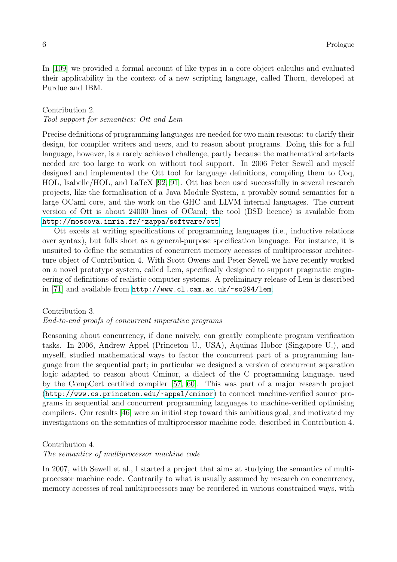In [\[109\]](#page-72-0) we provided a formal account of like types in a core object calculus and evaluated their applicability in the context of a new scripting language, called Thorn, developed at Purdue and IBM.

## Contribution 2. Tool support for semantics: Ott and Lem

Precise definitions of programming languages are needed for two main reasons: to clarify their design, for compiler writers and users, and to reason about programs. Doing this for a full language, however, is a rarely achieved challenge, partly because the mathematical artefacts needed are too large to work on without tool support. In 2006 Peter Sewell and myself designed and implemented the Ott tool for language definitions, compiling them to Coq, HOL, Isabelle/HOL, and LaTeX [\[92,](#page-71-2) [91\]](#page-71-3). Ott has been used successfully in several research projects, like the formalisation of a Java Module System, a provably sound semantics for a large OCaml core, and the work on the GHC and LLVM internal languages. The current version of Ott is about 24000 lines of OCaml; the tool (BSD licence) is available from <http://moscova.inria.fr/~zappa/software/ott>.

Ott excels at writing specifications of programming languages (i.e., inductive relations over syntax), but falls short as a general-purpose specification language. For instance, it is unsuited to define the semantics of concurrent memory accesses of multiprocessor architecture object of Contribution 4. With Scott Owens and Peter Sewell we have recently worked on a novel prototype system, called Lem, specifically designed to support pragmatic engineering of definitions of realistic computer systems. A preliminary release of Lem is described in [\[71\]](#page-69-0) and available from <http://www.cl.cam.ac.uk/~so294/lem>.

## Contribution 3.

## End-to-end proofs of concurrent imperative programs

Reasoning about concurrency, if done naively, can greatly complicate program verification tasks. In 2006, Andrew Appel (Princeton U., USA), Aquinas Hobor (Singapore U.), and myself, studied mathematical ways to factor the concurrent part of a programming language from the sequential part; in particular we designed a version of concurrent separation logic adapted to reason about Cminor, a dialect of the C programming language, used by the CompCert certified compiler [\[57,](#page-69-1) [60\]](#page-69-2). This was part of a major research project (<http://www.cs.princeton.edu/~appel/cminor>) to connect machine-verified source programs in sequential and concurrent programming languages to machine-verified optimising compilers. Our results [\[46\]](#page-68-0) were an initial step toward this ambitious goal, and motivated my investigations on the semantics of multiprocessor machine code, described in Contribution 4.

## Contribution 4.

### The semantics of multiprocessor machine code

In 2007, with Sewell et al., I started a project that aims at studying the semantics of multiprocessor machine code. Contrarily to what is usually assumed by research on concurrency, memory accesses of real multiprocessors may be reordered in various constrained ways, with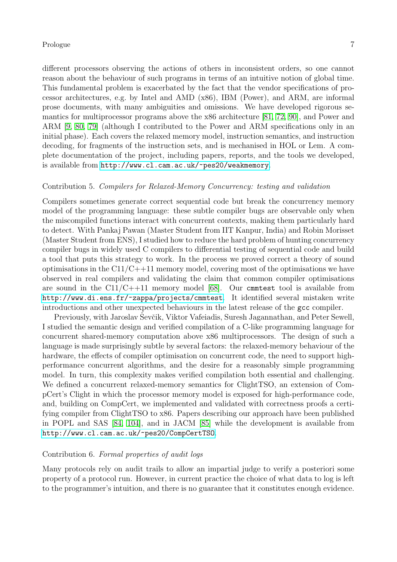## Prologue 2008 and 2008 and 2008 and 2008 and 2008 and 2008 and 2008 and 2008 and 2008 and 2008 and 2008 and 20

different processors observing the actions of others in inconsistent orders, so one cannot reason about the behaviour of such programs in terms of an intuitive notion of global time. This fundamental problem is exacerbated by the fact that the vendor specifications of processor architectures, e.g. by Intel and AMD (x86), IBM (Power), and ARM, are informal prose documents, with many ambiguities and omissions. We have developed rigorous se-

mantics for multiprocessor programs above the x86 architecture [\[81,](#page-70-0) [72,](#page-70-1) [90\]](#page-71-4), and Power and ARM [\[9,](#page-66-1) [80,](#page-70-2) [79\]](#page-70-3) (although I contributed to the Power and ARM specifications only in an initial phase). Each covers the relaxed memory model, instruction semantics, and instruction decoding, for fragments of the instruction sets, and is mechanised in HOL or Lem. A complete documentation of the project, including papers, reports, and the tools we developed, is available from <http://www.cl.cam.ac.uk/~pes20/weakmemory>.

## Contribution 5. Compilers for Relaxed-Memory Concurrency: testing and validation

Compilers sometimes generate correct sequential code but break the concurrency memory model of the programming language: these subtle compiler bugs are observable only when the miscompiled functions interact with concurrent contexts, making them particularly hard to detect. With Pankaj Pawan (Master Student from IIT Kanpur, India) and Robin Morisset (Master Student from ENS), I studied how to reduce the hard problem of hunting concurrency compiler bugs in widely used C compilers to differential testing of sequential code and build a tool that puts this strategy to work. In the process we proved correct a theory of sound optimisations in the  $C11/C+11$  memory model, covering most of the optimisations we have observed in real compilers and validating the claim that common compiler optimisations are sound in the  $C11/C++11$  memory model [\[68\]](#page-69-3). Our cmmtest tool is available from <http://www.di.ens.fr/~zappa/projects/cmmtest>. It identified several mistaken write introductions and other unexpected behaviours in the latest release of the gcc compiler.

Previously, with Jaroslav Ševčik, Viktor Vafeiadis, Suresh Jagannathan, and Peter Sewell, I studied the semantic design and verified compilation of a C-like programming language for concurrent shared-memory computation above x86 multiprocessors. The design of such a language is made surprisingly subtle by several factors: the relaxed-memory behaviour of the hardware, the effects of compiler optimisation on concurrent code, the need to support highperformance concurrent algorithms, and the desire for a reasonably simple programming model. In turn, this complexity makes verified compilation both essential and challenging. We defined a concurrent relaxed-memory semantics for ClightTSO, an extension of CompCert's Clight in which the processor memory model is exposed for high-performance code, and, building on CompCert, we implemented and validated with correctness proofs a certifying compiler from ClightTSO to x86. Papers describing our approach have been published in POPL and SAS [\[84,](#page-70-4) [104\]](#page-71-5), and in JACM [\[85\]](#page-70-5) while the development is available from <http://www.cl.cam.ac.uk/~pes20/CompCertTSO>.

## Contribution 6. Formal properties of audit logs

Many protocols rely on audit trails to allow an impartial judge to verify a posteriori some property of a protocol run. However, in current practice the choice of what data to log is left to the programmer's intuition, and there is no guarantee that it constitutes enough evidence.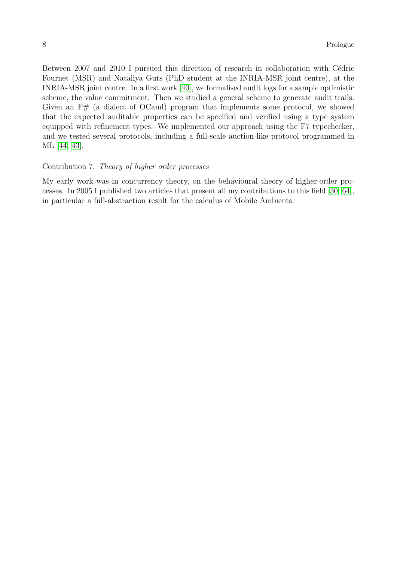Between 2007 and 2010 I pursued this direction of research in collaboration with Cédric Fournet (MSR) and Nataliya Guts (PhD student at the INRIA-MSR joint centre), at the INRIA-MSR joint centre. In a first work [\[40\]](#page-68-1), we formalised audit logs for a sample optimistic scheme, the value commitment. Then we studied a general scheme to generate audit trails. Given an  $F#$  (a dialect of OCaml) program that implements some protocol, we showed that the expected auditable properties can be specified and verified using a type system equipped with refinement types. We implemented our approach using the F7 typechecker, and we tested several protocols, including a full-scale auction-like protocol programmed in ML [\[44,](#page-68-2) [43\]](#page-68-3).

## Contribution 7. Theory of higher order processes

My early work was in concurrency theory, on the behavioural theory of higher-order processes. In 2005 I published two articles that present all my contributions to this field [\[30,](#page-67-0) [64\]](#page-69-4), in particular a full-abstraction result for the calculus of Mobile Ambients.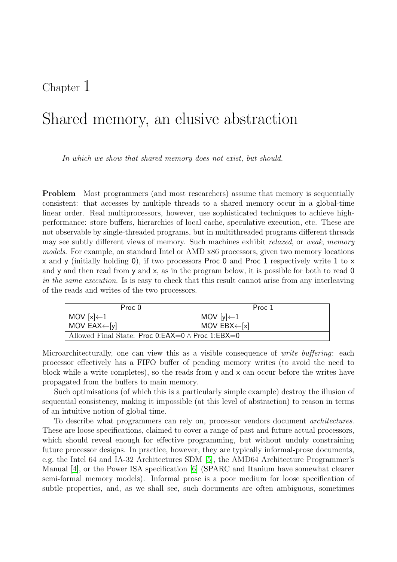# <span id="page-8-0"></span>Chapter 1

# Shared memory, an elusive abstraction

In which we show that shared memory does not exist, but should.

**Problem** Most programmers (and most researchers) assume that memory is sequentially consistent: that accesses by multiple threads to a shared memory occur in a global-time linear order. Real multiprocessors, however, use sophisticated techniques to achieve highperformance: store buffers, hierarchies of local cache, speculative execution, etc. These are not observable by single-threaded programs, but in multithreaded programs different threads may see subtly different views of memory. Such machines exhibit *relaxed*, or weak, memory models. For example, on standard Intel or AMD x86 processors, given two memory locations x and y (initially holding 0), if two processors **Proc 0** and **Proc 1** respectively write 1 to x and  $\gamma$  and then read from  $\gamma$  and  $\chi$ , as in the program below, it is possible for both to read 0 in the same execution. Is is easy to check that this result cannot arise from any interleaving of the reads and writes of the two processors.

| Proc 0                                                  | Proc 1                   |
|---------------------------------------------------------|--------------------------|
| MOV [x] $\leftarrow$ 1                                  | MOV [y] $\leftarrow$ 1   |
| MOV $EAX \leftarrow [y]$                                | MOV $EBX \leftarrow [x]$ |
| Allowed Final State: Proc $0:EAX=0 \wedge Proc 1:EBX=0$ |                          |

Microarchitecturally, one can view this as a visible consequence of *write buffering*: each processor effectively has a FIFO buffer of pending memory writes (to avoid the need to block while a write completes), so the reads from y and x can occur before the writes have propagated from the buffers to main memory.

Such optimisations (of which this is a particularly simple example) destroy the illusion of sequential consistency, making it impossible (at this level of abstraction) to reason in terms of an intuitive notion of global time.

To describe what programmers can rely on, processor vendors document architectures. These are loose specifications, claimed to cover a range of past and future actual processors, which should reveal enough for effective programming, but without unduly constraining future processor designs. In practice, however, they are typically informal-prose documents, e.g. the Intel 64 and IA-32 Architectures SDM [\[5\]](#page-66-2), the AMD64 Architecture Programmer's Manual [\[4\]](#page-66-3), or the Power ISA specification [\[6\]](#page-66-4) (SPARC and Itanium have somewhat clearer semi-formal memory models). Informal prose is a poor medium for loose specification of subtle properties, and, as we shall see, such documents are often ambiguous, sometimes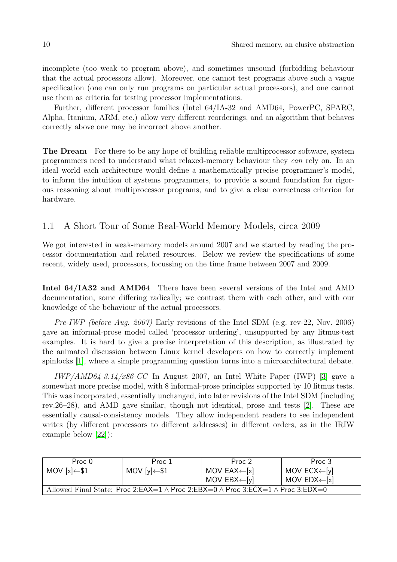incomplete (too weak to program above), and sometimes unsound (forbidding behaviour that the actual processors allow). Moreover, one cannot test programs above such a vague specification (one can only run programs on particular actual processors), and one cannot use them as criteria for testing processor implementations.

Further, different processor families (Intel 64/IA-32 and AMD64, PowerPC, SPARC, Alpha, Itanium, ARM, etc.) allow very different reorderings, and an algorithm that behaves correctly above one may be incorrect above another.

The Dream For there to be any hope of building reliable multiprocessor software, system programmers need to understand what relaxed-memory behaviour they can rely on. In an ideal world each architecture would define a mathematically precise programmer's model, to inform the intuition of systems programmers, to provide a sound foundation for rigorous reasoning about multiprocessor programs, and to give a clear correctness criterion for hardware.

## 1.1 A Short Tour of Some Real-World Memory Models, circa 2009

We got interested in weak-memory models around 2007 and we started by reading the processor documentation and related resources. Below we review the specifications of some recent, widely used, processors, focussing on the time frame between 2007 and 2009.

Intel 64/IA32 and AMD64 There have been several versions of the Intel and AMD documentation, some differing radically; we contrast them with each other, and with our knowledge of the behaviour of the actual processors.

Pre-IWP (before Aug. 2007) Early revisions of the Intel SDM (e.g. rev-22, Nov. 2006) gave an informal-prose model called 'processor ordering', unsupported by any litmus-test examples. It is hard to give a precise interpretation of this description, as illustrated by the animated discussion between Linux kernel developers on how to correctly implement spinlocks [\[1\]](#page-66-5), where a simple programming question turns into a microarchitectural debate.

 $IWP/AMD64-3.14/x86-CC$  In August 2007, an Intel White Paper (IWP) [\[3\]](#page-66-6) gave a somewhat more precise model, with 8 informal-prose principles supported by 10 litmus tests. This was incorporated, essentially unchanged, into later revisions of the Intel SDM (including rev.26–28), and AMD gave similar, though not identical, prose and tests [\[2\]](#page-66-7). These are essentially causal-consistency models. They allow independent readers to see independent writes (by different processors to different addresses) in different orders, as in the IRIW example below [\[22\]](#page-67-1)):

| Proc $0$                                                                                         | Proc 1                   | Proc 2                           | Proc 3                   |
|--------------------------------------------------------------------------------------------------|--------------------------|----------------------------------|--------------------------|
| MOV [x] $\leftarrow$ \$1                                                                         | MOV [y] $\leftarrow$ \$1 | MOV $EAX \leftarrow [x]$         | MOV $ECX \leftarrow [y]$ |
|                                                                                                  |                          | $\vert$ MOV EBX $\leftarrow$ [y] | MOV $EDX \leftarrow [x]$ |
| Allowed Final State: Proc 2:EAX=1 $\land$ Proc 2:EBX=0 $\land$ Proc 3:ECX=1 $\land$ Proc 3:EDX=0 |                          |                                  |                          |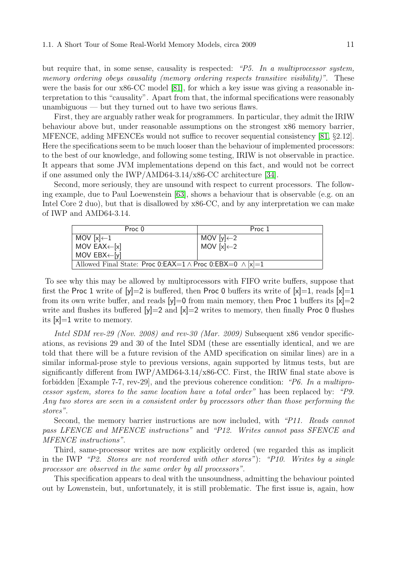but require that, in some sense, causality is respected: " $P5$ . In a multiprocessor system, memory ordering obeys causality (memory ordering respects transitive visibility)". These were the basis for our x86-CC model [\[81\]](#page-70-0), for which a key issue was giving a reasonable interpretation to this "causality". Apart from that, the informal specifications were reasonably unambiguous — but they turned out to have two serious flaws.

First, they are arguably rather weak for programmers. In particular, they admit the IRIW behaviour above but, under reasonable assumptions on the strongest x86 memory barrier, MFENCE, adding MFENCEs would not suffice to recover sequential consistency [\[81,](#page-70-0) §2.12]. Here the specifications seem to be much looser than the behaviour of implemented processors: to the best of our knowledge, and following some testing, IRIW is not observable in practice. It appears that some JVM implementations depend on this fact, and would not be correct if one assumed only the IWP/AMD64-3.14/x86-CC architecture [\[34\]](#page-68-4).

Second, more seriously, they are unsound with respect to current processors. The following example, due to Paul Loewenstein [\[63\]](#page-69-5), shows a behaviour that is observable (e.g. on an Intel Core 2 duo), but that is disallowed by x86-CC, and by any interpretation we can make of IWP and AMD64-3.14.

| Proc 0                                                               | Proc 1                 |  |
|----------------------------------------------------------------------|------------------------|--|
| MOV $[x] \leftarrow 1$                                               | MOV [y] $\leftarrow$ 2 |  |
| MOV $EAX \leftarrow [x]$                                             | MOV $[x] \leftarrow 2$ |  |
| MOV $EBX \leftarrow [y]$                                             |                        |  |
| Allowed Final State: Proc 0:EAX=1 $\land$ Proc 0:EBX=0 $\land$ [x]=1 |                        |  |

To see why this may be allowed by multiprocessors with FIFO write buffers, suppose that first the Proc 1 write of  $[y]=2$  is buffered, then Proc 0 buffers its write of  $[x]=1$ , reads  $[x]=1$ from its own write buffer, and reads  $[y]=0$  from main memory, then Proc 1 buffers its  $[x]=2$ write and flushes its buffered  $[y]=2$  and  $[x]=2$  writes to memory, then finally Proc 0 flushes its [x]=1 write to memory.

Intel SDM rev-29 (Nov. 2008) and rev-30 (Mar. 2009) Subsequent x86 vendor specifications, as revisions 29 and 30 of the Intel SDM (these are essentially identical, and we are told that there will be a future revision of the AMD specification on similar lines) are in a similar informal-prose style to previous versions, again supported by litmus tests, but are significantly different from  $IWP/AMD64-3.14/x86-CC$ . First, the IRIW final state above is forbidden [Example 7-7, rev-29], and the previous coherence condition: "P6. In a multiprocessor system, stores to the same location have a total order" has been replaced by: "P9. Any two stores are seen in a consistent order by processors other than those performing the stores".

Second, the memory barrier instructions are now included, with "P11. Reads cannot pass LFENCE and MFENCE instructions" and "P12. Writes cannot pass SFENCE and MFENCE instructions".

Third, same-processor writes are now explicitly ordered (we regarded this as implicit in the IWP  $P2.$  Stores are not reordered with other stores"): "P10. Writes by a single processor are observed in the same order by all processors".

This specification appears to deal with the unsoundness, admitting the behaviour pointed out by Lowenstein, but, unfortunately, it is still problematic. The first issue is, again, how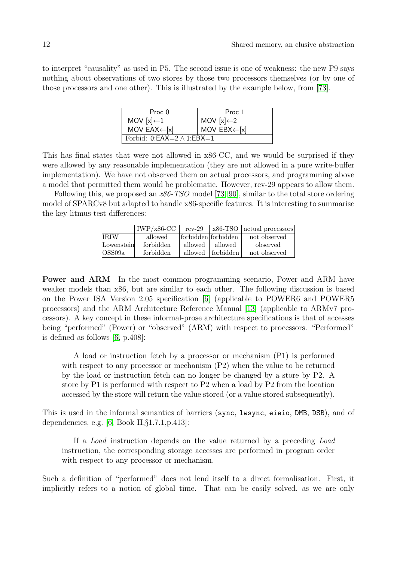to interpret "causality" as used in P5. The second issue is one of weakness: the new P9 says nothing about observations of two stores by those two processors themselves (or by one of those processors and one other). This is illustrated by the example below, from [\[73\]](#page-70-6).

| Proc 0                               | Proc 1                   |
|--------------------------------------|--------------------------|
| MOV $[x] \leftarrow 1$               | MOV $[x] \leftarrow 2$   |
| MOV $EAX \leftarrow [x]$             | MOV $ESX \leftarrow [x]$ |
| Forbid: $0:EAX = 2 \wedge 1:EBX = 1$ |                          |

This has final states that were not allowed in x86-CC, and we would be surprised if they were allowed by any reasonable implementation (they are not allowed in a pure write-buffer implementation). We have not observed them on actual processors, and programming above a model that permitted them would be problematic. However, rev-29 appears to allow them.

Following this, we proposed an  $x86-TSO$  model [\[73,](#page-70-6) [90\]](#page-71-4), similar to the total store ordering model of SPARCv8 but adapted to handle x86-specific features. It is interesting to summarise the key litmus-test differences:

|             | $IWP/x86-CC$ | $rev-29$ |                     | $\vert$ x86-TSO $\vert$ actual processors |
|-------------|--------------|----------|---------------------|-------------------------------------------|
| <b>IRIW</b> | allowed      |          | forbidden forbidden | not observed                              |
| Lowenstein  | forbidden    |          | allowed allowed     | observed                                  |
| OSS09a      | forbidden    |          | allowed forbidden   | not observed                              |

**Power and ARM** In the most common programming scenario, Power and ARM have weaker models than x86, but are similar to each other. The following discussion is based on the Power ISA Version 2.05 specification [\[6\]](#page-66-4) (applicable to POWER6 and POWER5 processors) and the ARM Architecture Reference Manual [\[13\]](#page-66-8) (applicable to ARMv7 processors). A key concept in these informal-prose architecture specifications is that of accesses being "performed" (Power) or "observed" (ARM) with respect to processors. "Performed" is defined as follows [\[6,](#page-66-4) p.408]:

A load or instruction fetch by a processor or mechanism (P1) is performed with respect to any processor or mechanism  $(P2)$  when the value to be returned by the load or instruction fetch can no longer be changed by a store by P2. A store by P1 is performed with respect to P2 when a load by P2 from the location accessed by the store will return the value stored (or a value stored subsequently).

This is used in the informal semantics of barriers (sync, lwsync, eieio, DMB, DSB), and of dependencies, e.g. [\[6,](#page-66-4) Book II,§1.7.1,p.413]:

If a Load instruction depends on the value returned by a preceding Load instruction, the corresponding storage accesses are performed in program order with respect to any processor or mechanism.

Such a definition of "performed" does not lend itself to a direct formalisation. First, it implicitly refers to a notion of global time. That can be easily solved, as we are only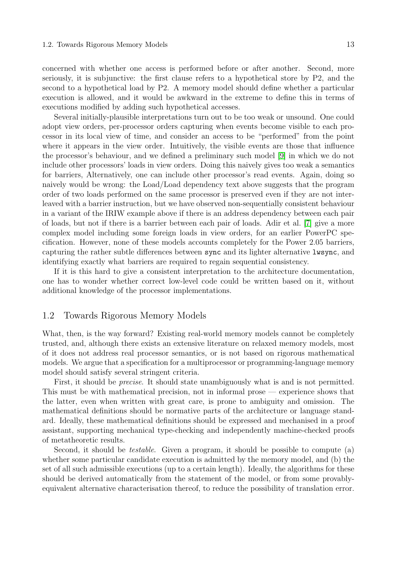#### 1.2. Towards Rigorous Memory Models 13

concerned with whether one access is performed before or after another. Second, more seriously, it is subjunctive: the first clause refers to a hypothetical store by P2, and the second to a hypothetical load by P2. A memory model should define whether a particular execution is allowed, and it would be awkward in the extreme to define this in terms of executions modified by adding such hypothetical accesses.

Several initially-plausible interpretations turn out to be too weak or unsound. One could adopt view orders, per-processor orders capturing when events become visible to each processor in its local view of time, and consider an access to be "performed" from the point where it appears in the view order. Intuitively, the visible events are those that influence the processor's behaviour, and we defined a preliminary such model [\[9\]](#page-66-1) in which we do not include other processors' loads in view orders. Doing this naively gives too weak a semantics for barriers, Alternatively, one can include other processor's read events. Again, doing so naively would be wrong: the Load/Load dependency text above suggests that the program order of two loads performed on the same processor is preserved even if they are not interleaved with a barrier instruction, but we have observed non-sequentially consistent behaviour in a variant of the IRIW example above if there is an address dependency between each pair of loads, but not if there is a barrier between each pair of loads. Adir et al. [\[7\]](#page-66-9) give a more complex model including some foreign loads in view orders, for an earlier PowerPC specification. However, none of these models accounts completely for the Power 2.05 barriers, capturing the rather subtle differences between sync and its lighter alternative lwsync, and identifying exactly what barriers are required to regain sequential consistency.

If it is this hard to give a consistent interpretation to the architecture documentation, one has to wonder whether correct low-level code could be written based on it, without additional knowledge of the processor implementations.

## 1.2 Towards Rigorous Memory Models

What, then, is the way forward? Existing real-world memory models cannot be completely trusted, and, although there exists an extensive literature on relaxed memory models, most of it does not address real processor semantics, or is not based on rigorous mathematical models. We argue that a specification for a multiprocessor or programming-language memory model should satisfy several stringent criteria.

First, it should be *precise*. It should state unambiguously what is and is not permitted. This must be with mathematical precision, not in informal prose — experience shows that the latter, even when written with great care, is prone to ambiguity and omission. The mathematical definitions should be normative parts of the architecture or language standard. Ideally, these mathematical definitions should be expressed and mechanised in a proof assistant, supporting mechanical type-checking and independently machine-checked proofs of metatheoretic results.

Second, it should be testable. Given a program, it should be possible to compute (a) whether some particular candidate execution is admitted by the memory model, and (b) the set of all such admissible executions (up to a certain length). Ideally, the algorithms for these should be derived automatically from the statement of the model, or from some provablyequivalent alternative characterisation thereof, to reduce the possibility of translation error.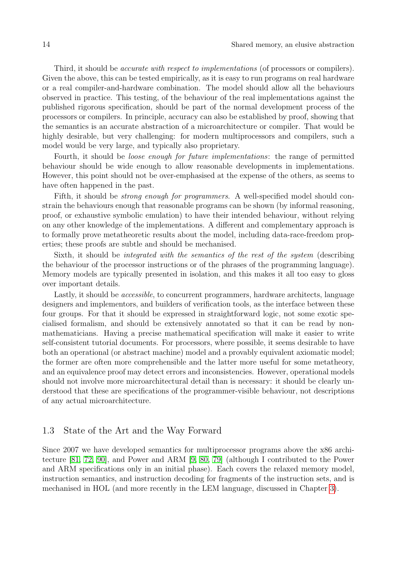Third, it should be *accurate with respect to implementations* (of processors or compilers). Given the above, this can be tested empirically, as it is easy to run programs on real hardware or a real compiler-and-hardware combination. The model should allow all the behaviours observed in practice. This testing, of the behaviour of the real implementations against the published rigorous specification, should be part of the normal development process of the processors or compilers. In principle, accuracy can also be established by proof, showing that the semantics is an accurate abstraction of a microarchitecture or compiler. That would be highly desirable, but very challenging: for modern multiprocessors and compilers, such a model would be very large, and typically also proprietary.

Fourth, it should be loose enough for future implementations: the range of permitted behaviour should be wide enough to allow reasonable developments in implementations. However, this point should not be over-emphasised at the expense of the others, as seems to have often happened in the past.

Fifth, it should be strong enough for programmers. A well-specified model should constrain the behaviours enough that reasonable programs can be shown (by informal reasoning, proof, or exhaustive symbolic emulation) to have their intended behaviour, without relying on any other knowledge of the implementations. A different and complementary approach is to formally prove metatheoretic results about the model, including data-race-freedom properties; these proofs are subtle and should be mechanised.

Sixth, it should be integrated with the semantics of the rest of the system (describing the behaviour of the processor instructions or of the phrases of the programming language). Memory models are typically presented in isolation, and this makes it all too easy to gloss over important details.

Lastly, it should be *accessible*, to concurrent programmers, hardware architects, language designers and implementors, and builders of verification tools, as the interface between these four groups. For that it should be expressed in straightforward logic, not some exotic specialised formalism, and should be extensively annotated so that it can be read by nonmathematicians. Having a precise mathematical specification will make it easier to write self-consistent tutorial documents. For processors, where possible, it seems desirable to have both an operational (or abstract machine) model and a provably equivalent axiomatic model; the former are often more comprehensible and the latter more useful for some metatheory, and an equivalence proof may detect errors and inconsistencies. However, operational models should not involve more microarchitectural detail than is necessary: it should be clearly understood that these are specifications of the programmer-visible behaviour, not descriptions of any actual microarchitecture.

## 1.3 State of the Art and the Way Forward

Since 2007 we have developed semantics for multiprocessor programs above the x86 architecture [\[81,](#page-70-0) [72,](#page-70-1) [90\]](#page-71-4), and Power and ARM [\[9,](#page-66-1) [80,](#page-70-2) [79\]](#page-70-3) (although I contributed to the Power and ARM specifications only in an initial phase). Each covers the relaxed memory model, instruction semantics, and instruction decoding for fragments of the instruction sets, and is mechanised in HOL (and more recently in the LEM language, discussed in Chapter [3\)](#page-40-0).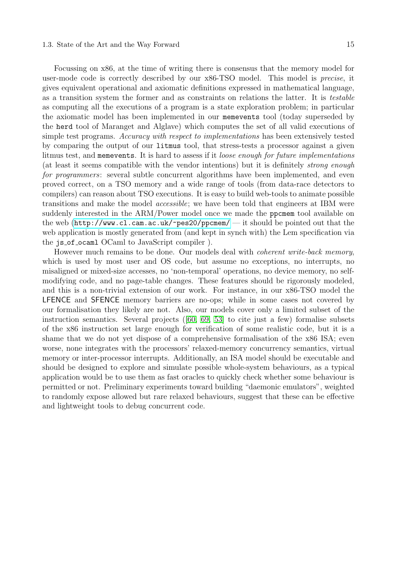Focussing on x86, at the time of writing there is consensus that the memory model for user-mode code is correctly described by our x86-TSO model. This model is precise, it gives equivalent operational and axiomatic definitions expressed in mathematical language, as a transition system the former and as constraints on relations the latter. It is testable as computing all the executions of a program is a state exploration problem; in particular the axiomatic model has been implemented in our memevents tool (today superseded by the herd tool of Maranget and Alglave) which computes the set of all valid executions of simple test programs. Accuracy with respect to implementations has been extensively tested by comparing the output of our litmus tool, that stress-tests a processor against a given litmus test, and memevents. It is hard to assess if it *loose enough for future implementations* (at least it seems compatible with the vendor intentions) but it is definitely strong enough for programmers: several subtle concurrent algorithms have been implemented, and even proved correct, on a TSO memory and a wide range of tools (from data-race detectors to compilers) can reason about TSO executions. It is easy to build web-tools to animate possible transitions and make the model *accessible*; we have been told that engineers at IBM were suddenly interested in the ARM/Power model once we made the ppcmem tool available on the web (<http://www.cl.cam.ac.uk/~pes20/ppcmem/> — it should be pointed out that the web application is mostly generated from (and kept in synch with) the Lem specification via the js\_of\_ocaml OCaml to JavaScript compiler).

However much remains to be done. Our models deal with *coherent write-back memory*, which is used by most user and OS code, but assume no exceptions, no interrupts, no misaligned or mixed-size accesses, no 'non-temporal' operations, no device memory, no selfmodifying code, and no page-table changes. These features should be rigorously modeled, and this is a non-trivial extension of our work. For instance, in our x86-TSO model the LFENCE and SFENCE memory barriers are no-ops; while in some cases not covered by our formalisation they likely are not. Also, our models cover only a limited subset of the instruction semantics. Several projects([\[60,](#page-69-2) [69,](#page-69-6) [53\]](#page-69-7) to cite just a few) formalise subsets of the x86 instruction set large enough for verification of some realistic code, but it is a shame that we do not yet dispose of a comprehensive formalisation of the x86 ISA; even worse, none integrates with the processors' relaxed-memory concurrency semantics, virtual memory or inter-processor interrupts. Additionally, an ISA model should be executable and should be designed to explore and simulate possible whole-system behaviours, as a typical application would be to use them as fast oracles to quickly check whether some behaviour is permitted or not. Preliminary experiments toward building "daemonic emulators", weighted to randomly expose allowed but rare relaxed behaviours, suggest that these can be effective and lightweight tools to debug concurrent code.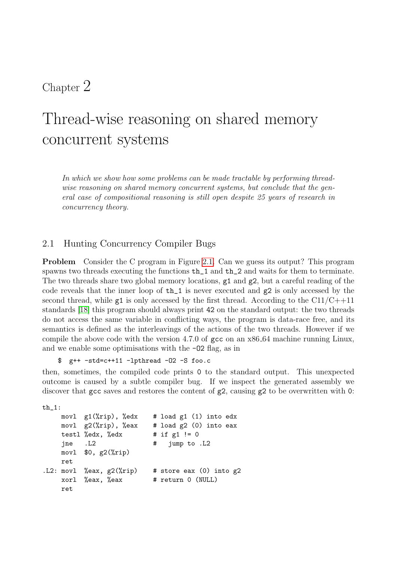# <span id="page-16-0"></span>Chapter 2

# Thread-wise reasoning on shared memory concurrent systems

In which we show how some problems can be made tractable by performing threadwise reasoning on shared memory concurrent systems, but conclude that the general case of compositional reasoning is still open despite 25 years of research in concurrency theory.

## 2.1 Hunting Concurrency Compiler Bugs

**Problem** Consider the C program in Figure [2.1.](#page-17-0) Can we guess its output? This program spawns two threads executing the functions  $th_1$  and  $th_2$  and waits for them to terminate. The two threads share two global memory locations, g1 and g2, but a careful reading of the code reveals that the inner loop of th\_1 is never executed and g2 is only accessed by the second thread, while  $g1$  is only accessed by the first thread. According to the  $C11/C++11$ standards [\[18\]](#page-67-2) this program should always print 42 on the standard output: the two threads do not access the same variable in conflicting ways, the program is data-race free, and its semantics is defined as the interleavings of the actions of the two threads. However if we compile the above code with the version 4.7.0 of gcc on an x86 64 machine running Linux, and we enable some optimisations with the -O2 flag, as in

\$ g++ -std=c++11 -lpthread -O2 -S foo.c

then, sometimes, the compiled code prints 0 to the standard output. This unexpected outcome is caused by a subtle compiler bug. If we inspect the generated assembly we discover that gcc saves and restores the content of  $g2$ , causing  $g2$  to be overwritten with 0:

```
th_1:
    movl g1(%rip), %edx # load g1 (1) into edx
    movl g2(\text{kip}), %eax # load g2 (0) into eax
    testl %edx, %edx # if g1 != 0
    jne .L2   # jump to .L2
    movl $0, g2(%rip)
    ret
.L2: movl %eax, g2(%rip) # store eax (0) into g2xorl %eax, %eax # return 0 (NULL)
    ret
```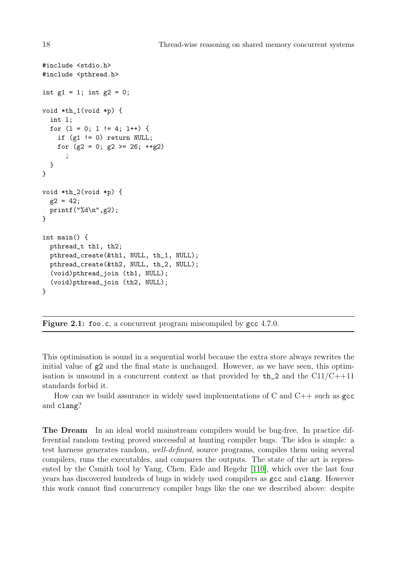```
#include <stdio.h>
#include <pthread.h>
int g1 = 1; int g2 = 0;
void *th_1(void *p) {
  int l;
 for (1 = 0; 1 != 4; 1++) {
    if (g1 != 0) return NULL;
    for (g2 = 0; g2 \ge 26; ++g2);
 }
}
void *th_2(void *p) {
 g2 = 42;printf("%d\n",g2);
}
int main() {
 pthread_t th1, th2;
 pthread_create(&th1, NULL, th_1, NULL);
 pthread_create(&th2, NULL, th_2, NULL);
  (void)pthread_join (th1, NULL);
  (void)pthread_join (th2, NULL);
}
```
<span id="page-17-0"></span>Figure 2.1: foo.c, a concurrent program miscompiled by gcc 4.7.0.

This optimisation is sound in a sequential world because the extra store always rewrites the initial value of  $g_2$  and the final state is unchanged. However, as we have seen, this optimisation is unsound in a concurrent context as that provided by  $th_2$  and the C11/C++11 standards forbid it.

How can we build assurance in widely used implementations of C and  $C++$  such as  $\gcd$ and clang?

The Dream In an ideal world mainstream compilers would be bug-free. In practice differential random testing proved successful at hunting compiler bugs. The idea is simple: a test harness generates random, well-defined, source programs, compiles them using several compilers, runs the executables, and compares the outputs. The state of the art is represented by the Csmith tool by Yang, Chen, Eide and Regehr [\[110\]](#page-72-1), which over the last four years has discovered hundreds of bugs in widely used compilers as gcc and clang. However this work cannot find concurrency compiler bugs like the one we described above: despite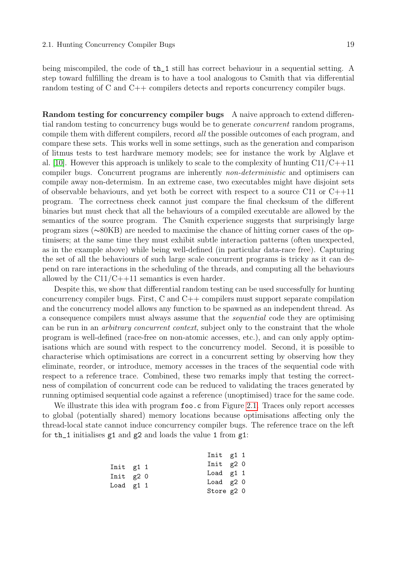### 2.1. Hunting Concurrency Compiler Bugs 19

being miscompiled, the code of th\_1 still has correct behaviour in a sequential setting. A step toward fulfilling the dream is to have a tool analogous to Csmith that via differential random testing of C and C++ compilers detects and reports concurrency compiler bugs.

Random testing for concurrency compiler bugs A naive approach to extend differential random testing to concurrency bugs would be to generate concurrent random programs, compile them with different compilers, record all the possible outcomes of each program, and compare these sets. This works well in some settings, such as the generation and comparison of litmus tests to test hardware memory models; see for instance the work by Alglave et al. [\[10\]](#page-66-10). However this approach is unlikely to scale to the complexity of hunting  $C11/C++11$ compiler bugs. Concurrent programs are inherently *non-deterministic* and optimisers can compile away non-determism. In an extreme case, two executables might have disjoint sets of observable behaviours, and yet both be correct with respect to a source  $C11$  or  $C++11$ program. The correctness check cannot just compare the final checksum of the different binaries but must check that all the behaviours of a compiled executable are allowed by the semantics of the source program. The Csmith experience suggests that surprisingly large program sizes (∼80KB) are needed to maximise the chance of hitting corner cases of the optimisers; at the same time they must exhibit subtle interaction patterns (often unexpected, as in the example above) while being well-defined (in particular data-race free). Capturing the set of all the behaviours of such large scale concurrent programs is tricky as it can depend on rare interactions in the scheduling of the threads, and computing all the behaviours allowed by the  $C11/C+11$  semantics is even harder.

Despite this, we show that differential random testing can be used successfully for hunting concurrency compiler bugs. First, C and C++ compilers must support separate compilation and the concurrency model allows any function to be spawned as an independent thread. As a consequence compilers must always assume that the *sequential* code they are optimising can be run in an *arbitrary concurrent context*, subject only to the constraint that the whole program is well-defined (race-free on non-atomic accesses, etc.), and can only apply optimisations which are sound with respect to the concurrency model. Second, it is possible to characterise which optimisations are correct in a concurrent setting by observing how they eliminate, reorder, or introduce, memory accesses in the traces of the sequential code with respect to a reference trace. Combined, these two remarks imply that testing the correctness of compilation of concurrent code can be reduced to validating the traces generated by running optimised sequential code against a reference (unoptimised) trace for the same code.

We illustrate this idea with program foo.c from Figure [2.1.](#page-17-0) Traces only report accesses to global (potentially shared) memory locations because optimisations affecting only the thread-local state cannot induce concurrency compiler bugs. The reference trace on the left for  $th_1$  initialises  $g_1$  and  $g_2$  and loads the value 1 from  $g_1$ :

|             | Init g1 1   |  |
|-------------|-------------|--|
| Init g1 1   | Init $g2$ 0 |  |
| Init $g2$ 0 | Load $g11$  |  |
| Load $g11$  | Load $g2$ 0 |  |
|             | Store g2 0  |  |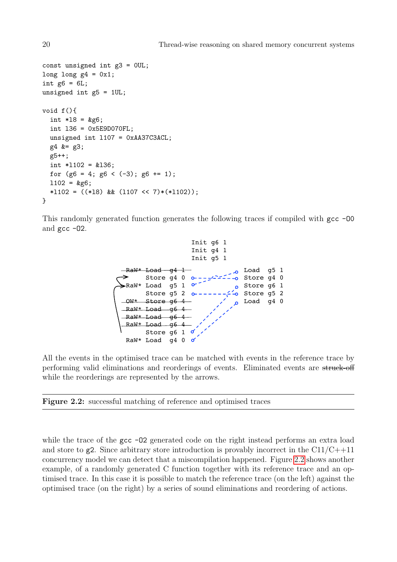```
const unsigned int g3 = 0UL;
long long g4 = 0x1;
int g6 = 6L;
unsigned int g5 = 1UL;
void f(){
  int *18 = kg6;int l36 = 0x5E9D070FL;
 unsigned int l107 = 0xAA37C3ACL;
 g4 &= g3;
 g5++;
 int *l102 = &l36;
 for (g6 = 4; g6 < (-3); g6 += 1);1102 = \&g6;*1102 = ((*18) & (1107 << 7) * (*1102));}
```
This randomly generated function generates the following traces if compiled with gcc -00 and  $\gcd$  -02.



All the events in the optimised trace can be matched with events in the reference trace by performing valid eliminations and reorderings of events. Eliminated events are struck-off while the reorderings are represented by the arrows.

<span id="page-19-0"></span>Figure 2.2: successful matching of reference and optimised traces

while the trace of the gcc  $-02$  generated code on the right instead performs an extra load and store to  $g2$ . Since arbitrary store introduction is provably incorrect in the C11/C++11 concurrency model we can detect that a miscompilation happened. Figure [2.2](#page-19-0) shows another example, of a randomly generated C function together with its reference trace and an optimised trace. In this case it is possible to match the reference trace (on the left) against the optimised trace (on the right) by a series of sound eliminations and reordering of actions.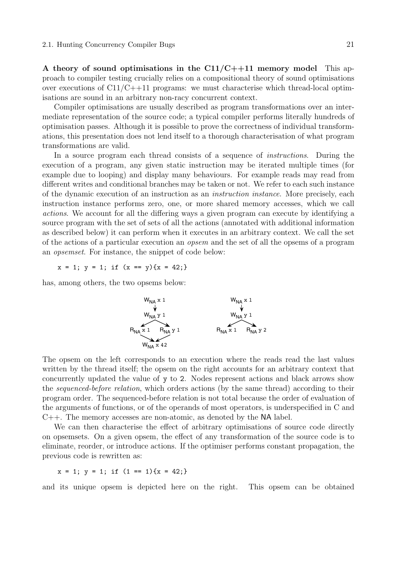A theory of sound optimisations in the  $C11/C+11$  memory model This approach to compiler testing crucially relies on a compositional theory of sound optimisations over executions of  $C11/C+11$  programs: we must characterise which thread-local optimisations are sound in an arbitrary non-racy concurrent context.

Compiler optimisations are usually described as program transformations over an intermediate representation of the source code; a typical compiler performs literally hundreds of optimisation passes. Although it is possible to prove the correctness of individual transformations, this presentation does not lend itself to a thorough characterisation of what program transformations are valid.

In a source program each thread consists of a sequence of instructions. During the execution of a program, any given static instruction may be iterated multiple times (for example due to looping) and display many behaviours. For example reads may read from different writes and conditional branches may be taken or not. We refer to each such instance of the dynamic execution of an instruction as an instruction instance. More precisely, each instruction instance performs zero, one, or more shared memory accesses, which we call actions. We account for all the differing ways a given program can execute by identifying a source program with the set of sets of all the actions (annotated with additional information as described below) it can perform when it executes in an arbitrary context. We call the set of the actions of a particular execution an opsem and the set of all the opsems of a program an opsemset. For instance, the snippet of code below:

 $x = 1$ ;  $y = 1$ ; if  $(x == y)$  { $x = 42$ ;}

has, among others, the two opsems below:



The opsem on the left corresponds to an execution where the reads read the last values written by the thread itself; the opsem on the right accounts for an arbitrary context that concurrently updated the value of y to 2. Nodes represent actions and black arrows show the sequenced-before relation, which orders actions (by the same thread) according to their program order. The sequenced-before relation is not total because the order of evaluation of the arguments of functions, or of the operands of most operators, is underspecified in C and C++. The memory accesses are non-atomic, as denoted by the NA label.

We can then characterise the effect of arbitrary optimisations of source code directly on opsemsets. On a given opsem, the effect of any transformation of the source code is to eliminate, reorder, or introduce actions. If the optimiser performs constant propagation, the previous code is rewritten as:

 $x = 1$ ;  $y = 1$ ; if  $(1 == 1){x = 42}$ ;

and its unique opsem is depicted here on the right. This opsem can be obtained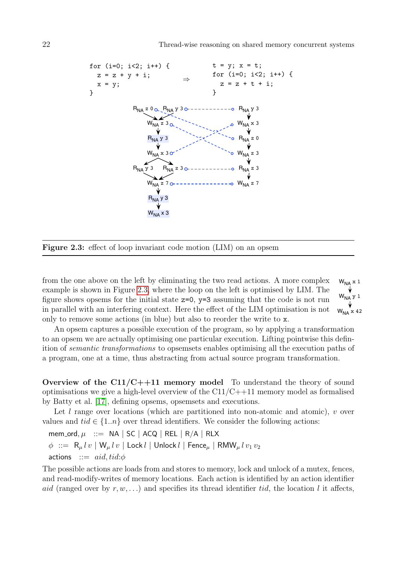

<span id="page-21-0"></span>Figure 2.3: effect of loop invariant code motion (LIM) on an opsem

 $W_{NA}$  x 1  $W_{NA}$  y 1  $W<sub>NA</sub>$  x 42 from the one above on the left by eliminating the two read actions. A more complex example is shown in Figure [2.3,](#page-21-0) where the loop on the left is optimised by LIM. The figure shows opsems for the initial state  $z=0$ ,  $y=3$  assuming that the code is not run in parallel with an interfering context. Here the effect of the LIM optimisation is not only to remove some actions (in blue) but also to reorder the write to x.

An opsem captures a possible execution of the program, so by applying a transformation to an opsem we are actually optimising one particular execution. Lifting pointwise this definition of semantic transformations to opsemsets enables optimising all the execution paths of a program, one at a time, thus abstracting from actual source program transformation.

Overview of the  $C11/C+11$  memory model To understand the theory of sound optimisations we give a high-level overview of the  $C11/C+11$  memory model as formalised by Batty et al. [\[17\]](#page-67-3), defining opsems, opsemsets and executions.

Let  $l$  range over locations (which are partitioned into non-atomic and atomic),  $v$  over values and  $tid \in \{1..n\}$  over thread identifiers. We consider the following actions:

mem\_ord,  $\mu$  ::= NA | SC | ACQ | REL | R/A | RLX  $\phi \ ::= \ {\sf R}_\mu \, l \, v \mid {\sf W}_\mu \, l \, v \mid {\sf Lock} \, l \mid {\sf Unlock} \, l \mid {\sf Fence}_\mu \mid {\sf RMW}_\mu \, l \, v_1 \, v_2$ actions  $::= \text{aid}, \text{tid:}\phi$ 

The possible actions are loads from and stores to memory, lock and unlock of a mutex, fences, and read-modify-writes of memory locations. Each action is identified by an action identifier aid (ranged over by  $r, w, \ldots$ ) and specifies its thread identifier tid, the location l it affects,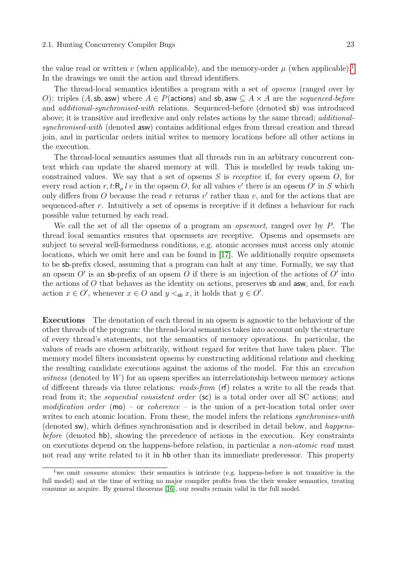the value read or written v (when applicable), and the memory-order  $\mu$  (when applicable).<sup>[1](#page-22-0)</sup> In the drawings we omit the action and thread identifiers.

The thread-local semantics identifies a program with a set of *opsems* (ranged over by O): triples (A, sb, asw) where  $A \in P$ (actions) and sb, asw  $\subseteq A \times A$  are the sequenced-before and additional-synchronised-with relations. Sequenced-before (denoted sb) was introduced above; it is transitive and irreflexive and only relates actions by the same thread; *additional*synchronised-with (denoted asw) contains additional edges from thread creation and thread join, and in particular orders initial writes to memory locations before all other actions in the execution.

The thread-local semantics assumes that all threads run in an arbitrary concurrent context which can update the shared memory at will. This is modelled by reads taking unconstrained values. We say that a set of opsems  $S$  is *receptive* if, for every opsem  $O$ , for every read action  $r, t: \mathsf{R}_{\mu} \, l \, v$  in the opsem O, for all values  $v'$  there is an opsem O' in S which only differs from O because the read r returns  $v'$  rather than  $v$ , and for the actions that are sequenced-after  $r$ . Intuitively a set of opsems is receptive if it defines a behaviour for each possible value returned by each read.

We call the set of all the opsems of a program an *opsemset*, ranged over by  $P$ . The thread local semantics ensures that opsemsets are receptive. Opsems and opsemsets are subject to several well-formedness conditions, e.g. atomic accesses must access only atomic locations, which we omit here and can be found in [\[17\]](#page-67-3). We additionally require opsemsets to be sb-prefix closed, assuming that a program can halt at any time. Formally, we say that an opsem  $O'$  is an sb-prefix of an opsem  $O$  if there is an injection of the actions of  $O'$  into the actions of  $O$  that behaves as the identity on actions, preserves sb and asw, and, for each action  $x \in O'$ , whenever  $x \in O$  and  $y \lt_{\text{sb}} x$ , it holds that  $y \in O'$ .

Executions The denotation of each thread in an opsem is agnostic to the behaviour of the other threads of the program: the thread-local semantics takes into account only the structure of every thread's statements, not the semantics of memory operations. In particular, the values of reads are chosen arbitrarily, without regard for writes that have taken place. The memory model filters inconsistent opsems by constructing additional relations and checking the resulting candidate executions against the axioms of the model. For this an execution witness (denoted by  $W$ ) for an opsem specifies an interrelationship between memory actions of different threads via three relations: reads-from  $(rf)$  relates a write to all the reads that read from it; the *sequential consistent order* (sc) is a total order over all SC actions; and modification order (mo) – or coherence – is the union of a per-location total order over writes to each atomic location. From these, the model infers the relations *synchronises-with* (denoted sw), which defines synchronisation and is described in detail below, and happensbefore (denoted hb), showing the precedence of actions in the execution. Key constraints on executions depend on the happens-before relation, in particular a *non-atomic read* must not read any write related to it in hb other than its immediate predecessor. This property

<span id="page-22-0"></span><sup>&</sup>lt;sup>1</sup>we omit *consume* atomics: their semantics is intricate (e.g. happens-before is not transitive in the full model) and at the time of writing no major compiler profits from the their weaker semantics, treating consume as acquire. By general theorems [\[16\]](#page-67-4), our results remain valid in the full model.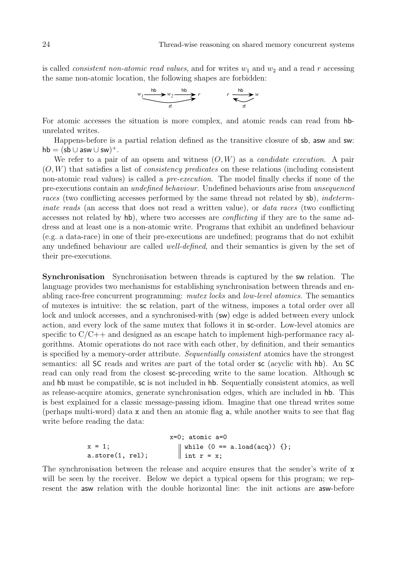is called *consistent non-atomic read values*, and for writes  $w_1$  and  $w_2$  and a read r accessing the same non-atomic location, the following shapes are forbidden:

$$
w_1 \xrightarrow{\text{hb}} w_2 \xrightarrow{\text{hb}} r \qquad r \xrightarrow{\text{hb}} w
$$

For atomic accesses the situation is more complex, and atomic reads can read from hbunrelated writes.

Happens-before is a partial relation defined as the transitive closure of sb, asw and sw:  $hb = (sb \cup asw \cup sw)^{+}.$ 

We refer to a pair of an opsem and witness  $(O, W)$  as a *candidate execution*. A pair  $(O, W)$  that satisfies a list of *consistency predicates* on these relations (including consistent non-atomic read values) is called a *pre-execution*. The model finally checks if none of the pre-executions contain an undefined behaviour. Undefined behaviours arise from unsequenced races (two conflicting accesses performed by the same thread not related by sb), *indeterm*inate reads (an access that does not read a written value), or data races (two conflicting accesses not related by hb), where two accesses are *conflicting* if they are to the same address and at least one is a non-atomic write. Programs that exhibit an undefined behaviour (e.g. a data-race) in one of their pre-executions are undefined; programs that do not exhibit any undefined behaviour are called *well-defined*, and their semantics is given by the set of their pre-executions.

Synchronisation Synchronisation between threads is captured by the sw relation. The language provides two mechanisms for establishing synchronisation between threads and enabling race-free concurrent programming: mutex locks and low-level atomics. The semantics of mutexes is intuitive: the sc relation, part of the witness, imposes a total order over all lock and unlock accesses, and a synchronised-with (sw) edge is added between every unlock action, and every lock of the same mutex that follows it in sc-order. Low-level atomics are specific to  $C/C++$  and designed as an escape hatch to implement high-performance racy algorithms. Atomic operations do not race with each other, by definition, and their semantics is specified by a memory-order attribute. Sequentially consistent atomics have the strongest semantics: all SC reads and writes are part of the total order sc (acyclic with hb). An SC read can only read from the closest sc-preceding write to the same location. Although sc and hb must be compatible, sc is not included in hb. Sequentially consistent atomics, as well as release-acquire atomics, generate synchronisation edges, which are included in hb. This is best explained for a classic message-passing idiom. Imagine that one thread writes some (perhaps multi-word) data x and then an atomic flag a, while another waits to see that flag write before reading the data:

$$
x=0; \text{ atomic } a=0
$$
\n
$$
x = 1;
$$
\n
$$
a. \text{store}(1, \text{ rel}); \qquad \qquad \begin{array}{c} \text{while } (0 == a.\text{load}(acq)) & \{\} ; \\ \text{int } r = x; \end{array}
$$

The synchronisation between the release and acquire ensures that the sender's write of x will be seen by the receiver. Below we depict a typical opsem for this program; we represent the asw relation with the double horizontal line: the init actions are asw-before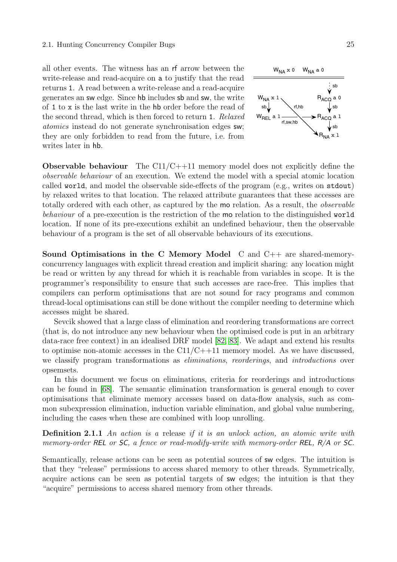### 2.1. Hunting Concurrency Compiler Bugs 25

all other events. The witness has an rf arrow between the write-release and read-acquire on a to justify that the read returns 1. A read between a write-release and a read-acquire generates an sw edge. Since hb includes sb and sw, the write of 1 to x is the last write in the hb order before the read of the second thread, which is then forced to return 1. Relaxed atomics instead do not generate synchronisation edges sw; they are only forbidden to read from the future, i.e. from writes later in hb.



**Observable behaviour** The  $C11/C+11$  memory model does not explicitly define the observable behaviour of an execution. We extend the model with a special atomic location called world, and model the observable side-effects of the program (e.g., writes on stdout) by relaxed writes to that location. The relaxed attribute guarantees that these accesses are totally ordered with each other, as captured by the mo relation. As a result, the observable behaviour of a pre-execution is the restriction of the mo relation to the distinguished world location. If none of its pre-executions exhibit an undefined behaviour, then the observable behaviour of a program is the set of all observable behaviours of its executions.

Sound Optimisations in the C Memory Model C and C++ are shared-memoryconcurrency languages with explicit thread creation and implicit sharing: any location might be read or written by any thread for which it is reachable from variables in scope. It is the programmer's responsibility to ensure that such accesses are race-free. This implies that compilers can perform optimisations that are not sound for racy programs and common thread-local optimisations can still be done without the compiler needing to determine which accesses might be shared.

Sevcik showed that a large class of elimination and reordering transformations are correct (that is, do not introduce any new behaviour when the optimised code is put in an arbitrary data-race free context) in an idealised DRF model [\[82,](#page-70-7) [83\]](#page-70-8). We adapt and extend his results to optimise non-atomic accesses in the  $C11/C+11$  memory model. As we have discussed, we classify program transformations as *eliminations*, reorderings, and *introductions* over opsemsets.

In this document we focus on eliminations, criteria for reorderings and introductions can be found in [\[68\]](#page-69-3). The semantic elimination transformation is general enough to cover optimisations that eliminate memory accesses based on data-flow analysis, such as common subexpression elimination, induction variable elimination, and global value numbering, including the cases when these are combined with loop unrolling.

**Definition 2.1.1** An action is a release if it is an unlock action, an atomic write with memory-order REL or SC, a fence or read-modify-write with memory-order REL, R/A or SC.

Semantically, release actions can be seen as potential sources of sw edges. The intuition is that they "release" permissions to access shared memory to other threads. Symmetrically, acquire actions can be seen as potential targets of sw edges; the intuition is that they "acquire" permissions to access shared memory from other threads.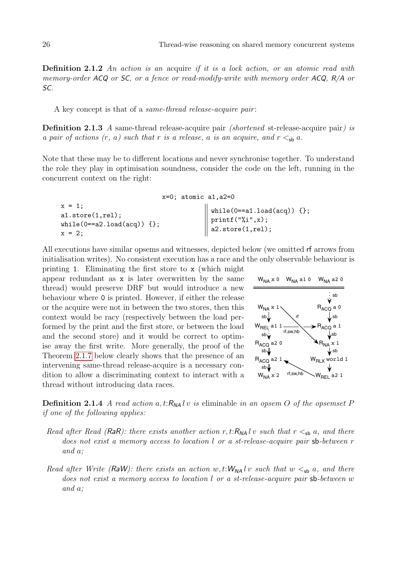**Definition 2.1.2** An action is an acquire if it is a lock action, or an atomic read with memory-order ACQ or SC, or a fence or read-modify-write with memory order ACQ, R/A or SC.

A key concept is that of a same-thread release-acquire pair :

**Definition 2.1.3** A same-thread release-acquire pair *(shortened st*-release-acquire pair) is a pair of actions  $(r, a)$  such that r is a release, a is an acquire, and  $r <_{\text{sh}} a$ .

Note that these may be to different locations and never synchronise together. To understand the role they play in optimisation soundness, consider the code on the left, running in the concurrent context on the right:

```
x=0; atomic a1, a2=0
x = 1;
a1.store(1,rel);
while(0 == a2.load(acq)) {};
x = 2:
                                           while (0 == a1.load(acq)) {};
                                           printf("%i",x);
                                           a2.store(1,rel);
```
All executions have similar opsems and witnesses, depicted below (we omitted rf arrows from initialisation writes). No consistent execution has a race and the only observable behaviour is

printing 1. Eliminating the first store to x (which might appear redundant as x is later overwritten by the same thread) would preserve DRF but would introduce a new behaviour where 0 is printed. However, if either the release or the acquire were not in between the two stores, then this context would be racy (respectively between the load performed by the print and the first store, or between the load and the second store) and it would be correct to optimise away the first write. More generally, the proof of the Theorem [2.1.7](#page-27-0) below clearly shows that the presence of an intervening same-thread release-acquire is a necessary condition to allow a discriminating context to interact with a thread without introducing data races.



**Definition 2.1.4** A read action a, t: $R_{NA}$  l v is eliminable in an opsem O of the opsemset P if one of the following applies:

- Read after Read (RaR): there exists another action r, t:  $R_{NA}$  l v such that  $r \leq_{sb} a$ , and there does not exist a memory access to location l or a st-release-acquire pair sb-between r and a;
- Read after Write (RaW): there exists an action w, t: $W_{NA}$  lv such that w  $\lt_{sb}$  a, and there does not exist a memory access to location l or a st-release-acquire pair  $\mathsf{sb}\text{-}between$  w and a;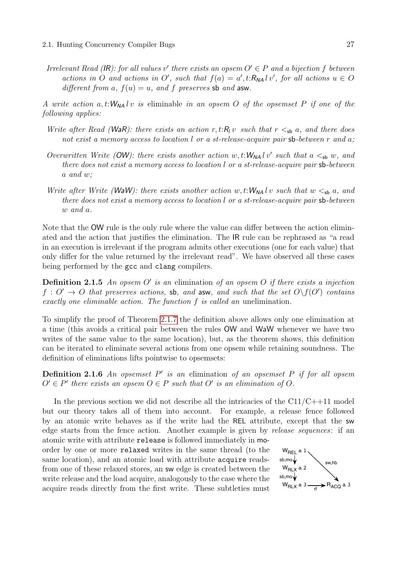Irrelevant Read (IR): for all values v' there exists an opsem  $O' \in P$  and a bijection f between actions in O and actions in O', such that  $f(a) = a'$ ,  $t:R_{NA} \, l \, v'$ , for all actions  $u \in O$ different from a,  $f(u) = u$ , and f preserves sb and asw.

A write action  $a, t: W_{NA} \, l \, v$  is eliminable in an opsem O of the opsemset P if one of the following applies:

- Write after Read (WaR): there exists an action r, t:  $R_l v$  such that  $r \leq_{sb} a$ , and there does not exist a memory access to location l or a st-release-acquire pair  $\mathsf{s}$ b-between r and a;
- Overwritten Write (OW): there exists another action w, t:  $W_{NA}$  l v' such that  $a <_{sb} w$ , and there does not exist a memory access to location l or a st-release-acquire pair sb-between a and w;
- Write after Write (WaW): there exists another action w, t:  $W_{NA}$  l v such that  $w <_{sb} a$ , and there does not exist a memory access to location l or a st-release-acquire pair sb-between w and a.

Note that the OW rule is the only rule where the value can differ between the action eliminated and the action that justifies the elimination. The IR rule can be rephrased as "a read in an execution is irrelevant if the program admits other executions (one for each value) that only differ for the value returned by the irrelevant read". We have observed all these cases being performed by the gcc and clang compilers.

**Definition 2.1.5** An opsem O' is an elimination of an opsem O if there exists a injection  $f: O' \to O$  that preserves actions, sb, and asw, and such that the set  $O \setminus f(O')$  contains exactly one eliminable action. The function f is called an unelimination.

To simplify the proof of Theorem [2.1.7](#page-27-0) the definition above allows only one elimination at a time (this avoids a critical pair between the rules OW and WaW whenever we have two writes of the same value to the same location), but, as the theorem shows, this definition can be iterated to eliminate several actions from one opsem while retaining soundness. The definition of eliminations lifts pointwise to opsemsets:

**Definition 2.1.6** An opsemset  $P'$  is an elimination of an opsemset  $P$  if for all opsem  $O' \in P'$  there exists an opsem  $O \in P$  such that  $O'$  is an elimination of  $O$ .

In the previous section we did not describe all the intricacies of the  $C11/C+11$  model but our theory takes all of them into account. For example, a release fence followed by an atomic write behaves as if the write had the REL attribute, except that the sw edge starts from the fence action. Another example is given by release sequences: if an atomic write with attribute release is followed immediately in mo-

order by one or more relaxed writes in the same thread (to the same location), and an atomic load with attribute acquire readsfrom one of these relaxed stores, an sw edge is created between the write release and the load acquire, analogously to the case where the acquire reads directly from the first write. These subtleties must

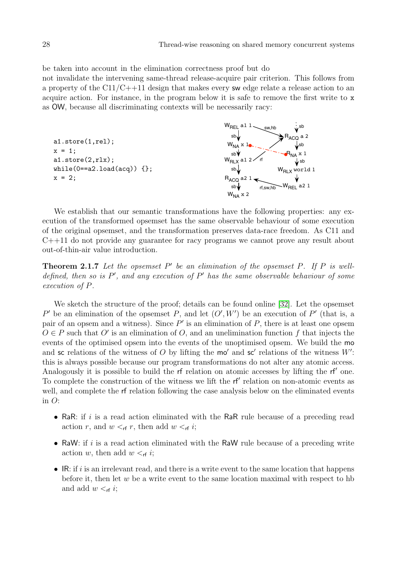be taken into account in the elimination correctness proof but do

not invalidate the intervening same-thread release-acquire pair criterion. This follows from a property of the  $C11/C++11$  design that makes every sw edge relate a release action to an acquire action. For instance, in the program below it is safe to remove the first write to x as OW, because all discriminating contexts will be necessarily racy:

```
a1.store(1,rel);
x = 1:
a1.store(2,rlx);
while(0 == a2.load(acq)) {};
x = 2;
```


We establish that our semantic transformations have the following properties: any execution of the transformed opsemset has the same observable behaviour of some execution of the original opsemset, and the transformation preserves data-race freedom. As C11 and  $C++11$  do not provide any guarantee for racy programs we cannot prove any result about out-of-thin-air value introduction.

<span id="page-27-0"></span>**Theorem 2.1.7** Let the opsemset  $P'$  be an elimination of the opsemset  $P$ . If  $P$  is welldefined, then so is  $P'$ , and any execution of  $P'$  has the same observable behaviour of some execution of P.

We sketch the structure of the proof; details can be found online [\[32\]](#page-67-5). Let the opsemset P' be an elimination of the opsemset P, and let  $(O', W')$  be an execution of P' (that is, a pair of an opsem and a witness). Since  $P'$  is an elimination of  $P$ , there is at least one opsem  $O \in P$  such that  $O'$  is an elimination of  $O$ , and an unelimination function f that injects the events of the optimised opsem into the events of the unoptimised opsem. We build the mo and sc relations of the witness of O by lifting the mo' and  $sc'$  relations of the witness  $W'$ : this is always possible because our program transformations do not alter any atomic access. Analogously it is possible to build the rf relation on atomic accesses by lifting the rf' one. To complete the construction of the witness we lift the  $rf'$  relation on non-atomic events as well, and complete the rf relation following the case analysis below on the eliminated events in  $O$ :

- RaR: if i is a read action eliminated with the RaR rule because of a preceding read action r, and  $w <_{\sf rf} r$ , then add  $w <_{\sf rf} i$ ;
- RaW: if  $i$  is a read action eliminated with the RaW rule because of a preceding write action w, then add  $w <_{\sf rf} i$ ;
- IR: if i is an irrelevant read, and there is a write event to the same location that happens before it, then let  $w$  be a write event to the same location maximal with respect to hb and add  $w <_{\sf rf} i$ ;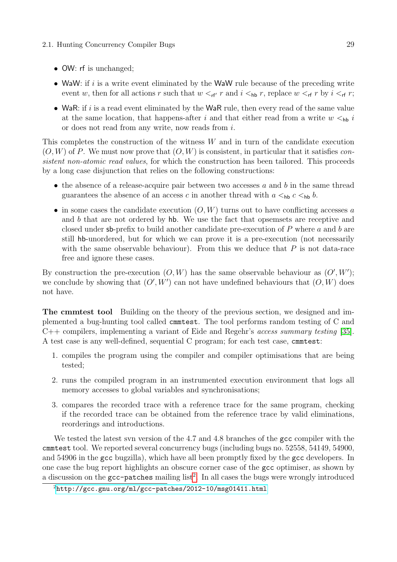## 2.1. Hunting Concurrency Compiler Bugs 29

- OW: rf is unchanged;
- WaW: if  $i$  is a write event eliminated by the WaW rule because of the preceding write event w, then for all actions r such that  $w <_{rf'} r$  and  $i <_{hb} r$ , replace  $w <_{rf} r$  by  $i <_{rf} r$ ;
- WaR: if i is a read event eliminated by the WaR rule, then every read of the same value at the same location, that happens-after i and that either read from a write  $w <_{hb} i$ or does not read from any write, now reads from i.

This completes the construction of the witness  $W$  and in turn of the candidate execution  $(O, W)$  of P. We must now prove that  $(O, W)$  is consistent, in particular that it satisfies consistent non-atomic read values, for which the construction has been tailored. This proceeds by a long case disjunction that relies on the following constructions:

- the absence of a release-acquire pair between two accesses  $a$  and  $b$  in the same thread guarantees the absence of an access c in another thread with  $a \lt_{hb} c \lt_{hb} b$ .
- in some cases the candidate execution  $(O, W)$  turns out to have conflicting accesses a and b that are not ordered by hb. We use the fact that opsemsets are receptive and closed under sb-prefix to build another candidate pre-execution of P where a and b are still hb-unordered, but for which we can prove it is a pre-execution (not necessarily with the same observable behaviour). From this we deduce that  $P$  is not data-race free and ignore these cases.

By construction the pre-execution  $(O, W)$  has the same observable behaviour as  $(O', W')$ ; we conclude by showing that  $(O', W')$  can not have undefined behaviours that  $(O, W)$  does not have.

The cmmtest tool Building on the theory of the previous section, we designed and implemented a bug-hunting tool called cmmtest. The tool performs random testing of C and C++ compilers, implementing a variant of Eide and Regehr's access summary testing [\[35\]](#page-68-5). A test case is any well-defined, sequential C program; for each test case, cmmtest:

- 1. compiles the program using the compiler and compiler optimisations that are being tested;
- 2. runs the compiled program in an instrumented execution environment that logs all memory accesses to global variables and synchronisations;
- 3. compares the recorded trace with a reference trace for the same program, checking if the recorded trace can be obtained from the reference trace by valid eliminations, reorderings and introductions.

We tested the latest svn version of the 4.7 and 4.8 branches of the gcc compiler with the cmmtest tool. We reported several concurrency bugs (including bugs no. 52558, 54149, 54900, and 54906 in the gcc bugzilla), which have all been promptly fixed by the gcc developers. In one case the bug report highlights an obscure corner case of the gcc optimiser, as shown by a discussion on the  $\mathtt{gcc\text{-}patches}$  mailing list $^2$  $^2$ . In all cases the bugs were wrongly introduced

<span id="page-28-0"></span> $^{2}$ <http://gcc.gnu.org/ml/gcc-patches/2012-10/msg01411.html>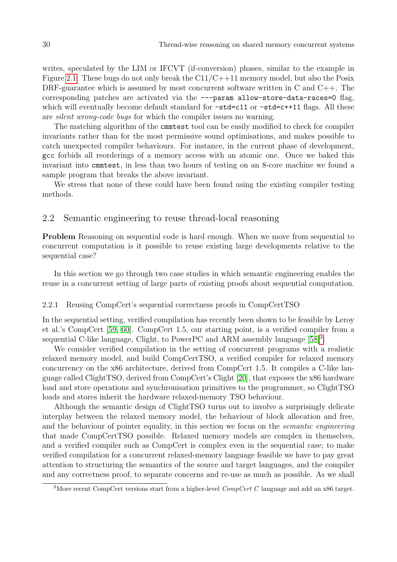writes, speculated by the LIM or IFCVT (if-conversion) phases, similar to the example in Figure [2.1.](#page-17-0) These bugs do not only break the  $C11/C+11$  memory model, but also the Posix DRF-guarantee which is assumed by most concurrent software written in C and  $C_{++}$ . The corresponding patches are activated via the ---param allow-store-data-races=0 flag, which will eventually become default standard for  $\text{-std=cl1}$  or  $\text{-std=cl+11}$  flags. All these are silent wrong-code bugs for which the compiler issues no warning.

The matching algorithm of the cmmtest tool can be easily modified to check for compiler invariants rather than for the most permissive sound optimisations, and makes possible to catch unexpected compiler behaviours. For instance, in the current phase of development, gcc forbids all reorderings of a memory access with an atomic one. Once we baked this invariant into cmmtest, in less than two hours of testing on an 8-core machine we found a sample program that breaks the above invariant.

We stress that none of these could have been found using the existing compiler testing methods.

## 2.2 Semantic engineering to reuse thread-local reasoning

Problem Reasoning on sequential code is hard enough. When we move from sequential to concurrent computation is it possible to reuse existing large developments relative to the sequential case?

In this section we go through two case studies in which semantic engineering enables the reuse in a concurrent setting of large parts of existing proofs about sequential computation.

#### 2.2.1 Reusing CompCert's sequential correctness proofs in CompCertTSO

In the sequential setting, verified compilation has recently been shown to be feasible by Leroy et al.'s CompCert [\[59,](#page-69-8) [60\]](#page-69-2). CompCert 1.5, our starting point, is a verified compiler from a sequential C-like language, Clight, to PowerPC and ARM assembly language  $[58]^3$  $[58]^3$ .

We consider verified compilation in the setting of concurrent programs with a realistic relaxed memory model, and build CompCertTSO, a verified compiler for relaxed memory concurrency on the x86 architecture, derived from CompCert 1.5. It compiles a C-like language called ClightTSO, derived from CompCert's Clight [\[20\]](#page-67-6), that exposes the x86 hardware load and store operations and synchronisation primitives to the programmer, so ClightTSO loads and stores inherit the hardware relaxed-memory TSO behaviour.

Although the semantic design of ClightTSO turns out to involve a surprisingly delicate interplay between the relaxed memory model, the behaviour of block allocation and free, and the behaviour of pointer equality, in this section we focus on the semantic engineering that made CompCertTSO possible. Relaxed memory models are complex in themselves, and a verified compiler such as CompCert is complex even in the sequential case; to make verified compilation for a concurrent relaxed-memory language feasible we have to pay great attention to structuring the semantics of the source and target languages, and the compiler and any correctness proof, to separate concerns and re-use as much as possible. As we shall

<span id="page-29-0"></span><sup>&</sup>lt;sup>3</sup>More recent CompCert versions start from a higher-level *CompCert C* language and add an  $x86$  target.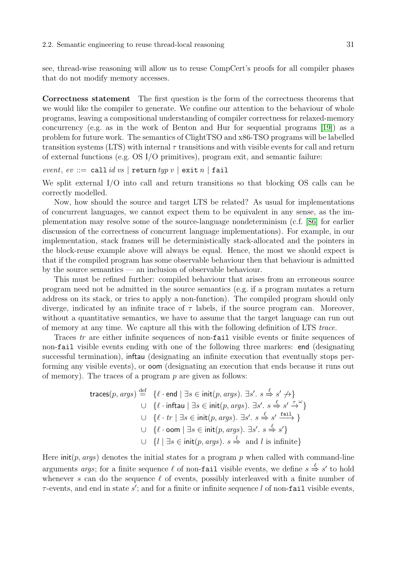see, thread-wise reasoning will allow us to reuse CompCert's proofs for all compiler phases that do not modify memory accesses.

Correctness statement The first question is the form of the correctness theorems that we would like the compiler to generate. We confine our attention to the behaviour of whole programs, leaving a compositional understanding of compiler correctness for relaxed-memory concurrency (e.g. as in the work of Benton and Hur for sequential programs [\[19\]](#page-67-7)) as a problem for future work. The semantics of ClightTSO and x86-TSO programs will be labelled transition systems (LTS) with internal  $\tau$  transitions and with visible events for call and return of external functions (e.g. OS I/O primitives), program exit, and semantic failure:

event, ev ::= call id vs | return typ v | exit n | fail

We split external I/O into call and return transitions so that blocking OS calls can be correctly modelled.

Now, how should the source and target LTS be related? As usual for implementations of concurrent languages, we cannot expect them to be equivalent in any sense, as the implementation may resolve some of the source-language nondeterminism (c.f. [\[86\]](#page-70-9) for earlier discussion of the correctness of concurrent language implementations). For example, in our implementation, stack frames will be deterministically stack-allocated and the pointers in the block-reuse example above will always be equal. Hence, the most we should expect is that if the compiled program has some observable behaviour then that behaviour is admitted by the source semantics — an inclusion of observable behaviour.

This must be refined further: compiled behaviour that arises from an erroneous source program need not be admitted in the source semantics (e.g. if a program mutates a return address on its stack, or tries to apply a non-function). The compiled program should only diverge, indicated by an infinite trace of  $\tau$  labels, if the source program can. Moreover, without a quantitative semantics, we have to assume that the target language can run out of memory at any time. We capture all this with the following definition of LTS trace.

Traces tr are either infinite sequences of non-fail visible events or finite sequences of non-fail visible events ending with one of the following three markers: end (designating successful termination), inftau (designating an infinite execution that eventually stops performing any visible events), or oom (designating an execution that ends because it runs out of memory). The traces of a program  $p$  are given as follows:

$$
\begin{array}{rcl}\n\text{traces}(p,\mathit{args}) & \stackrel{\text{def}}{=} & \{ \ell \cdot \mathsf{end} \mid \exists s \in \mathsf{init}(p,\mathit{args}). \exists s'. \ s \stackrel{\ell}{\Rightarrow} s' \not\rightarrow \} \\
& \cup \quad \{ \ell \cdot \mathsf{inftau} \mid \exists s \in \mathsf{init}(p,\mathit{args}). \exists s'. \ s \stackrel{\ell}{\Rightarrow} s' \stackrel{\tau}{\rightarrow}^{\omega} \} \\
& \cup \quad \{ \ell \cdot tr \mid \exists s \in \mathsf{init}(p,\mathit{args}). \exists s'. \ s \stackrel{\ell}{\Rightarrow} s' \stackrel{\text{fail}}{\longrightarrow} \} \\
& \cup \quad \{ \ell \cdot \mathsf{oom} \mid \exists s \in \mathsf{init}(p,\mathit{args}). \ \exists s'. \ s \stackrel{\ell}{\Rightarrow} s' \} \\
& \cup \quad \{ \ell \mid \exists s \in \mathsf{init}(p,\mathit{args}). \ s \stackrel{\ell}{\Rightarrow} \ \text{and} \ l \ \text{is infinite} \}\n\end{array}
$$

Here  $\text{init}(p, \text{args})$  denotes the initial states for a program p when called with command-line arguments *args*; for a finite sequence  $\ell$  of non-fail visible events, we define  $s \stackrel{\ell}{\Rightarrow} s'$  to hold whenever s can do the sequence  $\ell$  of events, possibly interleaved with a finite number of  $\tau$ -events, and end in state  $s'$ ; and for a finite or infinite sequence l of non-fail visible events,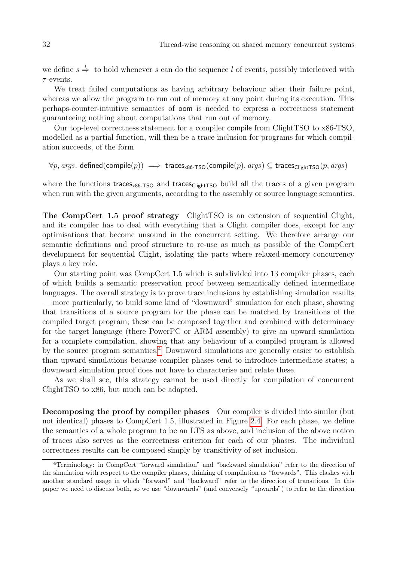we define  $s \stackrel{l}{\Rightarrow} t$  to hold whenever s can do the sequence l of events, possibly interleaved with  $\tau$ -events.

We treat failed computations as having arbitrary behaviour after their failure point, whereas we allow the program to run out of memory at any point during its execution. This perhaps-counter-intuitive semantics of oom is needed to express a correctness statement guaranteeing nothing about computations that run out of memory.

Our top-level correctness statement for a compiler compile from ClightTSO to x86-TSO, modelled as a partial function, will then be a trace inclusion for programs for which compilation succeeds, of the form

 $\forall p, args. \ defined(compile(p)) \implies traces_{x86-TSO}(compile(p), args) \subseteq traces_{ClientTSO}(p, args)$ 

where the functions traces<sub>x86-TSO</sub> and traces<sub>ClightTSO</sub> build all the traces of a given program when run with the given arguments, according to the assembly or source language semantics.

The CompCert 1.5 proof strategy ClightTSO is an extension of sequential Clight, and its compiler has to deal with everything that a Clight compiler does, except for any optimisations that become unsound in the concurrent setting. We therefore arrange our semantic definitions and proof structure to re-use as much as possible of the CompCert development for sequential Clight, isolating the parts where relaxed-memory concurrency plays a key role.

Our starting point was CompCert 1.5 which is subdivided into 13 compiler phases, each of which builds a semantic preservation proof between semantically defined intermediate languages. The overall strategy is to prove trace inclusions by establishing simulation results — more particularly, to build some kind of "downward" simulation for each phase, showing that transitions of a source program for the phase can be matched by transitions of the compiled target program; these can be composed together and combined with determinacy for the target language (there PowerPC or ARM assembly) to give an upward simulation for a complete compilation, showing that any behaviour of a compiled program is allowed by the source program semantics.[4](#page-31-0) Downward simulations are generally easier to establish than upward simulations because compiler phases tend to introduce intermediate states; a downward simulation proof does not have to characterise and relate these.

As we shall see, this strategy cannot be used directly for compilation of concurrent ClightTSO to x86, but much can be adapted.

Decomposing the proof by compiler phases Our compiler is divided into similar (but not identical) phases to CompCert 1.5, illustrated in Figure [2.4.](#page-32-0) For each phase, we define the semantics of a whole program to be an LTS as above, and inclusion of the above notion of traces also serves as the correctness criterion for each of our phases. The individual correctness results can be composed simply by transitivity of set inclusion.

<span id="page-31-0"></span><sup>4</sup>Terminology: in CompCert "forward simulation" and "backward simulation" refer to the direction of the simulation with respect to the compiler phases, thinking of compilation as "forwards". This clashes with another standard usage in which "forward" and "backward" refer to the direction of transitions. In this paper we need to discuss both, so we use "downwards" (and conversely "upwards") to refer to the direction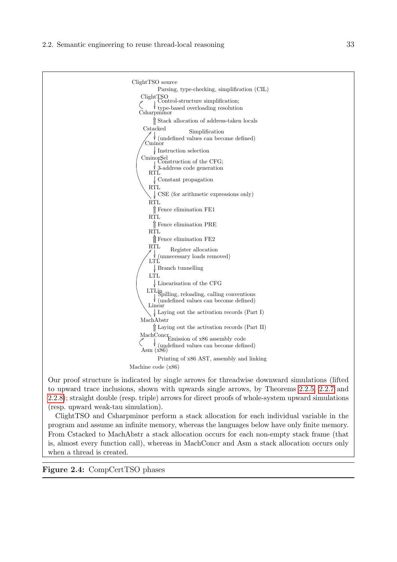

Our proof structure is indicated by single arrows for threadwise downward simulations (lifted to upward trace inclusions, shown with upwards single arrows, by Theorems [2.2.5,](#page-35-0) [2.2.7](#page-35-1) and [2.2.8\)](#page-35-2); straight double (resp. triple) arrows for direct proofs of whole-system upward simulations (resp. upward weak-tau simulation).

ClightTSO and Csharpminor perform a stack allocation for each individual variable in the program and assume an infinite memory, whereas the languages below have only finite memory. From Cstacked to MachAbstr a stack allocation occurs for each non-empty stack frame (that is, almost every function call), whereas in MachConcr and Asm a stack allocation occurs only when a thread is created.

## <span id="page-32-0"></span>Figure 2.4: CompCertTSO phases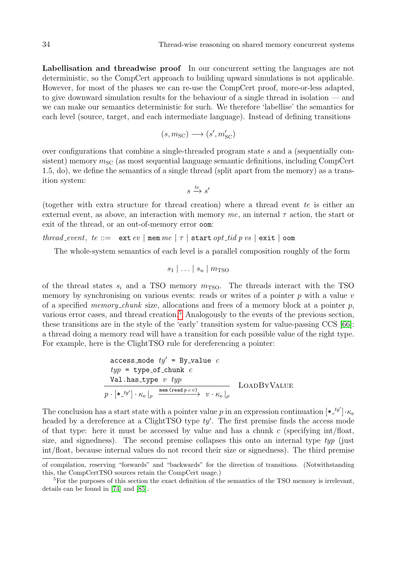Labellisation and threadwise proof In our concurrent setting the languages are not deterministic, so the CompCert approach to building upward simulations is not applicable. However, for most of the phases we can re-use the CompCert proof, more-or-less adapted, to give downward simulation results for the behaviour of a single thread in isolation — and we can make our semantics deterministic for such. We therefore 'labellise' the semantics for each level (source, target, and each intermediate language). Instead of defining transitions

$$
(s,m_{\rm SC})\longrightarrow (s',m'_{\rm SC})
$$

over configurations that combine a single-threaded program state s and a (sequentially consistent) memory  $m_{SC}$  (as most sequential language semantic definitions, including CompCert 1.5, do), we define the semantics of a single thread (split apart from the memory) as a transition system:

$$
s \xrightarrow{te} s'
$$

(together with extra structure for thread creation) where a thread event te is either an external event, as above, an interaction with memory me, an internal  $\tau$  action, the start or exit of the thread, or an out-of-memory error oom:

thread event, te ::=  $ext{ ext }$  mem me  $|\tau|$  start opt tid p vs | exit | oom

The whole-system semantics of each level is a parallel composition roughly of the form

$$
s_1 \mid \ldots \mid s_n \mid m_{\text{TSO}}
$$

of the thread states  $s_i$  and a TSO memory  $m_{\rm{TSO}}$ . The threads interact with the TSO memory by synchronising on various events: reads or writes of a pointer  $p$  with a value  $v$ of a specified memory chunk size, allocations and frees of a memory block at a pointer  $p$ , various error cases, and thread creation.<sup>[5](#page-33-0)</sup> Analogously to the events of the previous section, these transitions are in the style of the 'early' transition system for value-passing CCS [\[66\]](#page-69-10): a thread doing a memory read will have a transition for each possible value of the right type. For example, here is the ClightTSO rule for dereferencing a pointer:

access-mode 
$$
ty' = By_value
$$
  $c$   
\n $typ = type_of_chunk$   $c$   
\nVal.has\_type  $v$   $typ$   
\n $p \cdot [ * _{t}^{ty'}] \cdot \kappa_e|_{\rho} \xrightarrow{mem (read p c v)} v \cdot \kappa_e|_{\rho}$    
\nLOADBYVALUE

The conclusion has a start state with a pointer value p in an expression continuation  $[*_{-}^{t y'}] \cdot \kappa_{e}$ headed by a dereference at a ClightTSO type  $ty'$ . The first premise finds the access mode of that type: here it must be accessed by value and has a chunk c (specifying  $int/float$ , size, and signedness). The second premise collapses this onto an internal type  $\it typ$  (just int/float, because internal values do not record their size or signedness). The third premise

of compilation, reserving "forwards" and "backwards" for the direction of transitions. (Notwithstanding this, the CompCertTSO sources retain the CompCert usage.)

<span id="page-33-0"></span><sup>5</sup>For the purposes of this section the exact definition of the semantics of the TSO memory is irrelevant, details can be found in [\[74\]](#page-70-10) and [\[85\]](#page-70-5).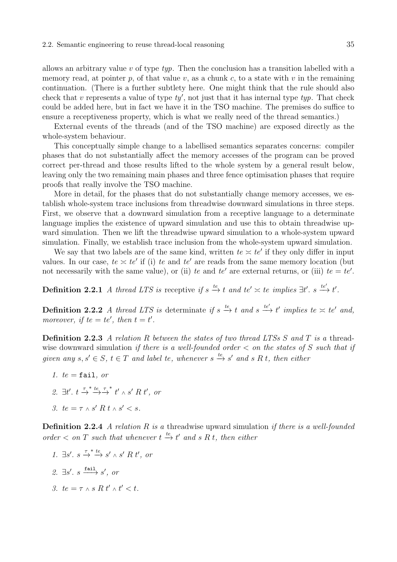### 2.2. Semantic engineering to reuse thread-local reasoning 35

allows an arbitrary value v of type  $typ$ . Then the conclusion has a transition labelled with a memory read, at pointer p, of that value v, as a chunk c, to a state with v in the remaining continuation. (There is a further subtlety here. One might think that the rule should also check that  $v$  represents a value of type  $ty'$ , not just that it has internal type  $typ$ . That check could be added here, but in fact we have it in the TSO machine. The premises do suffice to ensure a receptiveness property, which is what we really need of the thread semantics.)

External events of the threads (and of the TSO machine) are exposed directly as the whole-system behaviour.

This conceptually simple change to a labellised semantics separates concerns: compiler phases that do not substantially affect the memory accesses of the program can be proved correct per-thread and those results lifted to the whole system by a general result below, leaving only the two remaining main phases and three fence optimisation phases that require proofs that really involve the TSO machine.

More in detail, for the phases that do not substantially change memory accesses, we establish whole-system trace inclusions from threadwise downward simulations in three steps. First, we observe that a downward simulation from a receptive language to a determinate language implies the existence of upward simulation and use this to obtain threadwise upward simulation. Then we lift the threadwise upward simulation to a whole-system upward simulation. Finally, we establish trace inclusion from the whole-system upward simulation.

We say that two labels are of the same kind, written  $te \approx te'$  if they only differ in input values. In our case,  $te \times te'$  if (i) te and te' are reads from the same memory location (but not necessarily with the same value), or (ii) te and te' are external returns, or (iii)  $te = te'$ .

**Definition 2.2.1** A thread LTS is receptive if  $s \stackrel{te}{\to} t$  and  $te' \simeq te$  implies  $\exists t'$ .  $s \stackrel{te'}{\to} t'$ .

**Definition 2.2.2** A thread LTS is determinate if  $s \stackrel{te}{\to} t$  and  $s \stackrel{te'}{\to} t'$  implies te  $\lt \infty$  te' and, moreover, if te = te', then  $t = t'$ .

<span id="page-34-0"></span>**Definition 2.2.3** A relation R between the states of two thread LTSs S and T is a threadwise downward simulation if there is a well-founded order  $\lt$  on the states of S such that if given any  $s, s' \in S$ ,  $t \in T$  and label te, whenever  $s \stackrel{te}{\rightarrow} s'$  and  $s R t$ , then either

- 1.  $te = \texttt{fail}$ , or
- 2.  $\exists t'.\; t \stackrel{\tau}{\rightarrow}^* \stackrel{te}{\rightarrow} \stackrel{\tau}{\rightarrow}^* t' \wedge s' \; R \; t', \; or$
- 3.  $te = \tau \wedge s' R t \wedge s' < s$ .

<span id="page-34-1"></span>**Definition 2.2.4** A relation  $R$  is a threadwise upward simulation if there is a well-founded order  $\langle$  on T such that whenever  $t \stackrel{te}{\rightarrow} t'$  and s R t, then either

1.  $\exists s'. s \stackrel{\tau * te}{\rightarrow} s' \wedge s' R t', or$ 2.  $\exists s'$ .  $s \xrightarrow{\text{fail}} s'$ , or 3.  $te = \tau \wedge s \ R \ t' \wedge t' < t$ .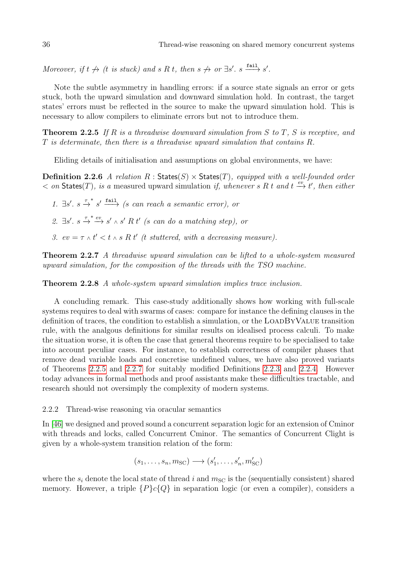Moreover, if  $t \nrightarrow (t \text{ is stuck})$  and  $s R t$ , then  $s \nrightarrow or \exists s'$ .  $s \xrightarrow{\text{fail}} s'$ .

Note the subtle asymmetry in handling errors: if a source state signals an error or gets stuck, both the upward simulation and downward simulation hold. In contrast, the target states' errors must be reflected in the source to make the upward simulation hold. This is necessary to allow compilers to eliminate errors but not to introduce them.

<span id="page-35-0"></span>**Theorem 2.2.5** If R is a threadwise downward simulation from S to T, S is receptive, and  $T$  is determinate, then there is a threadwise upward simulation that contains  $R$ .

Eliding details of initialisation and assumptions on global environments, we have:

**Definition 2.2.6** A relation R: States(S)  $\times$  States(T), equipped with a well-founded order  $<$  on States(T), is a measured upward simulation if, whenever s R t and t  $\stackrel{ev}{\longrightarrow} t'$ , then either

- 1.  $\exists s'. s \stackrel{\tau^*}{\longrightarrow} s' \stackrel{\text{fail}}{\longrightarrow} (s \text{ can reach a semantic error}),$  or
- 2.  $\exists s'. s \stackrel{\tau^*}{\rightarrow} \stackrel{ev}{\rightarrow} s' \wedge s' R t'$  (s can do a matching step), or
- 3.  $ev = \tau \wedge t' < t \wedge s \cdot R \cdot t'$  (t stuttered, with a decreasing measure).

<span id="page-35-1"></span>**Theorem 2.2.7** A threadwise upward simulation can be lifted to a whole-system measured upward simulation, for the composition of the threads with the TSO machine.

<span id="page-35-2"></span>Theorem 2.2.8 A whole-system upward simulation implies trace inclusion.

A concluding remark. This case-study additionally shows how working with full-scale systems requires to deal with swarms of cases: compare for instance the defining clauses in the definition of traces, the condition to establish a simulation, or the LOADBYVALUE transition rule, with the analgous definitions for similar results on idealised process calculi. To make the situation worse, it is often the case that general theorems require to be specialised to take into account peculiar cases. For instance, to establish correctness of compiler phases that remove dead variable loads and concretise undefined values, we have also proved variants of Theorems [2.2.5](#page-35-0) and [2.2.7](#page-35-1) for suitably modified Definitions [2.2.3](#page-34-0) and [2.2.4.](#page-34-1) However today advances in formal methods and proof assistants make these difficulties tractable, and research should not oversimply the complexity of modern systems.

2.2.2 Thread-wise reasoning via oracular semantics

In [\[46\]](#page-68-0) we designed and proved sound a concurrent separation logic for an extension of Cminor with threads and locks, called Concurrent Cminor. The semantics of Concurrent Clight is given by a whole-system transition relation of the form:

$$
(s_1, \ldots, s_n, m_{\rm SC}) \longrightarrow (s'_1, \ldots, s'_n, m'_{\rm SC})
$$

where the  $s_i$  denote the local state of thread i and  $m_{SC}$  is the (sequentially consistent) shared memory. However, a triple  $\{P\}c\{Q\}$  in separation logic (or even a compiler), considers a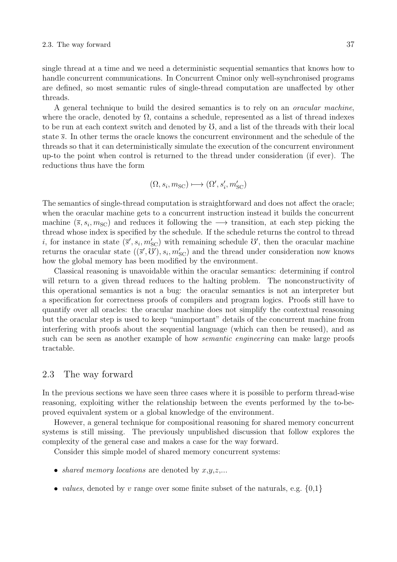single thread at a time and we need a deterministic sequential semantics that knows how to handle concurrent communications. In Concurrent Cminor only well-synchronised programs are defined, so most semantic rules of single-thread computation are unaffected by other threads.

A general technique to build the desired semantics is to rely on an oracular machine, where the oracle, denoted by  $\Omega$ , contains a schedule, represented as a list of thread indexes to be run at each context switch and denoted by  $\mathcal{O}$ , and a list of the threads with their local state  $\bar{s}$ . In other terms the oracle knows the concurrent environment and the schedule of the threads so that it can deterministically simulate the execution of the concurrent environment up-to the point when control is returned to the thread under consideration (if ever). The reductions thus have the form

$$
(\Omega, s_i, m_{\rm SC}) \longmapsto (\Omega', s'_i, m'_{\rm SC})
$$

The semantics of single-thread computation is straightforward and does not affect the oracle; when the oracular machine gets to a concurrent instruction instead it builds the concurrent machine  $(\bar{s}, s_i, m_{\rm SC})$  and reduces it following the  $\longrightarrow$  transition, at each step picking the thread whose index is specified by the schedule. If the schedule returns the control to thread *i*, for instance in state  $(\bar{s}', s_i, m'_{\rm SC})$  with remaining schedule  $\mathcal{V}'$ , then the oracular machine returns the oracular state  $((\bar{s}', \bar{0}'), s_i, m'_{\rm SC})$  and the thread under consideration now knows how the global memory has been modified by the environment.

Classical reasoning is unavoidable within the oracular semantics: determining if control will return to a given thread reduces to the halting problem. The nonconstructivity of this operational semantics is not a bug: the oracular semantics is not an interpreter but a specification for correctness proofs of compilers and program logics. Proofs still have to quantify over all oracles: the oracular machine does not simplify the contextual reasoning but the oracular step is used to keep "unimportant" details of the concurrent machine from interfering with proofs about the sequential language (which can then be reused), and as such can be seen as another example of how *semantic engineering* can make large proofs tractable.

# 2.3 The way forward

In the previous sections we have seen three cases where it is possible to perform thread-wise reasoning, exploiting wither the relationship between the events performed by the to-beproved equivalent system or a global knowledge of the environment.

However, a general technique for compositional reasoning for shared memory concurrent systems is still missing. The previously unpublished discussion that follow explores the complexity of the general case and makes a case for the way forward.

Consider this simple model of shared memory concurrent systems:

- shared memory locations are denoted by  $x,y,z,...$
- values, denoted by v range over some finite subset of the naturals, e.g.  $\{0,1\}$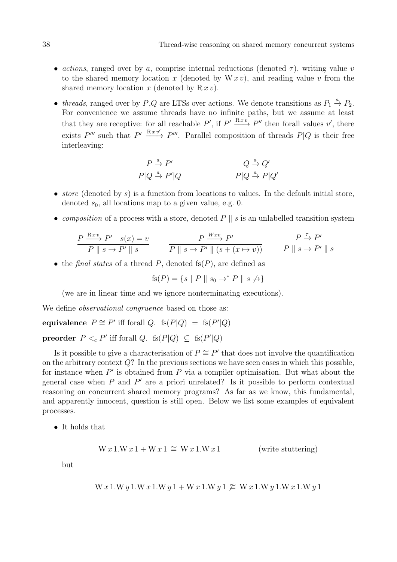- actions, ranged over by a, comprise internal reductions (denoted  $\tau$ ), writing value v to the shared memory location x (denoted by  $W x v$ ), and reading value v from the shared memory location x (denoted by  $\mathbb{R} x v$ ).
- threads, ranged over by P,Q are LTSs over actions. We denote transitions as  $P_1 \stackrel{a}{\rightarrow} P_2$ . For convenience we assume threads have no infinite paths, but we assume at least that they are receptive: for all reachable  $P'$ , if  $P' \xrightarrow{\text{Rx } v} P''$  then forall values v', there exists P''' such that P'  $\xrightarrow{\text{R} x v'} P'''$ . Parallel composition of threads P|Q is their free interleaving:

$$
\frac{P \stackrel{a}{\rightarrow} P'}{P|Q \stackrel{a}{\rightarrow} P'|Q} \qquad \qquad \frac{Q \stackrel{a}{\rightarrow} Q'}{P|Q \stackrel{a}{\rightarrow} P|Q'}
$$

- store (denoted by s) is a function from locations to values. In the default initial store, denoted  $s_0$ , all locations map to a given value, e.g. 0.
- composition of a process with a store, denoted  $P \parallel s$  is an unlabelled transition system

$$
\frac{P \xrightarrow{\text{R}xv} P' \quad s(x) = v}{P \parallel s \to P' \parallel s} \qquad \frac{P \xrightarrow{\text{W}xv} P'}{P \parallel s \to P' \parallel (s + (x \to v))} \qquad \frac{P \xrightarrow{\tau} P'}{P \parallel s \to P' \parallel s}
$$

• the *final states* of a thread  $P$ , denoted fs $(P)$ , are defined as

 $fs(P) = \{s \mid P \parallel s_0 \rightarrow^* P \parallel s \nleftrightarrow\}$ 

(we are in linear time and we ignore nonterminating executions).

We define *observational congruence* based on those as:

equivalence  $P \cong P'$  iff forall  $Q$ .  $\text{fs}(P|Q) = \text{fs}(P'|Q)$ 

**preorder**  $P \lt_c P'$  iff forall  $Q$ .  $\text{fs}(P|Q) \subseteq \text{fs}(P'|Q)$ 

Is it possible to give a characterisation of  $P \cong P'$  that does not involve the quantification on the arbitrary context  $Q$ ? In the previous sections we have seen cases in which this possible, for instance when  $P'$  is obtained from  $P$  via a compiler optimisation. But what about the general case when  $P$  and  $P'$  are a priori unrelated? Is it possible to perform contextual reasoning on concurrent shared memory programs? As far as we know, this fundamental, and apparently innocent, question is still open. Below we list some examples of equivalent processes.

• It holds that

$$
W x 1.W x 1 + W x 1 \cong W x 1.W x 1
$$
 (write suttering)

but

$$
W x 1.W y 1.W x 1.W y 1 + W x 1.W y 1 \ncong W x 1.W y 1.W x 1.W y 1
$$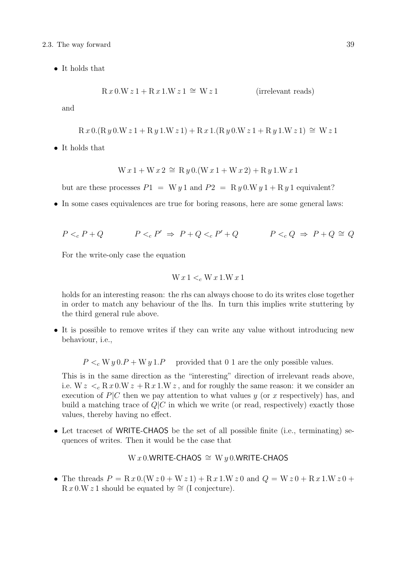2.3. The way forward 39

• It holds that

$$
R x 0.W z 1 + R x 1.W z 1 \cong W z 1
$$
 (irrelevant reads)

and

$$
R x 0.(R y 0.W z 1 + R y 1.W z 1) + R x 1.(R y 0.W z 1 + R y 1.W z 1) \approx W z 1
$$

• It holds that

$$
W x 1 + W x 2 \approx R y 0. (W x 1 + W x 2) + R y 1.W x 1
$$

but are these processes  $P1 = W y 1$  and  $P2 = Ry 0.W y 1 + Ry 1$  equivalent?

• In some cases equivalences are true for boring reasons, here are some general laws:

$$
P <_{c} P + Q \qquad P <_{c} P' \Rightarrow P + Q <_{c} P' + Q \qquad P <_{c} Q \Rightarrow P + Q \cong Q
$$

For the write-only case the equation

$$
\mathbf{W} \, x \, 1 <_{c} \mathbf{W} \, x \, 1. \mathbf{W} \, x \, 1
$$

holds for an interesting reason: the rhs can always choose to do its writes close together in order to match any behaviour of the lhs. In turn this implies write stuttering by the third general rule above.

• It is possible to remove writes if they can write any value without introducing new behaviour, i.e.,

 $P \leq_c W y 0.P + W y 1.P$  provided that 0 1 are the only possible values.

This is in the same direction as the "interesting" direction of irrelevant reads above, i.e.  $Wz <_{c} R x 0.Wz + R x 1.Wz$ , and for roughly the same reason: it we consider an execution of  $P|C$  then we pay attention to what values y (or x respectively) has, and build a matching trace of  $Q|C$  in which we write (or read, respectively) exactly those values, thereby having no effect.

• Let traceset of WRITE-CHAOS be the set of all possible finite (i.e., terminating) sequences of writes. Then it would be the case that

$$
W x 0
$$
.**WRITE-CHAOS**  $\cong$   $W y 0$ .**WRITE-CHAOS**

• The threads  $P = R x 0.(\text{W } z 0 + \text{W } z 1) + R x 1.\text{W } z 0$  and  $Q = W z 0 + R x 1.\text{W } z 0 +$  $R x 0.W z 1$  should be equated by  $\cong$  (I conjecture).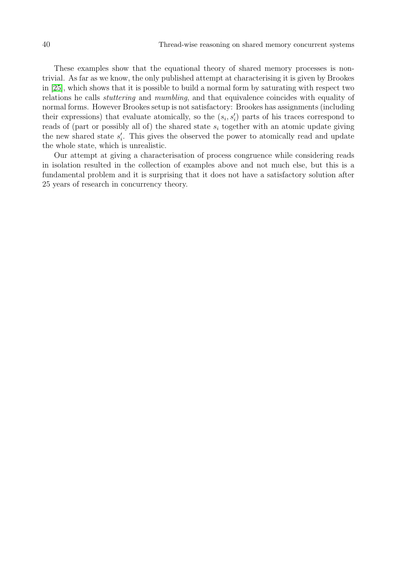These examples show that the equational theory of shared memory processes is nontrivial. As far as we know, the only published attempt at characterising it is given by Brookes in [\[25\]](#page-67-0), which shows that it is possible to build a normal form by saturating with respect two relations he calls stuttering and mumbling, and that equivalence coincides with equality of normal forms. However Brookes setup is not satisfactory: Brookes has assignments (including their expressions) that evaluate atomically, so the  $(s_i, s'_i)$  parts of his traces correspond to reads of (part or possibly all of) the shared state  $s_i$  together with an atomic update giving the new shared state  $s_i'$ . This gives the observed the power to atomically read and update the whole state, which is unrealistic.

Our attempt at giving a characterisation of process congruence while considering reads in isolation resulted in the collection of examples above and not much else, but this is a fundamental problem and it is surprising that it does not have a satisfactory solution after 25 years of research in concurrency theory.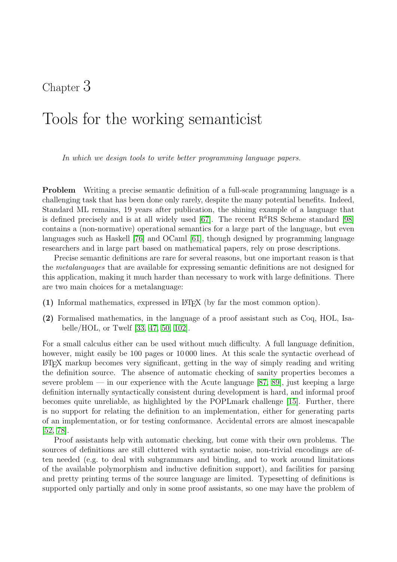# Chapter 3

# Tools for the working semanticist

In which we design tools to write better programming language papers.

**Problem** Writing a precise semantic definition of a full-scale programming language is a challenging task that has been done only rarely, despite the many potential benefits. Indeed, Standard ML remains, 19 years after publication, the shining example of a language that is defined precisely and is at all widely used [\[67\]](#page-69-0). The recent  $R^6RS$  Scheme standard [\[98\]](#page-71-0) contains a (non-normative) operational semantics for a large part of the language, but even languages such as Haskell [\[76\]](#page-70-0) and OCaml [\[61\]](#page-69-1), though designed by programming language researchers and in large part based on mathematical papers, rely on prose descriptions.

Precise semantic definitions are rare for several reasons, but one important reason is that the metalanguages that are available for expressing semantic definitions are not designed for this application, making it much harder than necessary to work with large definitions. There are two main choices for a metalanguage:

- (1) Informal mathematics, expressed in LATEX (by far the most common option).
- (2) Formalised mathematics, in the language of a proof assistant such as Coq, HOL, Isabelle/HOL, or Twelf [\[33,](#page-67-1) [47,](#page-68-0) [50,](#page-68-1) [102\]](#page-71-1).

For a small calculus either can be used without much difficulty. A full language definition, however, might easily be 100 pages or 10000 lines. At this scale the syntactic overhead of LATEX markup becomes very significant, getting in the way of simply reading and writing the definition source. The absence of automatic checking of sanity properties becomes a severe problem — in our experience with the Acute language  $[87, 89]$  $[87, 89]$ , just keeping a large definition internally syntactically consistent during development is hard, and informal proof becomes quite unreliable, as highlighted by the POPLmark challenge [\[15\]](#page-66-0). Further, there is no support for relating the definition to an implementation, either for generating parts of an implementation, or for testing conformance. Accidental errors are almost inescapable [\[52,](#page-68-2) [78\]](#page-70-2).

Proof assistants help with automatic checking, but come with their own problems. The sources of definitions are still cluttered with syntactic noise, non-trivial encodings are often needed (e.g. to deal with subgrammars and binding, and to work around limitations of the available polymorphism and inductive definition support), and facilities for parsing and pretty printing terms of the source language are limited. Typesetting of definitions is supported only partially and only in some proof assistants, so one may have the problem of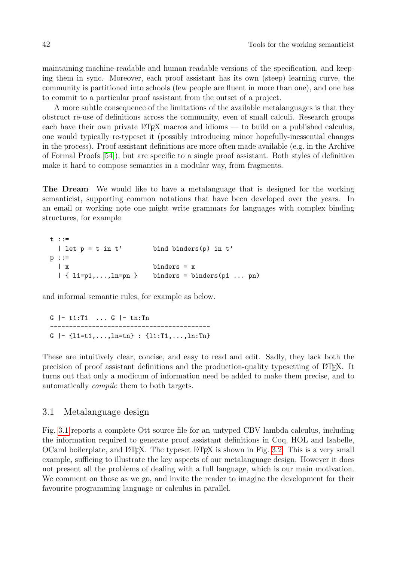maintaining machine-readable and human-readable versions of the specification, and keeping them in sync. Moreover, each proof assistant has its own (steep) learning curve, the community is partitioned into schools (few people are fluent in more than one), and one has to commit to a particular proof assistant from the outset of a project.

A more subtle consequence of the limitations of the available metalanguages is that they obstruct re-use of definitions across the community, even of small calculi. Research groups each have their own private  $\mathbb{F} F_X$  macros and idioms — to build on a published calculus, one would typically re-typeset it (possibly introducing minor hopefully-inessential changes in the process). Proof assistant definitions are more often made available (e.g. in the Archive of Formal Proofs [\[54\]](#page-69-2)), but are specific to a single proof assistant. Both styles of definition make it hard to compose semantics in a modular way, from fragments.

The Dream We would like to have a metalanguage that is designed for the working semanticist, supporting common notations that have been developed over the years. In an email or working note one might write grammars for languages with complex binding structures, for example

```
t : :=| let p = t in t' bind binders(p) in t'
p : :=| x binders = x
  | \{ 11=p1,\ldots, 1n=pn \} binders = binders(p1 ... pn)
```
and informal semantic rules, for example as below.

G |- t1:T1 ... G |- tn:Tn ------------------------------------------ G  $\{-\{11=t1,...,ln=tn\} : \{11:T1,...,ln:Th\}$ 

These are intuitively clear, concise, and easy to read and edit. Sadly, they lack both the precision of proof assistant definitions and the production-quality typesetting of LATEX. It turns out that only a modicum of information need be added to make them precise, and to automatically compile them to both targets.

# 3.1 Metalanguage design

Fig. [3.1](#page-42-0) reports a complete Ott source file for an untyped CBV lambda calculus, including the information required to generate proof assistant definitions in Coq, HOL and Isabelle, OCaml boilerplate, and LATEX. The typeset LATEX is shown in Fig. [3.2.](#page-44-0) This is a very small example, sufficing to illustrate the key aspects of our metalanguage design. However it does not present all the problems of dealing with a full language, which is our main motivation. We comment on those as we go, and invite the reader to imagine the development for their favourite programming language or calculus in parallel.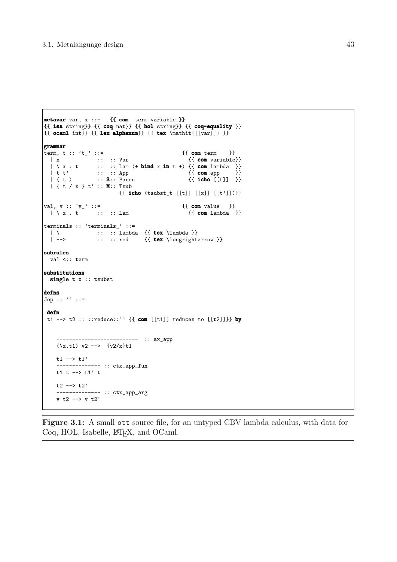```
metavar var, x ::= \{ \{ \text{com} \text{ term variable } \} \}{ {\{ is a string \}} {\{ coq nat \}} {\{ hol string \}} {\{ coq-equality \}}{\mathcal{A} \in \mathbb{Z} \setminus \mathbb{Z} \setminus \mathbb{Z} \setminus \mathbb{Z} \setminus \mathbb{Z} \setminus \mathbb{Z} \setminus \mathbb{Z} \setminus \mathbb{Z} \setminus \mathbb{Z} \setminus \mathbb{Z} \setminus \mathbb{Z} \setminus \mathbb{Z} \setminus \mathbb{Z} \setminus \mathbb{Z} \setminus \mathbb{Z} \setminus \mathbb{Z} \setminus \mathbb{Z} \setminus \mathbb{Z} \setminus \mathbb{Z} \setminus \mathbb{Z} \setminus \mathbb{Z} \setminus \mathbb{Z} \setminus \mathbb{Z} \setminus \mathbb{Zgrammar
term, t :: 't_' ::= {{ com term }}
   | x \qquad :: :: \tVar {{ com variable}}
   | \ \rangle x . t :: :: Lam (+ bind x in t +) {{ com lambda }}
   | t t' :: :: App {{ com app }}
   | ( t ) :: S:: Paren { \{ \text{icho [[t]] } \} \}\left| \left\{ \begin{array}{c} t \\ t \end{array} \right| x \} t' :: M:: Tsub
                                    \{ \{ \text{icho} \text{ (tsubset } t [t] \} \text{ [[x]]} \text{ [[t']]}) \}val, v :: 'v_' ::= \{\text{com value }\}\<br>
|\ \setminus x \ . t \qquad :: : : \text{Lam} \qquad \{\text{com lambda }\}\}\|\n\setminus x . t :: :: Lam
terminals :: 'terminals_' ::=
   |\ \ \cdot \ \ :: : : \ \text{lambda} \ \{ \text{tex} \ \lambda \ \} \}| --> \qquad :: \; :: \; \text{red} \; \{ \text{tex } \}subrules
  val <:: term
substitutions
  single t x :: tsubst
defns
Jop :: ''': :: =defn
 t1 --> t2 :: ::reduce::'' \{ \text{com } [[t1]] \text{ reduces to } [[t2]] \} by
        ------------------------- :: ax_app
      (\x,t1) v2 --> \{v2/x\}t1t1 --> t1'-------------- :: ctx_app_fun
      t1 t --> t1' t
      t2 -- t2'------------- :: ctx_app_arg
      v t2 \rightarrow v t2'
```
<span id="page-42-0"></span>Figure 3.1: A small ott source file, for an untyped CBV lambda calculus, with data for Coq, HOL, Isabelle, L<sup>AT</sup>EX, and OCaml.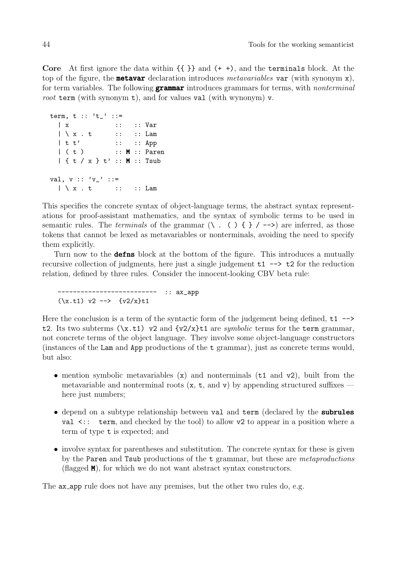**Core** At first ignore the data within  $\{\{\}\}\$  and  $(++)$ , and the **terminals** block. At the top of the figure, the **metavar** declaration introduces metavariables var (with synonym x), for term variables. The following **grammar** introduces grammars for terms, with *nonterminal* root term (with synonym t), and for values val (with wynonym)  $v$ .

```
term, t :: 't-'': :=| x :: :: :: Var
  |\n\setminus x . t :: :: Lam
  | t t' :: :: App
  | (t) :: M :: Paren
  | { t / x } t' :: M :: Tsub
val, v : : 'v_-'': : =|\ \rangle x . t :: :: Lam
```
This specifies the concrete syntax of object-language terms, the abstract syntax representations for proof-assistant mathematics, and the syntax of symbolic terms to be used in semantic rules. The *terminals* of the grammar  $(\langle , \langle \rangle \rangle) \$  / -->) are inferred, as those tokens that cannot be lexed as metavariables or nonterminals, avoiding the need to specify them explicitly.

Turn now to the **defns** block at the bottom of the figure. This introduces a mutually recursive collection of judgments, here just a single judgement  $t1 \rightarrow t2$  for the reduction relation, defined by three rules. Consider the innocent-looking CBV beta rule:

-------------- :: ax\_app  $(\x,t1)$  v2 -->  $\{v2/x\}t1$ 

Here the conclusion is a term of the syntactic form of the judgement being defined,  $t1$  --> t2. Its two subterms  $(\x,t1)$  v2 and  $\{v2/x\}$ t1 are *symbolic* terms for the term grammar, not concrete terms of the object language. They involve some object-language constructors (instances of the Lam and App productions of the t grammar), just as concrete terms would, but also:

- mention symbolic metavariables (x) and nonterminals (t1 and v2), built from the metavariable and nonterminal roots  $(x, t, and v)$  by appending structured suffixes here just numbers;
- depend on a subtype relationship between val and term (declared by the subrules val  $\leq$ : term, and checked by the tool) to allow v2 to appear in a position where a term of type t is expected; and
- involve syntax for parentheses and substitution. The concrete syntax for these is given by the Paren and Tsub productions of the t grammar, but these are *metaproductions* (flagged M), for which we do not want abstract syntax constructors.

The **ax** app rule does not have any premises, but the other two rules do, e.g.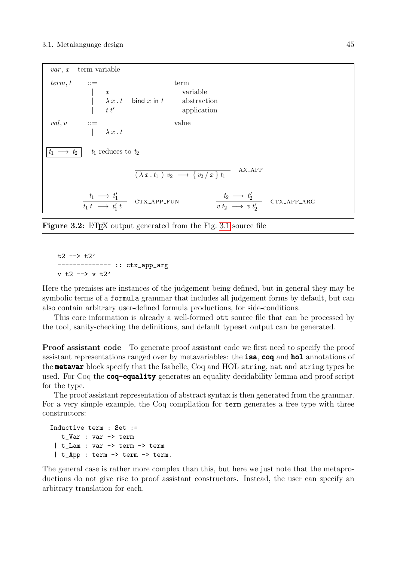

<span id="page-44-0"></span>Figure 3.2: LAT<sub>EX</sub> output generated from the Fig. [3.1](#page-42-0) source file

 $t2$  -->  $t2'$ ---------- :: ctx\_app\_arg v t2 --> v t2'

Here the premises are instances of the judgement being defined, but in general they may be symbolic terms of a formula grammar that includes all judgement forms by default, but can also contain arbitrary user-defined formula productions, for side-conditions.

This core information is already a well-formed ott source file that can be processed by the tool, sanity-checking the definitions, and default typeset output can be generated.

**Proof assistant code** To generate proof assistant code we first need to specify the proof assistant representations ranged over by metavariables: the **isa, coq** and **hol** annotations of the **metavar** block specify that the Isabelle, Coq and HOL string, nat and string types be used. For Coq the **coq-equality** generates an equality decidability lemma and proof script for the type.

The proof assistant representation of abstract syntax is then generated from the grammar. For a very simple example, the Coq compilation for term generates a free type with three constructors:

```
Inductive term : Set :=
  t_Var : var -> term
 | t_Lam : var -> term -> term
 | t_App : term -> term -> term.
```
The general case is rather more complex than this, but here we just note that the metaproductions do not give rise to proof assistant constructors. Instead, the user can specify an arbitrary translation for each.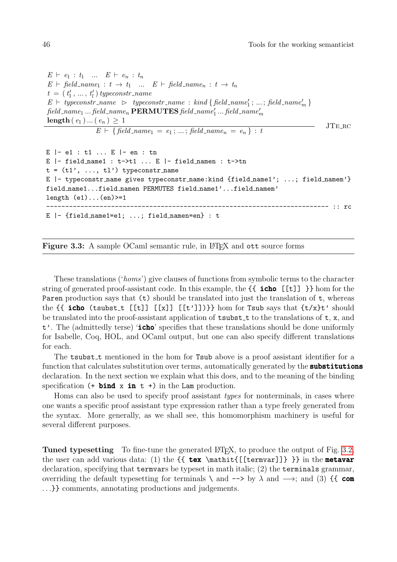$E \vdash e_1 : t_1 \dots E \vdash e_n : t_n$  $E \vdash \text{field\_name}_1 : t \to t_1 \dots E \vdash \text{field\_name}_n : t \to t_n$  $t = (t'_1, ..., t'_l)$  typeconstr\_name  $E \vdash \textit{typeconstr_name} \Rightarrow \textit{typeconstr_name} : \textit{kind} \{ \textit{field_name}_1' ; ... ; \textit{field_name}_m' \}$  $\mathit{field\_name}_1 \dots \mathit{field\_name}_n$   $\mathbf{PERMUTES}$   $\mathit{field\_name}'_1 \dots \mathit{field\_name}'_m$ length  $(e_1) ... (e_n) \geq 1$  $E \vdash \{ \text{field_name}_1 = e_1; \ldots; \text{field_name}_n = e_n \} : t$ JTE\_RC E |- e1 : t1 ... E |- en : tn E  $|-$  field\_name1 : t->t1 ... E  $|-$  field\_namen : t->tn  $t = (t1', ..., t1')$  typeconstr\_name E |- typeconstr\_name gives typeconstr\_name:kind {field\_name1'; ...; field\_namem'} field name1...field namen PERMUTES field name1'...field namem' length (e1)...(en)>=1 -------------------------------------------------------------------------- :: rc  $E$  |- {field\_name1=e1; ...; field\_namen=en} : t

<span id="page-45-0"></span>Figure 3.3: A sample OCaml semantic rule, in LAT<sub>E</sub>X and ott source forms

These translations ('homs') give clauses of functions from symbolic terms to the character string of generated proof-assistant code. In this example, the  $\{\{\text{icho }[[t]]\}\}\$  hom for the Paren production says that (t) should be translated into just the translation of t, whereas the  $\{\{\text{icho } (\text{tsubst.t } [\lfloor t \rfloor] , [\lfloor x \rfloor], [\lfloor t' \rfloor])\}\}\)$  hom for Tsub says that  $\{t/x\}t'$  should be translated into the proof-assistant application of  $t$ subst t to the translations of  $t$ , x, and  $t'$ . The (admittedly terse) '**icho**' specifies that these translations should be done uniformly for Isabelle, Coq, HOL, and OCaml output, but one can also specify different translations for each.

The **tsubst** t mentioned in the hom for Tsub above is a proof assistant identifier for a function that calculates substitution over terms, automatically generated by the **substitutions** declaration. In the next section we explain what this does, and to the meaning of the binding specification  $(+)$  bind x in t +) in the Lam production.

Homs can also be used to specify proof assistant types for nonterminals, in cases where one wants a specific proof assistant type expression rather than a type freely generated from the syntax. More generally, as we shall see, this homomorphism machinery is useful for several different purposes.

Tuned typesetting To fine-tune the generated LATEX, to produce the output of Fig. [3.2,](#page-44-0) the user can add various data: (1) the  $\{ \text{text{text}[\text{termvar}]\} }$  in the **metavar** declaration, specifying that termvars be typeset in math italic; (2) the terminals grammar, overriding the default typesetting for terminals  $\lambda$  and  $-\rightarrow$  by  $\lambda$  and  $\rightarrow$ ; and (3) {{ com . . .}} comments, annotating productions and judgements.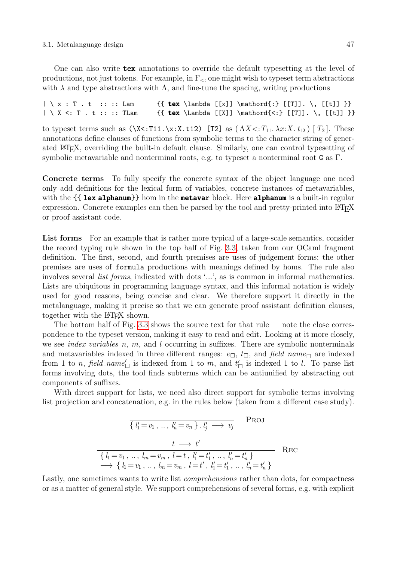#### 3.1. Metalanguage design 47

One can also write **tex** annotations to override the default typesetting at the level of productions, not just tokens. For example, in  $F_{\leq}$  one might wish to typeset term abstractions with  $\lambda$  and type abstractions with  $\Lambda$ , and fine-tune the spacing, writing productions

 $| \ x : T . t :: :: Lam$  {  $\text{lambda } [[x]] \mathbf{::} [[T]]. \, [[t]] )}$  $| \ X \le T . t :: ::$  TLam  $\{ \text{tex } \Lambda [[X]] \ \mathbb{I} \ \}$ 

to typeset terms such as  $(\X<:T11.\X:X.t12)$  [T2] as  $(\Lambda X\langle T_{11}.\lambda x:X.t_{12})$  [T<sub>2</sub>]. These annotations define clauses of functions from symbolic terms to the character string of generated LATEX, overriding the built-in default clause. Similarly, one can control typesetting of symbolic metavariable and nonterminal roots, e.g. to typeset a nonterminal root G as Γ.

Concrete terms To fully specify the concrete syntax of the object language one need only add definitions for the lexical form of variables, concrete instances of metavariables, with the  $\{$  lex alphanum  $\}$  hom in the metavar block. Here alphanum is a built-in regular expression. Concrete examples can then be parsed by the tool and pretty-printed into LATEX or proof assistant code.

List forms For an example that is rather more typical of a large-scale semantics, consider the record typing rule shown in the top half of Fig. [3.3,](#page-45-0) taken from our OCaml fragment definition. The first, second, and fourth premises are uses of judgement forms; the other premises are uses of formula productions with meanings defined by homs. The rule also involves several list forms, indicated with dots '...', as is common in informal mathematics. Lists are ubiquitous in programming language syntax, and this informal notation is widely used for good reasons, being concise and clear. We therefore support it directly in the metalanguage, making it precise so that we can generate proof assistant definition clauses, together with the LAT<sub>EX</sub> shown.

The bottom half of Fig. [3.3](#page-45-0) shows the source text for that  $rule \text{rel}{=}$  note the close correspondence to the typeset version, making it easy to read and edit. Looking at it more closely, we see *index variables n, m,* and  $l$  occurring in suffixes. There are symbolic nonterminals and metavariables indexed in three different ranges:  $e_{\Box}$ ,  $t_{\Box}$ , and field name are indexed from 1 to *n*, field\_name'<sub> $\Box$ </sub> is indexed from 1 to *m*, and  $t'_{\Box}$  is indexed 1 to *l*. To parse list forms involving dots, the tool finds subterms which can be antiunified by abstracting out components of suffixes.

With direct support for lists, we need also direct support for symbolic terms involving list projection and concatenation, e.g. in the rules below (taken from a different case study).

$$
\frac{\{l'_1 = v_1, \dots, l'_n = v_n\} \cdot l'_j \longrightarrow v_j}{\{l_1 = v_1, \dots, l_m = v_m, l = t, l'_1 = t'_1, \dots, l'_n = t'_n\}} \text{REC}
$$
\n
$$
\longrightarrow \{l_1 = v_1, \dots, l_m = v_m, l = t', l'_1 = t'_1, \dots, l'_n = t'_n\}
$$

Lastly, one sometimes wants to write list *comprehensions* rather than dots, for compactness or as a matter of general style. We support comprehensions of several forms, e.g. with explicit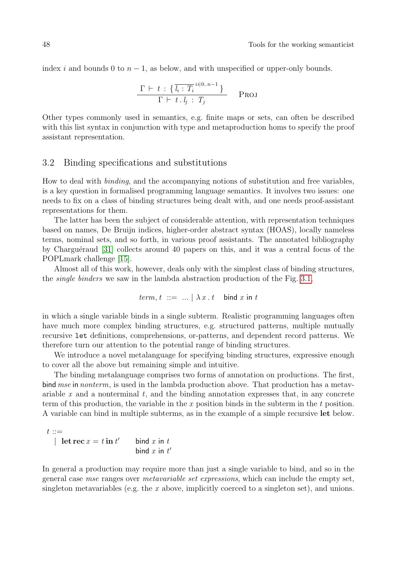index i and bounds 0 to  $n-1$ , as below, and with unspecified or upper-only bounds.

$$
\frac{\Gamma \vdash t : \{ \overline{l_i} : T_i^{i \in 0..n-1} \}}{\Gamma \vdash t . l_j : T_j} \quad \text{PROJ}
$$

Other types commonly used in semantics, e.g. finite maps or sets, can often be described with this list syntax in conjunction with type and metaproduction homs to specify the proof assistant representation.

### 3.2 Binding specifications and substitutions

How to deal with binding, and the accompanying notions of substitution and free variables, is a key question in formalised programming language semantics. It involves two issues: one needs to fix on a class of binding structures being dealt with, and one needs proof-assistant representations for them.

The latter has been the subject of considerable attention, with representation techniques based on names, De Bruijn indices, higher-order abstract syntax (HOAS), locally nameless terms, nominal sets, and so forth, in various proof assistants. The annotated bibliography by Charguéraud [\[31\]](#page-67-2) collects around 40 papers on this, and it was a central focus of the POPLmark challenge [\[15\]](#page-66-0).

Almost all of this work, however, deals only with the simplest class of binding structures, the *single binders* we saw in the lambda abstraction production of the Fig. [3.1,](#page-42-0)

$$
term, t ::= ... | \lambda x . t \text{ bind } x \text{ in } t
$$

in which a single variable binds in a single subterm. Realistic programming languages often have much more complex binding structures, e.g. structured patterns, multiple mutually recursive let definitions, comprehensions, or-patterns, and dependent record patterns. We therefore turn our attention to the potential range of binding structures.

We introduce a novel metalanguage for specifying binding structures, expressive enough to cover all the above but remaining simple and intuitive.

The binding metalanguage comprises two forms of annotation on productions. The first, bind mse in nonterm, is used in the lambda production above. That production has a metavariable x and a nonterminal t, and the binding annotation expresses that, in any concrete term of this production, the variable in the x position binds in the subterm in the t position. A variable can bind in multiple subterms, as in the example of a simple recursive let below.

$$
t ::=
$$
  
 | let  $\operatorname{rec} x = t \operatorname{in} t'$   $\qquad \text{bind } x \text{ in } t$   
  $\qquad \qquad \text{bind } x \text{ in } t'$ 

In general a production may require more than just a single variable to bind, and so in the general case mse ranges over metavariable set expressions, which can include the empty set, singleton metavariables (e.g. the  $x$  above, implicitly coerced to a singleton set), and unions.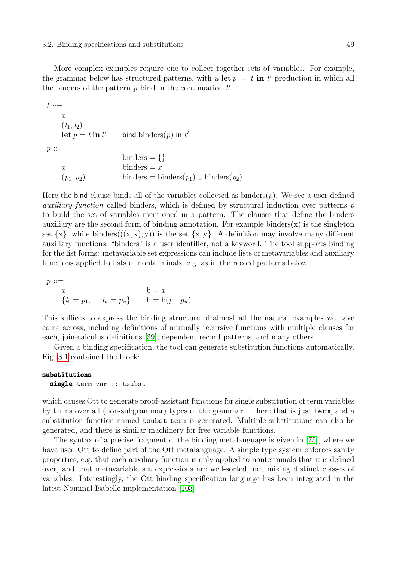#### 3.2. Binding specifications and substitutions 49

More complex examples require one to collect together sets of variables. For example, the grammar below has structured patterns, with a let  $p = t$  in  $t'$  production in which all the binders of the pattern  $p$  bind in the continuation  $t'$ .

```
t ::=\vert x(t_1, t_2)| let p = t in t'\ell bind binders(p) in t'p ::=| \Box binders = {}
  \begin{array}{ccc} x & \text{binders} = x \end{array}(p_1, p_2) binders = binders(p_1) \cup binders(p_2)
```
Here the bind clause binds all of the variables collected as binders $(p)$ . We see a user-defined auxiliary function called binders, which is defined by structural induction over patterns p to build the set of variables mentioned in a pattern. The clauses that define the binders auxiliary are the second form of binding annotation. For example binders $(x)$  is the singleton set  $\{x\}$ , while binders(((x, x), y)) is the set  $\{x, y\}$ . A definition may involve many different auxiliary functions; "binders" is a user identifier, not a keyword. The tool supports binding for the list forms: metavariable set expressions can include lists of metavariables and auxiliary functions applied to lists of nonterminals, e.g. as in the record patterns below.

$$
p ::=
$$
  
\n|x  
\n $\{l_1 = p_1, ..., l_n = p_n\}$   
\n $b = x$   
\n $b = b(p_1..p_n)$ 

This suffices to express the binding structure of almost all the natural examples we have come across, including definitions of mutually recursive functions with multiple clauses for each, join-calculus definitions [\[39\]](#page-68-3), dependent record patterns, and many others.

Given a binding specification, the tool can generate substitution functions automatically. Fig. [3.1](#page-42-0) contained the block:

## substitutions single term var :: tsubst

which causes Ott to generate proof-assistant functions for single substitution of term variables by terms over all (non-subgrammar) types of the grammar — here that is just term, and a substitution function named tsubst term is generated. Multiple substitutions can also be generated, and there is similar machinery for free variable functions.

The syntax of a precise fragment of the binding metalanguage is given in [\[75\]](#page-70-3), where we have used Ott to define part of the Ott metalanguage. A simple type system enforces sanity properties, e.g. that each auxiliary function is only applied to nonterminals that it is defined over, and that metavariable set expressions are well-sorted, not mixing distinct classes of variables. Interestingly, the Ott binding specification language has been integrated in the latest Nominal Isabelle implementation [\[103\]](#page-71-3).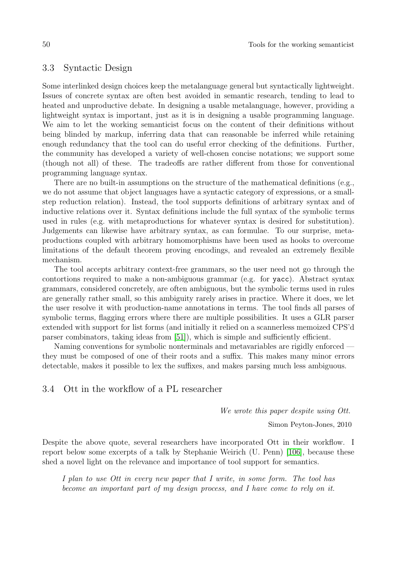# 3.3 Syntactic Design

Some interlinked design choices keep the metalanguage general but syntactically lightweight. Issues of concrete syntax are often best avoided in semantic research, tending to lead to heated and unproductive debate. In designing a usable metalanguage, however, providing a lightweight syntax is important, just as it is in designing a usable programming language. We aim to let the working semanticist focus on the content of their definitions without being blinded by markup, inferring data that can reasonable be inferred while retaining enough redundancy that the tool can do useful error checking of the definitions. Further, the community has developed a variety of well-chosen concise notations; we support some (though not all) of these. The tradeoffs are rather different from those for conventional programming language syntax.

There are no built-in assumptions on the structure of the mathematical definitions (e.g., we do not assume that object languages have a syntactic category of expressions, or a smallstep reduction relation). Instead, the tool supports definitions of arbitrary syntax and of inductive relations over it. Syntax definitions include the full syntax of the symbolic terms used in rules (e.g. with metaproductions for whatever syntax is desired for substitution). Judgements can likewise have arbitrary syntax, as can formulae. To our surprise, metaproductions coupled with arbitrary homomorphisms have been used as hooks to overcome limitations of the default theorem proving encodings, and revealed an extremely flexible mechanism.

The tool accepts arbitrary context-free grammars, so the user need not go through the contortions required to make a non-ambiguous grammar (e.g. for yacc). Abstract syntax grammars, considered concretely, are often ambiguous, but the symbolic terms used in rules are generally rather small, so this ambiguity rarely arises in practice. Where it does, we let the user resolve it with production-name annotations in terms. The tool finds all parses of symbolic terms, flagging errors where there are multiple possibilities. It uses a GLR parser extended with support for list forms (and initially it relied on a scannerless memoized CPS'd parser combinators, taking ideas from [\[51\]](#page-68-4)), which is simple and sufficiently efficient.

Naming conventions for symbolic nonterminals and metavariables are rigidly enforced they must be composed of one of their roots and a suffix. This makes many minor errors detectable, makes it possible to lex the suffixes, and makes parsing much less ambiguous.

# 3.4 Ott in the workflow of a PL researcher

We wrote this paper despite using Ott.

Simon Peyton-Jones, 2010

Despite the above quote, several researchers have incorporated Ott in their workflow. I report below some excerpts of a talk by Stephanie Weirich (U. Penn) [\[106\]](#page-72-0), because these shed a novel light on the relevance and importance of tool support for semantics.

I plan to use Ott in every new paper that I write, in some form. The tool has become an important part of my design process, and I have come to rely on it.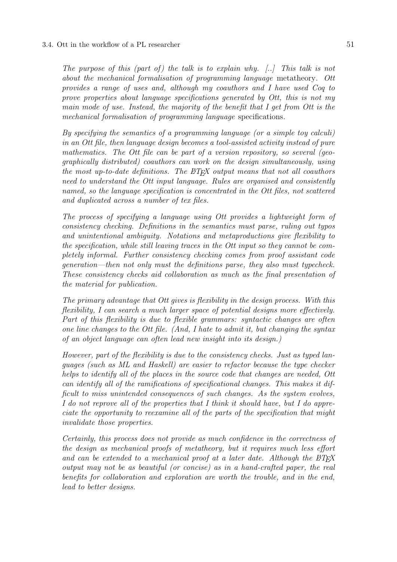#### 3.4. Ott in the workflow of a PL researcher 51

The purpose of this (part of) the talk is to explain why.  $[..]$  This talk is not about the mechanical formalisation of programming language metatheory. Ott provides a range of uses and, although my coauthors and I have used Coq to prove properties about language specifications generated by Ott, this is not my main mode of use. Instead, the majority of the benefit that I get from Ott is the mechanical formalisation of programming language specifications.

By specifying the semantics of a programming language (or a simple toy calculi) in an Ott file, then language design becomes a tool-assisted activity instead of pure mathematics. The Ott file can be part of a version repository, so several (geographically distributed) coauthors can work on the design simultaneously, using the most up-to-date definitions. The  $\angle BTK$  output means that not all coauthors need to understand the Ott input language. Rules are organised and consistently named, so the language specification is concentrated in the Ott files, not scattered and duplicated across a number of tex files.

The process of specifying a language using Ott provides a lightweight form of consistency checking. Definitions in the semantics must parse, ruling out typos and unintentional ambiguity. Notations and metaproductions give flexibility to the specification, while still leaving traces in the Ott input so they cannot be completely informal. Further consistency checking comes from proof assistant code generation—then not only must the definitions parse, they also must typecheck. These consistency checks aid collaboration as much as the final presentation of the material for publication.

The primary advantage that Ott gives is flexibility in the design process. With this flexibility, I can search a much larger space of potential designs more effectively. Part of this flexibility is due to flexible grammars: syntactic changes are often one line changes to the Ott file. (And, I hate to admit it, but changing the syntax of an object language can often lead new insight into its design.)

However, part of the flexibility is due to the consistency checks. Just as typed languages (such as ML and Haskell) are easier to refactor because the type checker helps to identify all of the places in the source code that changes are needed, Ott can identify all of the ramifications of specificational changes. This makes it difficult to miss unintended consequences of such changes. As the system evolves, I do not reprove all of the properties that I think it should have, but I do appreciate the opportunity to reexamine all of the parts of the specification that might invalidate those properties.

Certainly, this process does not provide as much confidence in the correctness of the design as mechanical proofs of metatheory, but it requires much less effort and can be extended to a mechanical proof at a later date. Although the  $B T_F X$ output may not be as beautiful (or concise) as in a hand-crafted paper, the real benefits for collaboration and exploration are worth the trouble, and in the end, lead to better designs.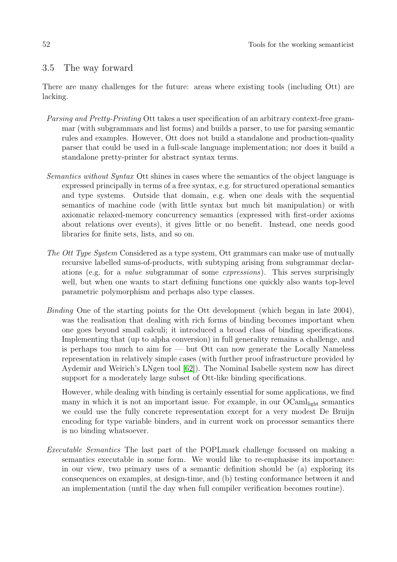# 3.5 The way forward

There are many challenges for the future: areas where existing tools (including Ott) are lacking.

- Parsing and Pretty-Printing Ott takes a user specification of an arbitrary context-free grammar (with subgrammars and list forms) and builds a parser, to use for parsing semantic rules and examples. However, Ott does not build a standalone and production-quality parser that could be used in a full-scale language implementation; nor does it build a standalone pretty-printer for abstract syntax terms.
- Semantics without Syntax Ott shines in cases where the semantics of the object language is expressed principally in terms of a free syntax, e.g. for structured operational semantics and type systems. Outside that domain, e.g. when one deals with the sequential semantics of machine code (with little syntax but much bit manipulation) or with axiomatic relaxed-memory concurrency semantics (expressed with first-order axioms about relations over events), it gives little or no benefit. Instead, one needs good libraries for finite sets, lists, and so on.
- The Ott Type System Considered as a type system, Ott grammars can make use of mutually recursive labelled sums-of-products, with subtyping arising from subgrammar declarations (e.g. for a value subgrammar of some expressions). This serves surprisingly well, but when one wants to start defining functions one quickly also wants top-level parametric polymorphism and perhaps also type classes.
- Binding One of the starting points for the Ott development (which began in late 2004), was the realisation that dealing with rich forms of binding becomes important when one goes beyond small calculi; it introduced a broad class of binding specifications. Implementing that (up to alpha conversion) in full generality remains a challenge, and is perhaps too much to aim for — but Ott can now generate the Locally Nameless representation in relatively simple cases (with further proof infrastructure provided by Aydemir and Weirich's LNgen tool [\[62\]](#page-69-3)). The Nominal Isabelle system now has direct support for a moderately large subset of Ott-like binding specifications.

However, while dealing with binding is certainly essential for some applications, we find many in which it is not an important issue. For example, in our OCaml<sub>light</sub> semantics we could use the fully concrete representation except for a very modest De Bruijn encoding for type variable binders, and in current work on processor semantics there is no binding whatsoever.

Executable Semantics The last part of the POPLmark challenge focussed on making a semantics executable in some form. We would like to re-emphasise its importance: in our view, two primary uses of a semantic definition should be (a) exploring its consequences on examples, at design-time, and (b) testing conformance between it and an implementation (until the day when full compiler verification becomes routine).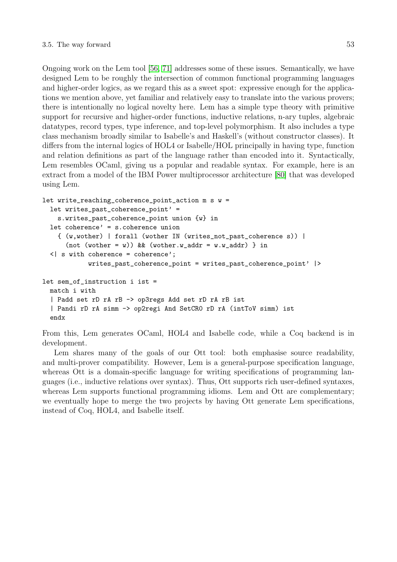Ongoing work on the Lem tool [\[56,](#page-69-4) [71\]](#page-69-5) addresses some of these issues. Semantically, we have designed Lem to be roughly the intersection of common functional programming languages and higher-order logics, as we regard this as a sweet spot: expressive enough for the applications we mention above, yet familiar and relatively easy to translate into the various provers; there is intentionally no logical novelty here. Lem has a simple type theory with primitive support for recursive and higher-order functions, inductive relations, n-ary tuples, algebraic datatypes, record types, type inference, and top-level polymorphism. It also includes a type class mechanism broadly similar to Isabelle's and Haskell's (without constructor classes). It differs from the internal logics of HOL4 or Isabelle/HOL principally in having type, function and relation definitions as part of the language rather than encoded into it. Syntactically, Lem resembles OCaml, giving us a popular and readable syntax. For example, here is an extract from a model of the IBM Power multiprocessor architecture [\[80\]](#page-70-4) that was developed using Lem.

```
let write_reaching_coherence_point_action m s w =
 let writes_past_coherence_point' =
   s.writes_past_coherence_point union {w} in
 let coherence' = s.coherence union
   { (w,wother) | forall (wother IN (writes_not_past_coherence s)) |
      (not (wother = w)) && (wother.w_addr = w.w_addr) } in
 <| s with coherence = coherence';
           writes_past_coherence_point = writes_past_coherence_point' |>
let sem_of_instruction i ist =
 match i with
 | Padd set rD rA rB -> op3regs Add set rD rA rB ist
 | Pandi rD rA simm -> op2regi And SetCR0 rD rA (intToV simm) ist
 endx
```
From this, Lem generates OCaml, HOL4 and Isabelle code, while a Coq backend is in development.

Lem shares many of the goals of our Ott tool: both emphasise source readability, and multi-prover compatibility. However, Lem is a general-purpose specification language, whereas Ott is a domain-specific language for writing specifications of programming languages (i.e., inductive relations over syntax). Thus, Ott supports rich user-defined syntaxes, whereas Lem supports functional programming idioms. Lem and Ott are complementary; we eventually hope to merge the two projects by having Ott generate Lem specifications, instead of Coq, HOL4, and Isabelle itself.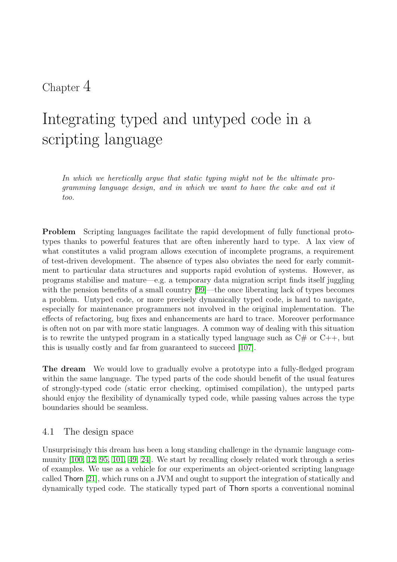# Chapter  $4$

# Integrating typed and untyped code in a scripting language

In which we heretically argue that static typing might not be the ultimate programming language design, and in which we want to have the cake and eat it too.

Problem Scripting languages facilitate the rapid development of fully functional prototypes thanks to powerful features that are often inherently hard to type. A lax view of what constitutes a valid program allows execution of incomplete programs, a requirement of test-driven development. The absence of types also obviates the need for early commitment to particular data structures and supports rapid evolution of systems. However, as programs stabilise and mature—e.g. a temporary data migration script finds itself juggling with the pension benefits of a small country [\[99\]](#page-71-4)—the once liberating lack of types becomes a problem. Untyped code, or more precisely dynamically typed code, is hard to navigate, especially for maintenance programmers not involved in the original implementation. The effects of refactoring, bug fixes and enhancements are hard to trace. Moreover performance is often not on par with more static languages. A common way of dealing with this situation is to rewrite the untyped program in a statically typed language such as  $C#$  or  $C++$ , but this is usually costly and far from guaranteed to succeed [\[107\]](#page-72-1).

The dream We would love to gradually evolve a prototype into a fully-fledged program within the same language. The typed parts of the code should benefit of the usual features of strongly-typed code (static error checking, optimised compilation), the untyped parts should enjoy the flexibility of dynamically typed code, while passing values across the type boundaries should be seamless.

# 4.1 The design space

Unsurprisingly this dream has been a long standing challenge in the dynamic language community [\[100,](#page-71-5) [12,](#page-66-1) [95,](#page-71-6) [101,](#page-71-7) [49,](#page-68-5) [24\]](#page-67-3). We start by recalling closely related work through a series of examples. We use as a vehicle for our experiments an object-oriented scripting language called Thorn [\[21\]](#page-67-4), which runs on a JVM and ought to support the integration of statically and dynamically typed code. The statically typed part of Thorn sports a conventional nominal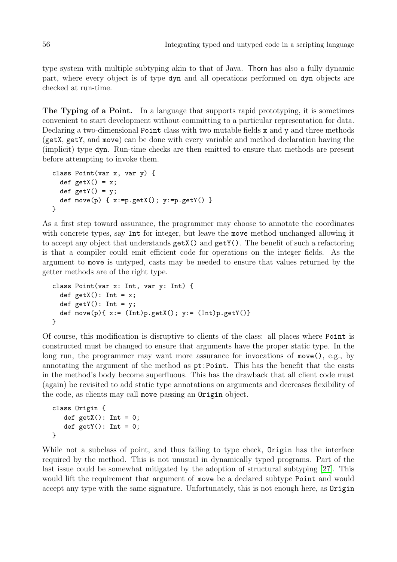type system with multiple subtyping akin to that of Java. Thorn has also a fully dynamic part, where every object is of type dyn and all operations performed on dyn objects are checked at run-time.

The Typing of a Point. In a language that supports rapid prototyping, it is sometimes convenient to start development without committing to a particular representation for data. Declaring a two-dimensional Point class with two mutable fields x and y and three methods (getX, getY, and move) can be done with every variable and method declaration having the (implicit) type dyn. Run-time checks are then emitted to ensure that methods are present before attempting to invoke them.

```
class Point(var x, var y) {
 def getX() = x;def getY() = y;def move(p) { x:=p.getX(); y:=p.getY() }
}
```
As a first step toward assurance, the programmer may choose to annotate the coordinates with concrete types, say Int for integer, but leave the move method unchanged allowing it to accept any object that understands getX() and getY(). The benefit of such a refactoring is that a compiler could emit efficient code for operations on the integer fields. As the argument to move is untyped, casts may be needed to ensure that values returned by the getter methods are of the right type.

```
class Point(var x: Int, var y: Int) {
  def getX(): Int = x;
  def getY(): Int = y;
  def move(p){x:= (Int)p.getX(); y:= (Int)p.getY()}
}
```
Of course, this modification is disruptive to clients of the class: all places where Point is constructed must be changed to ensure that arguments have the proper static type. In the long run, the programmer may want more assurance for invocations of move(), e.g., by annotating the argument of the method as pt:Point. This has the benefit that the casts in the method's body become superfluous. This has the drawback that all client code must (again) be revisited to add static type annotations on arguments and decreases flexibility of the code, as clients may call move passing an Origin object.

```
class Origin {
   def getX(): Int = 0;
   def getY(): Int = 0;
}
```
While not a subclass of point, and thus failing to type check, **Origin** has the interface required by the method. This is not unusual in dynamically typed programs. Part of the last issue could be somewhat mitigated by the adoption of structural subtyping [\[27\]](#page-67-5). This would lift the requirement that argument of move be a declared subtype Point and would accept any type with the same signature. Unfortunately, this is not enough here, as Origin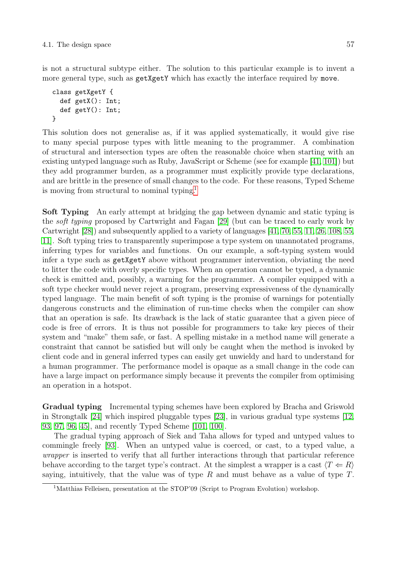is not a structural subtype either. The solution to this particular example is to invent a more general type, such as getXgetY which has exactly the interface required by move.

```
class getXgetY {
  def getX(): Int;
  def getY(): Int;
}
```
This solution does not generalise as, if it was applied systematically, it would give rise to many special purpose types with little meaning to the programmer. A combination of structural and intersection types are often the reasonable choice when starting with an existing untyped language such as Ruby, JavaScript or Scheme (see for example [\[41,](#page-68-6) [101\]](#page-71-7)) but they add programmer burden, as a programmer must explicitly provide type declarations, and are brittle in the presence of small changes to the code. For these reasons, Typed Scheme is moving from structural to nominal typing[.](#page-56-0)<sup>1</sup>

Soft Typing An early attempt at bridging the gap between dynamic and static typing is the soft typing proposed by Cartwright and Fagan [\[29\]](#page-67-6) (but can be traced to early work by Cartwright [\[28\]](#page-67-7)) and subsequently applied to a variety of languages [\[41,](#page-68-6) [70,](#page-69-6) [55,](#page-69-7) [11,](#page-66-2) [26,](#page-67-8) [108,](#page-72-2) [55,](#page-69-7) [11\]](#page-66-2). Soft typing tries to transparently superimpose a type system on unannotated programs, inferring types for variables and functions. On our example, a soft-typing system would infer a type such as getXgetY above without programmer intervention, obviating the need to litter the code with overly specific types. When an operation cannot be typed, a dynamic check is emitted and, possibly, a warning for the programmer. A compiler equipped with a soft type checker would never reject a program, preserving expressiveness of the dynamically typed language. The main benefit of soft typing is the promise of warnings for potentially dangerous constructs and the elimination of run-time checks when the compiler can show that an operation is safe. Its drawback is the lack of static guarantee that a given piece of code is free of errors. It is thus not possible for programmers to take key pieces of their system and "make" them safe, or fast. A spelling mistake in a method name will generate a constraint that cannot be satisfied but will only be caught when the method is invoked by client code and in general inferred types can easily get unwieldy and hard to understand for a human programmer. The performance model is opaque as a small change in the code can have a large impact on performance simply because it prevents the compiler from optimising an operation in a hotspot.

Gradual typing Incremental typing schemes have been explored by Bracha and Griswold in Strongtalk [\[24\]](#page-67-3) which inspired pluggable types [\[23\]](#page-67-9), in various gradual type systems [\[12,](#page-66-1) [93,](#page-71-8) [97,](#page-71-9) [96,](#page-71-10) [45\]](#page-68-7), and recently Typed Scheme [\[101,](#page-71-7) [100\]](#page-71-5).

The gradual typing approach of Siek and Taha allows for typed and untyped values to commingle freely [\[93\]](#page-71-8). When an untyped value is coerced, or cast, to a typed value, a wrapper is inserted to verify that all further interactions through that particular reference behave according to the target type's contract. At the simplest a wrapper is a cast  $\langle T \leftarrow R \rangle$ saying, intuitively, that the value was of type R and must behave as a value of type  $T$ .

<span id="page-56-0"></span><sup>&</sup>lt;sup>1</sup>Matthias Felleisen, presentation at the STOP'09 (Script to Program Evolution) workshop.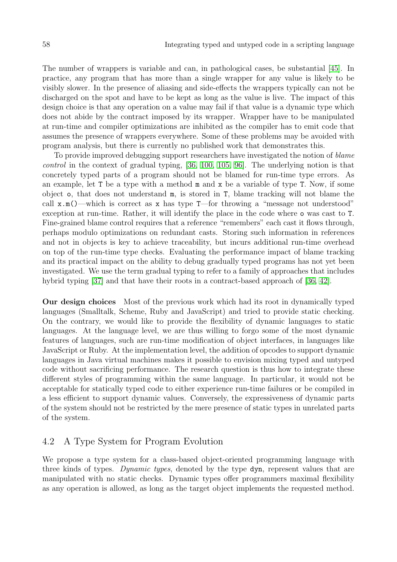The number of wrappers is variable and can, in pathological cases, be substantial [\[45\]](#page-68-7). In practice, any program that has more than a single wrapper for any value is likely to be visibly slower. In the presence of aliasing and side-effects the wrappers typically can not be discharged on the spot and have to be kept as long as the value is live. The impact of this design choice is that any operation on a value may fail if that value is a dynamic type which does not abide by the contract imposed by its wrapper. Wrapper have to be manipulated at run-time and compiler optimizations are inhibited as the compiler has to emit code that assumes the presence of wrappers everywhere. Some of these problems may be avoided with program analysis, but there is currently no published work that demonstrates this.

To provide improved debugging support researchers have investigated the notion of blame control in the context of gradual typing, [\[36,](#page-68-8) [100,](#page-71-5) [105,](#page-72-3) [96\]](#page-71-10). The underlying notion is that concretely typed parts of a program should not be blamed for run-time type errors. As an example, let  $T$  be a type with a method  $m$  and  $x$  be a variable of type  $T$ . Now, if some object o, that does not understand m, is stored in T, blame tracking will not blame the call  $x.m()$ —which is correct as x has type  $T$ —for throwing a "message not understood" exception at run-time. Rather, it will identify the place in the code where o was cast to T. Fine-grained blame control requires that a reference "remembers" each cast it flows through, perhaps modulo optimizations on redundant casts. Storing such information in references and not in objects is key to achieve traceability, but incurs additional run-time overhead on top of the run-time type checks. Evaluating the performance impact of blame tracking and its practical impact on the ability to debug gradually typed programs has not yet been investigated. We use the term gradual typing to refer to a family of approaches that includes hybrid typing [\[37\]](#page-68-9) and that have their roots in a contract-based approach of [\[36,](#page-68-8) [42\]](#page-68-10).

Our design choices Most of the previous work which had its root in dynamically typed languages (Smalltalk, Scheme, Ruby and JavaScript) and tried to provide static checking. On the contrary, we would like to provide the flexibility of dynamic languages to static languages. At the language level, we are thus willing to forgo some of the most dynamic features of languages, such are run-time modification of object interfaces, in languages like JavaScript or Ruby. At the implementation level, the addition of opcodes to support dynamic languages in Java virtual machines makes it possible to envision mixing typed and untyped code without sacrificing performance. The research question is thus how to integrate these different styles of programming within the same language. In particular, it would not be acceptable for statically typed code to either experience run-time failures or be compiled in a less efficient to support dynamic values. Conversely, the expressiveness of dynamic parts of the system should not be restricted by the mere presence of static types in unrelated parts of the system.

# 4.2 A Type System for Program Evolution

We propose a type system for a class-based object-oriented programming language with three kinds of types. Dynamic types, denoted by the type dyn, represent values that are manipulated with no static checks. Dynamic types offer programmers maximal flexibility as any operation is allowed, as long as the target object implements the requested method.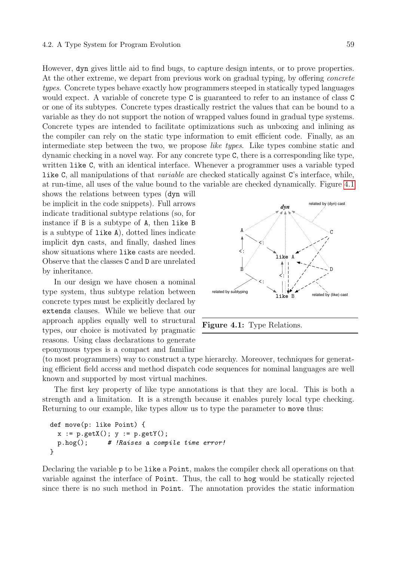However, dyn gives little aid to find bugs, to capture design intents, or to prove properties. At the other extreme, we depart from previous work on gradual typing, by offering *concrete* types. Concrete types behave exactly how programmers steeped in statically typed languages would expect. A variable of concrete type C is guaranteed to refer to an instance of class C or one of its subtypes. Concrete types drastically restrict the values that can be bound to a variable as they do not support the notion of wrapped values found in gradual type systems. Concrete types are intended to facilitate optimizations such as unboxing and inlining as the compiler can rely on the static type information to emit efficient code. Finally, as an intermediate step between the two, we propose like types. Like types combine static and dynamic checking in a novel way. For any concrete type C, there is a corresponding like type, written like C, with an identical interface. Whenever a programmer uses a variable typed like C, all manipulations of that variable are checked statically against C's interface, while, at run-time, all uses of the value bound to the variable are checked dynamically. Figure [4.1](#page-58-0)

shows the relations between types (dyn will be implicit in the code snippets). Full arrows indicate traditional subtype relations (so, for instance if B is a subtype of A, then like B is a subtype of like A), dotted lines indicate implicit dyn casts, and finally, dashed lines show situations where like casts are needed. Observe that the classes C and D are unrelated by inheritance.

In our design we have chosen a nominal type system, thus subtype relation between concrete types must be explicitly declared by extends clauses. While we believe that our approach applies equally well to structural types, our choice is motivated by pragmatic reasons. Using class declarations to generate eponymous types is a compact and familiar

<span id="page-58-0"></span>

(to most programmers) way to construct a type hierarchy. Moreover, techniques for generating efficient field access and method dispatch code sequences for nominal languages are well known and supported by most virtual machines.

The first key property of like type annotations is that they are local. This is both a strength and a limitation. It is a strength because it enables purely local type checking. Returning to our example, like types allow us to type the parameter to move thus:

```
def move(p: like Point) {
 x := p.getX(); y := p.getY();
 p.hog(); # !Raises a compile time error!
}
```
Declaring the variable p to be like a Point, makes the compiler check all operations on that variable against the interface of Point. Thus, the call to hog would be statically rejected since there is no such method in Point. The annotation provides the static information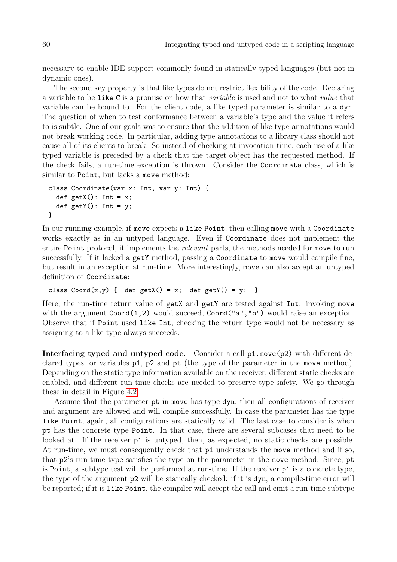necessary to enable IDE support commonly found in statically typed languages (but not in dynamic ones).

The second key property is that like types do not restrict flexibility of the code. Declaring a variable to be like C is a promise on how that variable is used and not to what value that variable can be bound to. For the client code, a like typed parameter is similar to a dyn. The question of when to test conformance between a variable's type and the value it refers to is subtle. One of our goals was to ensure that the addition of like type annotations would not break working code. In particular, adding type annotations to a library class should not cause all of its clients to break. So instead of checking at invocation time, each use of a like typed variable is preceded by a check that the target object has the requested method. If the check fails, a run-time exception is thrown. Consider the Coordinate class, which is similar to Point, but lacks a move method:

```
class Coordinate(var x: Int, var y: Int) {
  def getX(): Int = x;
  def getY(): Int = y;
}
```
In our running example, if move expects a like Point, then calling move with a Coordinate works exactly as in an untyped language. Even if Coordinate does not implement the entire Point protocol, it implements the *relevant* parts, the methods needed for move to run successfully. If it lacked a getY method, passing a Coordinate to move would compile fine, but result in an exception at run-time. More interestingly, move can also accept an untyped definition of Coordinate:

class  $Coord(x,y)$  { def getX() = x; def getY() = y; }

Here, the run-time return value of getX and getY are tested against Int: invoking move with the argument Coord(1,2) would succeed, Coord("a","b") would raise an exception. Observe that if Point used like Int, checking the return type would not be necessary as assigning to a like type always succeeds.

Interfacing typed and untyped code. Consider a call p1.move(p2) with different declared types for variables p1, p2 and pt (the type of the parameter in the move method). Depending on the static type information available on the receiver, different static checks are enabled, and different run-time checks are needed to preserve type-safety. We go through these in detail in Figure [4.2.](#page-60-0)

Assume that the parameter pt in move has type dyn, then all configurations of receiver and argument are allowed and will compile successfully. In case the parameter has the type like Point, again, all configurations are statically valid. The last case to consider is when pt has the concrete type Point. In that case, there are several subcases that need to be looked at. If the receiver p1 is untyped, then, as expected, no static checks are possible. At run-time, we must consequently check that p1 understands the move method and if so, that p2's run-time type satisfies the type on the parameter in the move method. Since, pt is Point, a subtype test will be performed at run-time. If the receiver p1 is a concrete type, the type of the argument p2 will be statically checked: if it is dyn, a compile-time error will be reported; if it is like Point, the compiler will accept the call and emit a run-time subtype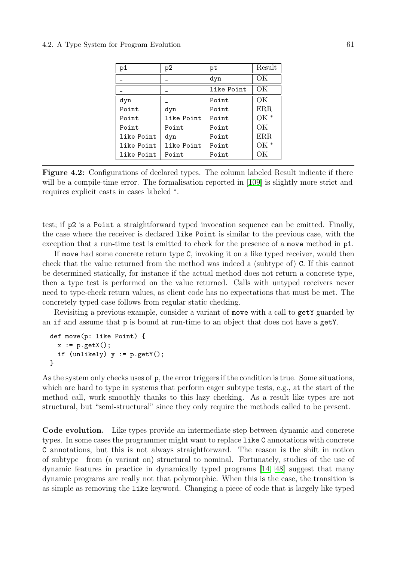#### 4.2. A Type System for Program Evolution 61

| p1         | p2         | рt         | Result |
|------------|------------|------------|--------|
|            |            | dyn        | OК     |
|            |            | like Point | ОK     |
| dyn        |            | Point      | OК     |
| Point      | dyn        | Point      | ERR    |
| Point      | like Point | Point      | $OK *$ |
| Point      | Point      | Point      | ОK     |
| like Point | dyn        | Point      | ERR    |
| like Point | like Point | Point      | $OK *$ |
| like Point | Point      | Point      | OК     |

<span id="page-60-0"></span>Figure 4.2: Configurations of declared types. The column labeled Result indicate if there will be a compile-time error. The formalisation reported in [\[109\]](#page-72-4) is slightly more strict and requires explicit casts in cases labeled <sup>∗</sup> .

test; if p2 is a Point a straightforward typed invocation sequence can be emitted. Finally, the case where the receiver is declared like Point is similar to the previous case, with the exception that a run-time test is emitted to check for the presence of a move method in p1.

If move had some concrete return type C, invoking it on a like typed receiver, would then check that the value returned from the method was indeed a (subtype of) C. If this cannot be determined statically, for instance if the actual method does not return a concrete type, then a type test is performed on the value returned. Calls with untyped receivers never need to type-check return values, as client code has no expectations that must be met. The concretely typed case follows from regular static checking.

Revisiting a previous example, consider a variant of move with a call to getY guarded by an if and assume that p is bound at run-time to an object that does not have a getY.

```
def move(p: like Point) {
  x := p.getX();
  if (unlikely) y := p.getY();
}
```
As the system only checks uses of  $p$ , the error triggers if the condition is true. Some situations, which are hard to type in systems that perform eager subtype tests, e.g., at the start of the method call, work smoothly thanks to this lazy checking. As a result like types are not structural, but "semi-structural" since they only require the methods called to be present.

Code evolution. Like types provide an intermediate step between dynamic and concrete types. In some cases the programmer might want to replace like C annotations with concrete C annotations, but this is not always straightforward. The reason is the shift in notion of subtype—from (a variant on) structural to nominal. Fortunately, studies of the use of dynamic features in practice in dynamically typed programs [\[14,](#page-66-3) [48\]](#page-68-11) suggest that many dynamic programs are really not that polymorphic. When this is the case, the transition is as simple as removing the like keyword. Changing a piece of code that is largely like typed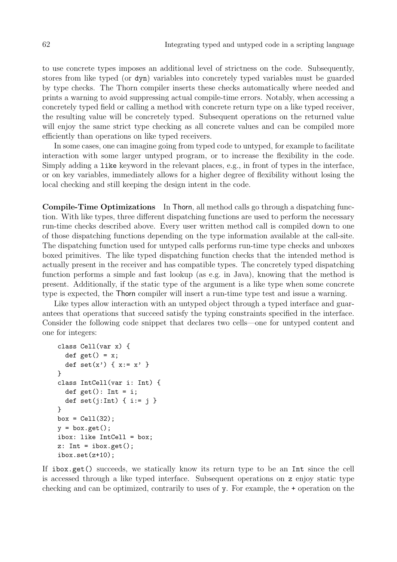to use concrete types imposes an additional level of strictness on the code. Subsequently, stores from like typed (or dyn) variables into concretely typed variables must be guarded by type checks. The Thorn compiler inserts these checks automatically where needed and prints a warning to avoid suppressing actual compile-time errors. Notably, when accessing a concretely typed field or calling a method with concrete return type on a like typed receiver, the resulting value will be concretely typed. Subsequent operations on the returned value will enjoy the same strict type checking as all concrete values and can be compiled more efficiently than operations on like typed receivers.

In some cases, one can imagine going from typed code to untyped, for example to facilitate interaction with some larger untyped program, or to increase the flexibility in the code. Simply adding a like keyword in the relevant places, e.g., in front of types in the interface, or on key variables, immediately allows for a higher degree of flexibility without losing the local checking and still keeping the design intent in the code.

Compile-Time Optimizations In Thorn, all method calls go through a dispatching function. With like types, three different dispatching functions are used to perform the necessary run-time checks described above. Every user written method call is compiled down to one of those dispatching functions depending on the type information available at the call-site. The dispatching function used for untyped calls performs run-time type checks and unboxes boxed primitives. The like typed dispatching function checks that the intended method is actually present in the receiver and has compatible types. The concretely typed dispatching function performs a simple and fast lookup (as e.g. in Java), knowing that the method is present. Additionally, if the static type of the argument is a like type when some concrete type is expected, the Thorn compiler will insert a run-time type test and issue a warning.

Like types allow interaction with an untyped object through a typed interface and guarantees that operations that succeed satisfy the typing constraints specified in the interface. Consider the following code snippet that declares two cells—one for untyped content and one for integers:

```
class Cell(var x) {
  def get() = x;
  def set(x') { x:= x' }
}
class IntCell(var i: Int) {
  def get(): Int = i;
  def set(j:Int) { i := j }
}
box = Cell(32);y = box.get();
ibox: like IntCell = box;
z: Int = ibox.get();
ibox.set(z+10);
```
If ibox.get() succeeds, we statically know its return type to be an Int since the cell is accessed through a like typed interface. Subsequent operations on z enjoy static type checking and can be optimized, contrarily to uses of y. For example, the + operation on the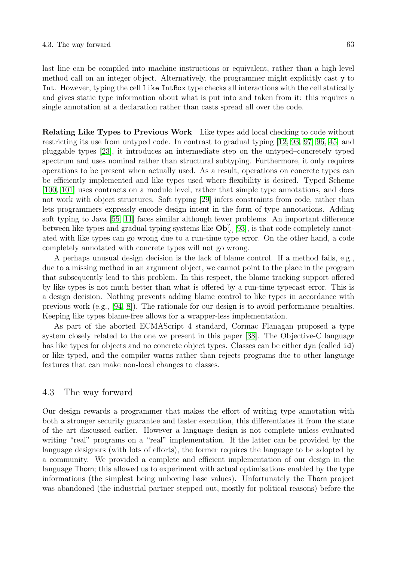last line can be compiled into machine instructions or equivalent, rather than a high-level method call on an integer object. Alternatively, the programmer might explicitly cast y to Int. However, typing the cell like IntBox type checks all interactions with the cell statically and gives static type information about what is put into and taken from it: this requires a single annotation at a declaration rather than casts spread all over the code.

Relating Like Types to Previous Work Like types add local checking to code without restricting its use from untyped code. In contrast to gradual typing [\[12,](#page-66-1) [93,](#page-71-8) [97,](#page-71-9) [96,](#page-71-10) [45\]](#page-68-7) and pluggable types [\[23\]](#page-67-9), it introduces an intermediate step on the untyped–concretely typed spectrum and uses nominal rather than structural subtyping. Furthermore, it only requires operations to be present when actually used. As a result, operations on concrete types can be efficiently implemented and like types used where flexibility is desired. Typed Scheme [\[100,](#page-71-5) [101\]](#page-71-7) uses contracts on a module level, rather that simple type annotations, and does not work with object structures. Soft typing [\[29\]](#page-67-6) infers constraints from code, rather than lets programmers expressly encode design intent in the form of type annotations. Adding soft typing to Java [\[55,](#page-69-7) [11\]](#page-66-2) faces similar although fewer problems. An important difference between like types and gradual typing systems like  $\mathbf{Ob}^?_{\leq}$  [\[93\]](#page-71-8), is that code completely annotated with like types can go wrong due to a run-time type error. On the other hand, a code completely annotated with concrete types will not go wrong.

A perhaps unusual design decision is the lack of blame control. If a method fails, e.g., due to a missing method in an argument object, we cannot point to the place in the program that subsequently lead to this problem. In this respect, the blame tracking support offered by like types is not much better than what is offered by a run-time typecast error. This is a design decision. Nothing prevents adding blame control to like types in accordance with previous work (e.g., [\[94,](#page-71-11) [8\]](#page-66-4)). The rationale for our design is to avoid performance penalties. Keeping like types blame-free allows for a wrapper-less implementation.

As part of the aborted ECMAScript 4 standard, Cormac Flanagan proposed a type system closely related to the one we present in this paper [\[38\]](#page-68-12). The Objective-C language has like types for objects and no concrete object types. Classes can be either dyn (called id) or like typed, and the compiler warns rather than rejects programs due to other language features that can make non-local changes to classes.

### 4.3 The way forward

Our design rewards a programmer that makes the effort of writing type annotation with both a stronger security guarantee and faster execution, this differentiates it from the state of the art discussed earlier. However a language design is not complete unless evaluated writing "real" programs on a "real" implementation. If the latter can be provided by the language designers (with lots of efforts), the former requires the language to be adopted by a community. We provided a complete and efficient implementation of our design in the language Thorn; this allowed us to experiment with actual optimisations enabled by the type informations (the simplest being unboxing base values). Unfortunately the Thorn project was abandoned (the industrial partner stepped out, mostly for political reasons) before the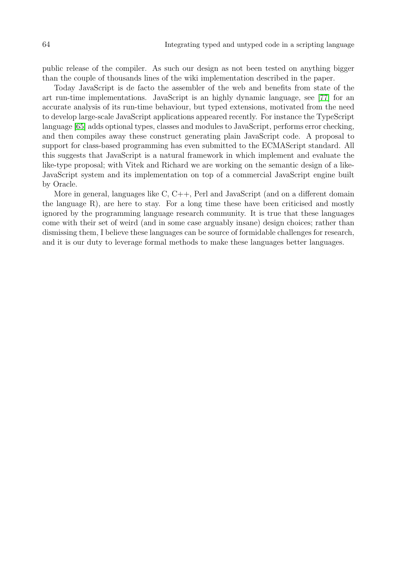public release of the compiler. As such our design as not been tested on anything bigger than the couple of thousands lines of the wiki implementation described in the paper.

Today JavaScript is de facto the assembler of the web and benefits from state of the art run-time implementations. JavaScript is an highly dynamic language, see [\[77\]](#page-70-5) for an accurate analysis of its run-time behaviour, but typed extensions, motivated from the need to develop large-scale JavaScript applications appeared recently. For instance the TypeScript language [\[65\]](#page-69-8) adds optional types, classes and modules to JavaScript, performs error checking, and then compiles away these construct generating plain JavaScript code. A proposal to support for class-based programming has even submitted to the ECMAScript standard. All this suggests that JavaScript is a natural framework in which implement and evaluate the like-type proposal; with Vitek and Richard we are working on the semantic design of a like-JavaScript system and its implementation on top of a commercial JavaScript engine built by Oracle.

More in general, languages like C, C++, Perl and JavaScript (and on a different domain the language  $R$ ), are here to stay. For a long time these have been criticised and mostly ignored by the programming language research community. It is true that these languages come with their set of weird (and in some case arguably insane) design choices; rather than dismissing them, I believe these languages can be source of formidable challenges for research, and it is our duty to leverage formal methods to make these languages better languages.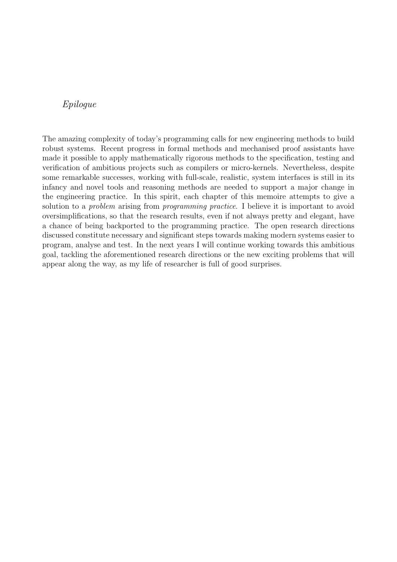# Epilogue

The amazing complexity of today's programming calls for new engineering methods to build robust systems. Recent progress in formal methods and mechanised proof assistants have made it possible to apply mathematically rigorous methods to the specification, testing and verification of ambitious projects such as compilers or micro-kernels. Nevertheless, despite some remarkable successes, working with full-scale, realistic, system interfaces is still in its infancy and novel tools and reasoning methods are needed to support a major change in the engineering practice. In this spirit, each chapter of this memoire attempts to give a solution to a *problem* arising from *programming practice*. I believe it is important to avoid oversimplifications, so that the research results, even if not always pretty and elegant, have a chance of being backported to the programming practice. The open research directions discussed constitute necessary and significant steps towards making modern systems easier to program, analyse and test. In the next years I will continue working towards this ambitious goal, tackling the aforementioned research directions or the new exciting problems that will appear along the way, as my life of researcher is full of good surprises.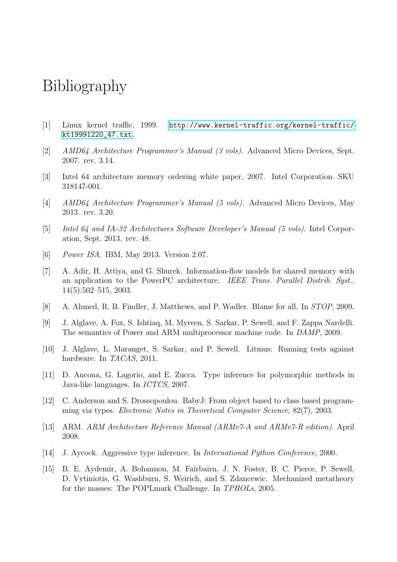# Bibliography

- [1] Linux kernel traffic, 1999. [http://www.kernel-traffic.org/kernel-traffic/](http://www.kernel-traffic.org/kernel-traffic/kt19991220_47.txt) [kt19991220\\_47.txt](http://www.kernel-traffic.org/kernel-traffic/kt19991220_47.txt).
- [2] AMD64 Architecture Programmer's Manual (3 vols). Advanced Micro Devices, Sept. 2007. rev. 3.14.
- [3] Intel 64 architecture memory ordering white paper, 2007. Intel Corporation. SKU 318147-001.
- [4] AMD64 Architecture Programmer's Manual (5 vols). Advanced Micro Devices, May 2013. rev. 3.20.
- [5] Intel 64 and IA-32 Architectures Software Developer's Manual (5 vols). Intel Corporation, Sept. 2013. rev. 48.
- [6] *Power ISA.* IBM, May 2013. Version 2.07.
- [7] A. Adir, H. Attiya, and G. Shurek. Information-flow models for shared memory with an application to the PowerPC architecture. IEEE Trans. Parallel Distrib. Syst., 14(5):502–515, 2003.
- <span id="page-66-4"></span>[8] A. Ahmed, R. B. Findler, J. Matthews, and P. Wadler. Blame for all. In STOP, 2009.
- [9] J. Alglave, A. Fox, S. Ishtiaq, M. Myreen, S. Sarkar, P. Sewell, and F. Zappa Nardelli. The semantics of Power and ARM multiprocessor machine code. In DAMP, 2009.
- [10] J. Alglave, L. Maranget, S. Sarkar, and P. Sewell. Litmus: Running tests against hardware. In TACAS, 2011.
- <span id="page-66-2"></span>[11] D. Ancona, G. Lagorio, and E. Zucca. Type inference for polymorphic methods in Java-like languages. In ICTCS, 2007.
- <span id="page-66-1"></span>[12] C. Anderson and S. Drossopoulou. BabyJ: From object based to class based programming via types. Electronic Notes in Theoretical Computer Science, 82(7), 2003.
- [13] ARM. ARM Architecture Reference Manual (ARMv7-A and ARMv7-R edition). April 2008.
- <span id="page-66-3"></span>[14] J. Aycock. Aggressive type inference. In International Python Conference, 2000.
- <span id="page-66-0"></span>[15] B. E. Aydemir, A. Bohannon, M. Fairbairn, J. N. Foster, B. C. Pierce, P. Sewell, D. Vytiniotis, G. Washburn, S. Weirich, and S. Zdancewic. Mechanized metatheory for the masses: The POPLmark Challenge. In TPHOLs, 2005.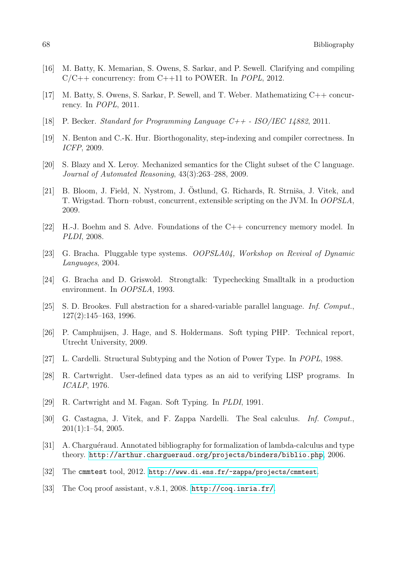- [16] M. Batty, K. Memarian, S. Owens, S. Sarkar, and P. Sewell. Clarifying and compiling  $C/C++$  concurrency: from  $C++11$  to POWER. In *POPL*, 2012.
- [17] M. Batty, S. Owens, S. Sarkar, P. Sewell, and T. Weber. Mathematizing C++ concurrency. In POPL, 2011.
- [18] P. Becker. Standard for Programming Language C++ ISO/IEC 14882, 2011.
- [19] N. Benton and C.-K. Hur. Biorthogonality, step-indexing and compiler correctness. In ICFP, 2009.
- [20] S. Blazy and X. Leroy. Mechanized semantics for the Clight subset of the C language. Journal of Automated Reasoning, 43(3):263–288, 2009.
- <span id="page-67-4"></span>[21] B. Bloom, J. Field, N. Nystrom, J. Ostlund, G. Richards, R. Strniša, J. Vitek, and T. Wrigstad. Thorn–robust, concurrent, extensible scripting on the JVM. In OOPSLA, 2009.
- [22] H.-J. Boehm and S. Adve. Foundations of the C++ concurrency memory model. In PLDI, 2008.
- <span id="page-67-9"></span>[23] G. Bracha. Pluggable type systems. OOPSLA04, Workshop on Revival of Dynamic Languages, 2004.
- <span id="page-67-3"></span>[24] G. Bracha and D. Griswold. Strongtalk: Typechecking Smalltalk in a production environment. In OOPSLA, 1993.
- <span id="page-67-0"></span>[25] S. D. Brookes. Full abstraction for a shared-variable parallel language. Inf. Comput., 127(2):145–163, 1996.
- <span id="page-67-8"></span>[26] P. Camphuijsen, J. Hage, and S. Holdermans. Soft typing PHP. Technical report, Utrecht University, 2009.
- <span id="page-67-5"></span>[27] L. Cardelli. Structural Subtyping and the Notion of Power Type. In POPL, 1988.
- <span id="page-67-7"></span>[28] R. Cartwright. User-defined data types as an aid to verifying LISP programs. In ICALP, 1976.
- <span id="page-67-6"></span>[29] R. Cartwright and M. Fagan. Soft Typing. In PLDI, 1991.
- [30] G. Castagna, J. Vitek, and F. Zappa Nardelli. The Seal calculus. Inf. Comput., 201(1):1–54, 2005.
- <span id="page-67-2"></span>[31] A. Charguéraud. Annotated bibliography for formalization of lambda-calculus and type theory. <http://arthur.chargueraud.org/projects/binders/biblio.php>, 2006.
- [32] The cmmtest tool, 2012. <http://www.di.ens.fr/~zappa/projects/cmmtest>.
- <span id="page-67-1"></span>[33] The Coq proof assistant, v.8.1, 2008. <http://coq.inria.fr/>.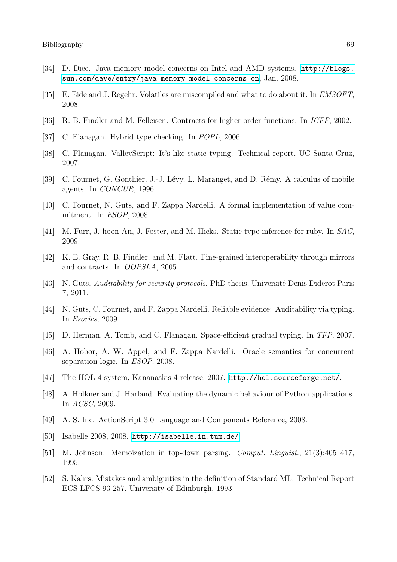- [34] D. Dice. Java memory model concerns on Intel and AMD systems. [http://blogs.](http://blogs.sun.com/dave/entry/java_memory_model_concerns_on) [sun.com/dave/entry/java\\_memory\\_model\\_concerns\\_on](http://blogs.sun.com/dave/entry/java_memory_model_concerns_on), Jan. 2008.
- [35] E. Eide and J. Regehr. Volatiles are miscompiled and what to do about it. In EMSOFT, 2008.
- <span id="page-68-8"></span>[36] R. B. Findler and M. Felleisen. Contracts for higher-order functions. In ICFP, 2002.
- <span id="page-68-9"></span>[37] C. Flanagan. Hybrid type checking. In *POPL*, 2006.
- <span id="page-68-12"></span>[38] C. Flanagan. ValleyScript: It's like static typing. Technical report, UC Santa Cruz, 2007.
- <span id="page-68-3"></span>[39] C. Fournet, G. Gonthier, J.-J. Lévy, L. Maranget, and D. Rémy. A calculus of mobile agents. In CONCUR, 1996.
- [40] C. Fournet, N. Guts, and F. Zappa Nardelli. A formal implementation of value commitment. In ESOP, 2008.
- <span id="page-68-6"></span>[41] M. Furr, J. hoon An, J. Foster, and M. Hicks. Static type inference for ruby. In SAC, 2009.
- <span id="page-68-10"></span>[42] K. E. Gray, R. B. Findler, and M. Flatt. Fine-grained interoperability through mirrors and contracts. In OOPSLA, 2005.
- [43] N. Guts. Auditability for security protocols. PhD thesis, Université Denis Diderot Paris 7, 2011.
- [44] N. Guts, C. Fournet, and F. Zappa Nardelli. Reliable evidence: Auditability via typing. In Esorics, 2009.
- <span id="page-68-7"></span>[45] D. Herman, A. Tomb, and C. Flanagan. Space-efficient gradual typing. In TFP, 2007.
- [46] A. Hobor, A. W. Appel, and F. Zappa Nardelli. Oracle semantics for concurrent separation logic. In ESOP, 2008.
- <span id="page-68-0"></span>[47] The HOL 4 system, Kananaskis-4 release, 2007. <http://hol.sourceforge.net/>.
- <span id="page-68-11"></span>[48] A. Holkner and J. Harland. Evaluating the dynamic behaviour of Python applications. In ACSC, 2009.
- <span id="page-68-5"></span>[49] A. S. Inc. ActionScript 3.0 Language and Components Reference, 2008.
- <span id="page-68-1"></span>[50] Isabelle 2008, 2008. <http://isabelle.in.tum.de/>.
- <span id="page-68-4"></span>[51] M. Johnson. Memoization in top-down parsing. Comput. Linguist., 21(3):405–417, 1995.
- <span id="page-68-2"></span>[52] S. Kahrs. Mistakes and ambiguities in the definition of Standard ML. Technical Report ECS-LFCS-93-257, University of Edinburgh, 1993.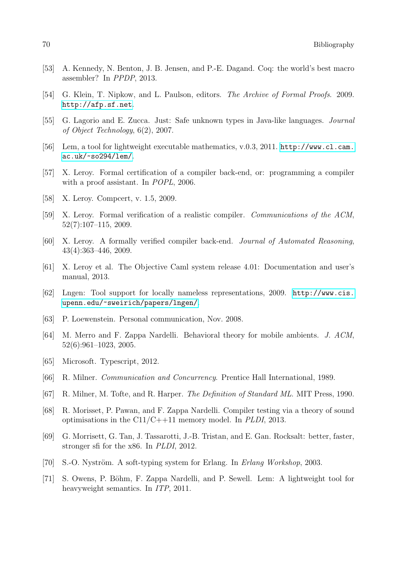- [53] A. Kennedy, N. Benton, J. B. Jensen, and P.-E. Dagand. Coq: the world's best macro assembler? In PPDP, 2013.
- <span id="page-69-2"></span>[54] G. Klein, T. Nipkow, and L. Paulson, editors. The Archive of Formal Proofs. 2009. <http://afp.sf.net>.
- <span id="page-69-7"></span>[55] G. Lagorio and E. Zucca. Just: Safe unknown types in Java-like languages. Journal of Object Technology, 6(2), 2007.
- <span id="page-69-4"></span>[56] Lem, a tool for lightweight executable mathematics, v.0.3, 2011. [http://www.cl.cam.](http://www.cl.cam.ac.uk/~so294/lem/) [ac.uk/~so294/lem/](http://www.cl.cam.ac.uk/~so294/lem/).
- [57] X. Leroy. Formal certification of a compiler back-end, or: programming a compiler with a proof assistant. In POPL, 2006.
- [58] X. Leroy. Compcert, v. 1.5, 2009.
- [59] X. Leroy. Formal verification of a realistic compiler. Communications of the ACM, 52(7):107–115, 2009.
- [60] X. Leroy. A formally verified compiler back-end. Journal of Automated Reasoning, 43(4):363–446, 2009.
- <span id="page-69-1"></span>[61] X. Leroy et al. The Objective Caml system release 4.01: Documentation and user's manual, 2013.
- <span id="page-69-3"></span>[62] Lngen: Tool support for locally nameless representations, 2009. [http://www.cis.](http://www.cis.upenn.edu/~sweirich/papers/lngen/) [upenn.edu/~sweirich/papers/lngen/](http://www.cis.upenn.edu/~sweirich/papers/lngen/).
- [63] P. Loewenstein. Personal communication, Nov. 2008.
- [64] M. Merro and F. Zappa Nardelli. Behavioral theory for mobile ambients. J. ACM, 52(6):961–1023, 2005.
- <span id="page-69-8"></span>[65] Microsoft. Typescript, 2012.
- [66] R. Milner. Communication and Concurrency. Prentice Hall International, 1989.
- <span id="page-69-0"></span>[67] R. Milner, M. Tofte, and R. Harper. *The Definition of Standard ML*. MIT Press, 1990.
- [68] R. Morisset, P. Pawan, and F. Zappa Nardelli. Compiler testing via a theory of sound optimisations in the  $C11/C+11$  memory model. In *PLDI*, 2013.
- [69] G. Morrisett, G. Tan, J. Tassarotti, J.-B. Tristan, and E. Gan. Rocksalt: better, faster, stronger sfi for the x86. In PLDI, 2012.
- <span id="page-69-6"></span>[70] S.-O. Nyström. A soft-typing system for Erlang. In *Erlang Workshop*, 2003.
- <span id="page-69-5"></span>[71] S. Owens, P. Böhm, F. Zappa Nardelli, and P. Sewell. Lem: A lightweight tool for heavyweight semantics. In ITP, 2011.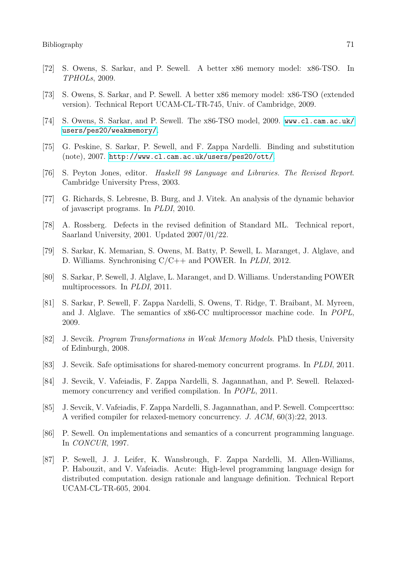- [72] S. Owens, S. Sarkar, and P. Sewell. A better x86 memory model: x86-TSO. In TPHOLs, 2009.
- [73] S. Owens, S. Sarkar, and P. Sewell. A better x86 memory model: x86-TSO (extended version). Technical Report UCAM-CL-TR-745, Univ. of Cambridge, 2009.
- [74] S. Owens, S. Sarkar, and P. Sewell. The x86-TSO model, 2009. [www.cl.cam.ac.uk/](www.cl.cam.ac.uk/users/pes20/weakmemory/) [users/pes20/weakmemory/](www.cl.cam.ac.uk/users/pes20/weakmemory/).
- <span id="page-70-3"></span>[75] G. Peskine, S. Sarkar, P. Sewell, and F. Zappa Nardelli. Binding and substitution (note), 2007. <http://www.cl.cam.ac.uk/users/pes20/ott/>.
- <span id="page-70-0"></span>[76] S. Peyton Jones, editor. Haskell 98 Language and Libraries. The Revised Report. Cambridge University Press, 2003.
- <span id="page-70-5"></span>[77] G. Richards, S. Lebresne, B. Burg, and J. Vitek. An analysis of the dynamic behavior of javascript programs. In PLDI, 2010.
- <span id="page-70-2"></span>[78] A. Rossberg. Defects in the revised definition of Standard ML. Technical report, Saarland University, 2001. Updated 2007/01/22.
- [79] S. Sarkar, K. Memarian, S. Owens, M. Batty, P. Sewell, L. Maranget, J. Alglave, and D. Williams. Synchronising C/C++ and POWER. In PLDI, 2012.
- <span id="page-70-4"></span>[80] S. Sarkar, P. Sewell, J. Alglave, L. Maranget, and D. Williams. Understanding POWER multiprocessors. In PLDI, 2011.
- [81] S. Sarkar, P. Sewell, F. Zappa Nardelli, S. Owens, T. Ridge, T. Braibant, M. Myreen, and J. Alglave. The semantics of x86-CC multiprocessor machine code. In POPL, 2009.
- [82] J. Sevcik. Program Transformations in Weak Memory Models. PhD thesis, University of Edinburgh, 2008.
- [83] J. Sevcik. Safe optimisations for shared-memory concurrent programs. In PLDI, 2011.
- [84] J. Sevcik, V. Vafeiadis, F. Zappa Nardelli, S. Jagannathan, and P. Sewell. Relaxedmemory concurrency and verified compilation. In POPL, 2011.
- [85] J. Sevcik, V. Vafeiadis, F. Zappa Nardelli, S. Jagannathan, and P. Sewell. Compcerttso: A verified compiler for relaxed-memory concurrency. J. ACM, 60(3):22, 2013.
- [86] P. Sewell. On implementations and semantics of a concurrent programming language. In CONCUR, 1997.
- <span id="page-70-1"></span>[87] P. Sewell, J. J. Leifer, K. Wansbrough, F. Zappa Nardelli, M. Allen-Williams, P. Habouzit, and V. Vafeiadis. Acute: High-level programming language design for distributed computation. design rationale and language definition. Technical Report UCAM-CL-TR-605, 2004.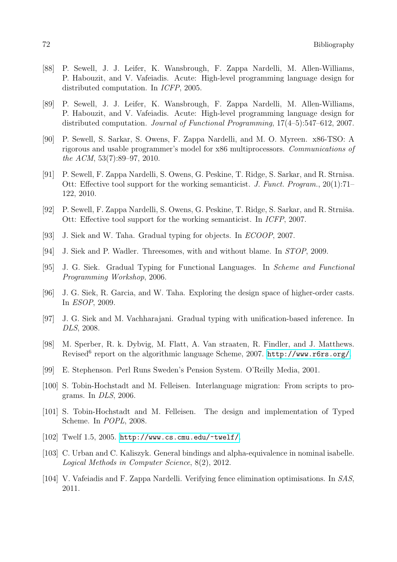- [88] P. Sewell, J. J. Leifer, K. Wansbrough, F. Zappa Nardelli, M. Allen-Williams, P. Habouzit, and V. Vafeiadis. Acute: High-level programming language design for distributed computation. In ICFP, 2005.
- <span id="page-71-2"></span>[89] P. Sewell, J. J. Leifer, K. Wansbrough, F. Zappa Nardelli, M. Allen-Williams, P. Habouzit, and V. Vafeiadis. Acute: High-level programming language design for distributed computation. Journal of Functional Programming, 17(4–5):547–612, 2007.
- [90] P. Sewell, S. Sarkar, S. Owens, F. Zappa Nardelli, and M. O. Myreen. x86-TSO: A rigorous and usable programmer's model for x86 multiprocessors. Communications of the ACM, 53(7):89–97, 2010.
- [91] P. Sewell, F. Zappa Nardelli, S. Owens, G. Peskine, T. Ridge, S. Sarkar, and R. Strnisa. Ott: Effective tool support for the working semanticist. J. Funct. Program.,  $20(1)$ :71– 122, 2010.
- [92] P. Sewell, F. Zappa Nardelli, S. Owens, G. Peskine, T. Ridge, S. Sarkar, and R. Strniša. Ott: Effective tool support for the working semanticist. In ICFP, 2007.
- <span id="page-71-8"></span>[93] J. Siek and W. Taha. Gradual typing for objects. In ECOOP, 2007.
- <span id="page-71-11"></span>[94] J. Siek and P. Wadler. Threesomes, with and without blame. In STOP, 2009.
- <span id="page-71-6"></span>[95] J. G. Siek. Gradual Typing for Functional Languages. In Scheme and Functional Programming Workshop, 2006.
- <span id="page-71-10"></span>[96] J. G. Siek, R. Garcia, and W. Taha. Exploring the design space of higher-order casts. In ESOP, 2009.
- <span id="page-71-9"></span>[97] J. G. Siek and M. Vachharajani. Gradual typing with unification-based inference. In DLS, 2008.
- <span id="page-71-0"></span>[98] M. Sperber, R. k. Dybvig, M. Flatt, A. Van straaten, R. Findler, and J. Matthews. Revised<sup>6</sup> report on the algorithmic language Scheme, 2007. <http://www.r6rs.org/>.
- <span id="page-71-4"></span>[99] E. Stephenson. Perl Runs Sweden's Pension System. O'Reilly Media, 2001.
- <span id="page-71-5"></span>[100] S. Tobin-Hochstadt and M. Felleisen. Interlanguage migration: From scripts to programs. In DLS, 2006.
- <span id="page-71-7"></span>[101] S. Tobin-Hochstadt and M. Felleisen. The design and implementation of Typed Scheme. In POPL, 2008.
- <span id="page-71-1"></span>[102] Twelf 1.5, 2005. <http://www.cs.cmu.edu/~twelf/>.
- <span id="page-71-3"></span>[103] C. Urban and C. Kaliszyk. General bindings and alpha-equivalence in nominal isabelle. Logical Methods in Computer Science, 8(2), 2012.
- [104] V. Vafeiadis and F. Zappa Nardelli. Verifying fence elimination optimisations. In SAS, 2011.